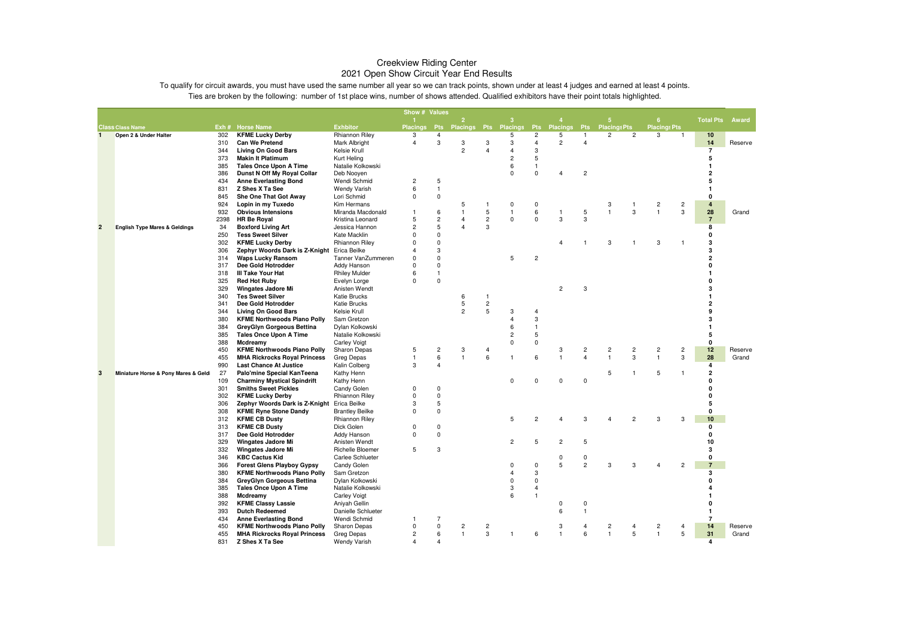|                |                                          |            |                                                      |                                      | Show # Values       |                         |                     |                         |                 |                                  |                     |                                |                     |                |                     |                |                  |         |
|----------------|------------------------------------------|------------|------------------------------------------------------|--------------------------------------|---------------------|-------------------------|---------------------|-------------------------|-----------------|----------------------------------|---------------------|--------------------------------|---------------------|----------------|---------------------|----------------|------------------|---------|
|                |                                          |            |                                                      |                                      |                     |                         | $\overline{2}$      |                         | з               |                                  |                     |                                |                     |                | 6                   |                | <b>Total Pts</b> | Award   |
|                | <b>Class Class Name</b>                  |            | Exh # Horse Name                                     | <b>Exhbitor</b>                      | Placings            | <b>Pts</b>              | <b>Placings</b>     | Pts                     | <b>Placings</b> | Pts                              | <b>Placings</b>     | <b>Pts</b>                     | <b>Placings Pts</b> |                | <b>Placings Pts</b> |                |                  |         |
| $\mathbf{1}$   | Open 2 & Under Halter                    | 302        | <b>KFME Lucky Derby</b>                              | Rhiannon Riley                       | 3<br>$\overline{4}$ | 4<br>3                  |                     |                         | 5<br>3          | $\overline{c}$<br>$\overline{4}$ | 5<br>$\overline{2}$ | $\mathbf{1}$<br>$\overline{4}$ | $\overline{c}$      | $\overline{c}$ | 3                   | $\mathbf{1}$   | 10<br>14         |         |
|                |                                          | 310<br>344 | <b>Can We Pretend</b><br><b>Living On Good Bars</b>  | Mark Albright<br>Kelsie Krull        |                     |                         | 3<br>$\overline{2}$ | 3<br>4                  | $\overline{4}$  | 3                                |                     |                                |                     |                |                     |                | $\overline{7}$   | Reserve |
|                |                                          | 373        | <b>Makin It Platimum</b>                             | Kurt Heling                          |                     |                         |                     |                         | $\overline{2}$  | 5                                |                     |                                |                     |                |                     |                | 5                |         |
|                |                                          | 385        | <b>Tales Once Upon A Time</b>                        | Natalie Kolkowski                    |                     |                         |                     |                         | 6               | $\mathbf{1}$                     |                     |                                |                     |                |                     |                | -1               |         |
|                |                                          | 386        | Dunst N Off My Royal Collar                          | Deb Nooyen                           |                     |                         |                     |                         | $\Omega$        | $\mathbf 0$                      | $\overline{4}$      | $\overline{c}$                 |                     |                |                     |                | 2                |         |
|                |                                          | 434        | <b>Anne Everlasting Bond</b>                         | Wendi Schmid                         | $\overline{c}$      | 5                       |                     |                         |                 |                                  |                     |                                |                     |                |                     |                | 5                |         |
|                |                                          | 831        | Z Shes X Ta See                                      | <b>Wendy Varish</b>                  | 6                   | $\overline{1}$          |                     |                         |                 |                                  |                     |                                |                     |                |                     |                |                  |         |
|                |                                          | 845        | She One That Got Away                                | Lori Schmid                          | 0                   | 0                       |                     |                         |                 |                                  |                     |                                |                     |                |                     |                | $\Omega$         |         |
|                |                                          | 924        | Lopin in my Tuxedo                                   | Kim Hermans                          |                     |                         | 5                   | $\mathbf{1}$            | 0               | 0                                |                     |                                | 3                   | $\mathbf{1}$   | $\overline{c}$      | $\overline{c}$ | $\overline{4}$   |         |
|                |                                          | 932        | <b>Obvious Intensions</b>                            | Miranda Macdonald                    | $\mathbf{1}$        | 6                       |                     | 5                       | $\mathbf{1}$    | 6                                | $\overline{1}$      | 5                              | $\mathbf{1}$        | 3              | $\overline{1}$      | 3              | 28               | Grand   |
|                |                                          | 2398       | <b>HR Be Royal</b>                                   | Kristina Leonard                     | 5                   | $\overline{\mathbf{c}}$ | 4                   | $\sqrt{2}$              | $\Omega$        | $\Omega$                         | 3                   | 3                              |                     |                |                     |                | $\overline{7}$   |         |
| $\overline{2}$ | <b>English Type Mares &amp; Geldings</b> | 34         | <b>Boxford Living Art</b>                            | Jessica Hannon                       | $\overline{c}$      | 5                       |                     | $\mathsf 3$             |                 |                                  |                     |                                |                     |                |                     |                | 8                |         |
|                |                                          | 250        | <b>Tess Sweet Silver</b>                             | Kate Macklin                         | $\mathbf 0$         | 0                       |                     |                         |                 |                                  |                     |                                |                     |                |                     |                | $\Omega$         |         |
|                |                                          | 302        | <b>KFME Lucky Derby</b>                              | Rhiannon Riley                       | $\Omega$            | $\pmb{0}$               |                     |                         |                 |                                  | $\overline{4}$      |                                | 3                   | $\overline{1}$ | 3                   | -1             | 3                |         |
|                |                                          | 306        | Zephyr Woords Dark is Z-Knight                       | Erica Beilke                         | 4                   | 3                       |                     |                         |                 |                                  |                     |                                |                     |                |                     |                | 3                |         |
|                |                                          | 314        | <b>Waps Lucky Ransom</b>                             | Tanner VanZummeren                   | $\mathbf 0$         | $\pmb{0}$               |                     |                         | 5               | $\overline{c}$                   |                     |                                |                     |                |                     |                | $\overline{2}$   |         |
|                |                                          | 317        | Dee Gold Hotrodder                                   | Addy Hanson                          | $\Omega$            | $\pmb{0}$               |                     |                         |                 |                                  |                     |                                |                     |                |                     |                |                  |         |
|                |                                          | 318        | III Take Your Hat                                    | <b>Rhiley Mulder</b>                 | 6                   | $\mathbf{1}$            |                     |                         |                 |                                  |                     |                                |                     |                |                     |                |                  |         |
|                |                                          | 325        | <b>Red Hot Ruby</b>                                  | Evelyn Lorge                         | $\Omega$            | 0                       |                     |                         |                 |                                  | $\overline{2}$      |                                |                     |                |                     |                | O<br>3           |         |
|                |                                          | 329        | <b>Wingates Jadore Mi</b><br><b>Tes Sweet Silver</b> | Anisten Wendt                        |                     |                         |                     | $\mathbf{1}$            |                 |                                  |                     | 3                              |                     |                |                     |                |                  |         |
|                |                                          | 340<br>341 | Dee Gold Hotrodder                                   | Katie Brucks<br>Katie Brucks         |                     |                         | 6<br>5              | $\sqrt{2}$              |                 |                                  |                     |                                |                     |                |                     |                | $\overline{2}$   |         |
|                |                                          | 344        | <b>Living On Good Bars</b>                           | Kelsie Krull                         |                     |                         | $\overline{2}$      | 5                       | 3               | $\overline{4}$                   |                     |                                |                     |                |                     |                | 9                |         |
|                |                                          | 380        | <b>KFME Northwoods Piano Polly</b>                   | Sam Gretzon                          |                     |                         |                     |                         | 4               | 3                                |                     |                                |                     |                |                     |                | 3                |         |
|                |                                          | 384        | GreyGlyn Gorgeous Bettina                            | Dylan Kolkowski                      |                     |                         |                     |                         | 6               | $\mathbf{1}$                     |                     |                                |                     |                |                     |                |                  |         |
|                |                                          | 385        | <b>Tales Once Upon A Time</b>                        | Natalie Kolkowski                    |                     |                         |                     |                         | $\overline{2}$  | 5                                |                     |                                |                     |                |                     |                | 5                |         |
|                |                                          | 388        | Mcdreamy                                             | <b>Carley Voigt</b>                  |                     |                         |                     |                         | $\Omega$        | $\mathbf 0$                      |                     |                                |                     |                |                     |                | $\mathbf{0}$     |         |
|                |                                          | 450        | <b>KFME Northwoods Piano Polly</b>                   | Sharon Depas                         | 5                   | $\overline{\mathbf{c}}$ | 3                   | 4                       |                 |                                  | 3                   | $\overline{c}$                 | $\overline{c}$      | $\overline{c}$ | $\overline{2}$      | $\overline{c}$ | 12               | Reserve |
|                |                                          | 455        | <b>MHA Rickrocks Royal Princess</b>                  | Greg Depas                           | $\mathbf{1}$        | 6                       | $\overline{1}$      | 6                       | $\mathbf{1}$    | 6                                | $\mathbf{1}$        | $\overline{a}$                 | $\mathbf{1}$        | 3              | $\overline{1}$      | 3              | 28               | Grand   |
|                |                                          | 990        | <b>Last Chance At Justice</b>                        | Kalin Colberg                        | 3                   | 4                       |                     |                         |                 |                                  |                     |                                |                     |                |                     |                | $\overline{4}$   |         |
| 3              | Miniature Horse & Pony Mares & Geldi     | 27         | Palo'mine Special KanTeena                           | Kathy Henn                           |                     |                         |                     |                         |                 |                                  |                     |                                | 5                   | -1             | 5                   | -1             | $\overline{2}$   |         |
|                |                                          | 109        | <b>Charminy Mystical Spindrift</b>                   | Kathy Henn                           |                     |                         |                     |                         | $\Omega$        | $\pmb{0}$                        | $\Omega$            | $\mathbf 0$                    |                     |                |                     |                | $\Omega$         |         |
|                |                                          | 301        | <b>Smiths Sweet Pickles</b>                          | Candy Golen                          | 0                   | $\mathbf 0$             |                     |                         |                 |                                  |                     |                                |                     |                |                     |                | n                |         |
|                |                                          | 302        | <b>KFME Lucky Derby</b>                              | Rhiannon Riley                       | 0                   | $\pmb{0}$               |                     |                         |                 |                                  |                     |                                |                     |                |                     |                | O                |         |
|                |                                          | 306        | Zephyr Woords Dark is Z-Knight                       | Erica Beilke                         | 3                   | 5                       |                     |                         |                 |                                  |                     |                                |                     |                |                     |                | 5                |         |
|                |                                          | 308        | <b>KFME Ryne Stone Dandy</b>                         | <b>Brantley Beilke</b>               | $\Omega$            | 0                       |                     |                         |                 |                                  |                     |                                |                     |                |                     |                | 0                |         |
|                |                                          | 312        | <b>KFME CB Dusty</b>                                 | Rhiannon Riley                       |                     |                         |                     |                         | 5               | $\overline{2}$                   |                     | 3                              |                     | $\overline{2}$ | 3                   | $\mathcal{R}$  | 10               |         |
|                |                                          | 313        | <b>KFME CB Dusty</b>                                 | Dick Golen                           | $\Omega$            | $\mathbf 0$             |                     |                         |                 |                                  |                     |                                |                     |                |                     |                | 0                |         |
|                |                                          | 317        | Dee Gold Hotrodder                                   | Addy Hanson                          | $\Omega$            | 0                       |                     |                         | $\overline{2}$  | 5                                |                     | 5                              |                     |                |                     |                | $\mathbf{0}$     |         |
|                |                                          | 329<br>332 | <b>Wingates Jadore Mi</b>                            | Anisten Wendt                        | 5                   | 3                       |                     |                         |                 |                                  | $\overline{2}$      |                                |                     |                |                     |                | 10<br>3          |         |
|                |                                          | 346        | <b>Wingates Jadore Mi</b><br><b>KBC Cactus Kid</b>   | Richelle Bloemer<br>Carlee Schlueter |                     |                         |                     |                         |                 |                                  | $\mathbf 0$         | 0                              |                     |                |                     |                | 0                |         |
|                |                                          | 366        | <b>Forest Glens Playboy Gypsy</b>                    | Candy Golen                          |                     |                         |                     |                         | $\Omega$        | $\Omega$                         | 5                   | $\overline{2}$                 | 3                   | 3              |                     | $\overline{2}$ | $\overline{7}$   |         |
|                |                                          | 380        | <b>KFME Northwoods Piano Polly</b>                   | Sam Gretzon                          |                     |                         |                     |                         | 4               | 3                                |                     |                                |                     |                |                     |                | 3                |         |
|                |                                          | 384        | GreyGlyn Gorgeous Bettina                            | Dylan Kolkowski                      |                     |                         |                     |                         | $\Omega$        | $\Omega$                         |                     |                                |                     |                |                     |                | n                |         |
|                |                                          | 385        | <b>Tales Once Upon A Time</b>                        | Natalie Kolkowski                    |                     |                         |                     |                         | 3               | $\overline{4}$                   |                     |                                |                     |                |                     |                |                  |         |
|                |                                          | 388        | Mcdreamy                                             | <b>Carley Voigt</b>                  |                     |                         |                     |                         | 6               | $\mathbf{1}$                     |                     |                                |                     |                |                     |                |                  |         |
|                |                                          | 392        | <b>KFME Classy Lassie</b>                            | Aniyah Gellin                        |                     |                         |                     |                         |                 |                                  | $\Omega$            | $\mathbf 0$                    |                     |                |                     |                | n                |         |
|                |                                          | 393        | <b>Dutch Redeemed</b>                                | Danielle Schlueter                   |                     |                         |                     |                         |                 |                                  | 6                   | $\mathbf{1}$                   |                     |                |                     |                | -1               |         |
|                |                                          | 434        | <b>Anne Everlasting Bond</b>                         | Wendi Schmid                         |                     | $\overline{7}$          |                     |                         |                 |                                  |                     |                                |                     |                |                     |                | $\overline{7}$   |         |
|                |                                          | 450        | <b>KFME Northwoods Piano Polly</b>                   | Sharon Depas                         | $\mathbf 0$         | $\mathbf 0$             | $\overline{c}$      | $\overline{\mathbf{c}}$ |                 |                                  | 3                   | $\overline{4}$                 | $\overline{2}$      | $\overline{4}$ | $\overline{2}$      | 4              | 14               | Reserve |
|                |                                          | 455        | <b>MHA Rickrocks Royal Princess</b>                  | Greg Depas                           | $\overline{c}$      | 6                       | $\overline{1}$      | 3                       | $\mathbf{1}$    | 6                                | $\mathbf{1}$        | 6                              | $\mathbf{1}$        | 5              | $\overline{1}$      | 5              | 31               | Grand   |
|                |                                          | 831        | Z Shes X Ta See                                      | <b>Wendy Varish</b>                  | $\overline{4}$      | 4                       |                     |                         |                 |                                  |                     |                                |                     |                |                     |                | 4                |         |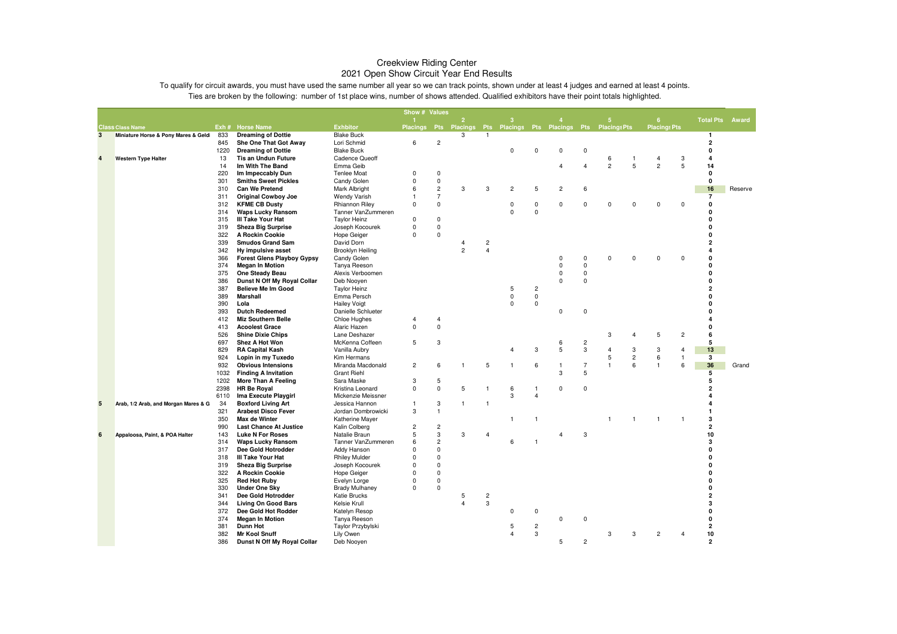|                |                                      |              |                                                    |                                  | Show # Values  |                |                                                                  |                |                |                         |                         |                     |                     |                |                     |                |                              |         |
|----------------|--------------------------------------|--------------|----------------------------------------------------|----------------------------------|----------------|----------------|------------------------------------------------------------------|----------------|----------------|-------------------------|-------------------------|---------------------|---------------------|----------------|---------------------|----------------|------------------------------|---------|
|                |                                      |              |                                                    |                                  |                |                | $\overline{2}$                                                   |                | 3              |                         |                         |                     | 5                   |                | 6                   |                | <b>Total Pts</b>             | Award   |
|                | <b>Class Class Name</b>              |              | Exh # Horse Name                                   | <b>Exhbitor</b>                  |                |                | Placings Pts Placings Pts Placings Pts Placings Pts Placings Pts |                |                |                         |                         |                     |                     |                | <b>Placings Pts</b> |                |                              |         |
| 3              | Miniature Horse & Pony Mares & Geldi | 833          | <b>Dreaming of Dottie</b>                          | <b>Blake Buck</b>                |                |                | 3                                                                | 1              |                |                         |                         |                     |                     |                |                     |                | $\mathbf{1}$                 |         |
|                |                                      | 845<br>1220  | She One That Got Away<br><b>Dreaming of Dottie</b> | Lori Schmid<br><b>Blake Buck</b> | 6              | $\overline{c}$ |                                                                  |                | $\Omega$       | $\Omega$                | $\mathbf 0$             | $\mathbf 0$         |                     |                |                     |                | $\overline{\mathbf{2}}$<br>0 |         |
|                |                                      |              | <b>Tis an Undun Future</b>                         | <b>Cadence Queoff</b>            |                |                |                                                                  |                |                |                         |                         |                     |                     | -1             | $\overline{4}$      | 3              | 4                            |         |
| $\overline{a}$ | <b>Western Type Halter</b>           | 13<br>14     | Im With The Band                                   | Emma Geib                        |                |                |                                                                  |                |                |                         | $\overline{4}$          | $\overline{4}$      | 6<br>$\overline{c}$ | 5              | $\overline{c}$      | 5              | 14                           |         |
|                |                                      | 220          | Im Impeccably Dun                                  | <b>Tenlee Moat</b>               | 0              | $\mathbf 0$    |                                                                  |                |                |                         |                         |                     |                     |                |                     |                | 0                            |         |
|                |                                      | 301          | <b>Smiths Sweet Pickles</b>                        | Candy Golen                      | 0              | 0              |                                                                  |                |                |                         |                         |                     |                     |                |                     |                | 0                            |         |
|                |                                      | 310          | <b>Can We Pretend</b>                              | Mark Albright                    | 6              | $\overline{c}$ | 3                                                                | 3              | $\overline{c}$ | 5                       | $\overline{c}$          | 6                   |                     |                |                     |                | 16                           | Reserve |
|                |                                      | 311          | <b>Original Cowboy Joe</b>                         | <b>Wendy Varish</b>              | 1              | $\overline{7}$ |                                                                  |                |                |                         |                         |                     |                     |                |                     |                | 7                            |         |
|                |                                      | 312          | <b>KFME CB Dusty</b>                               | Rhiannon Riley                   | $\Omega$       | $\Omega$       |                                                                  |                | 0              | 0                       | 0                       | $\mathbf 0$         | 0                   | $\Omega$       | $\mathbf 0$         | $\Omega$       | 0                            |         |
|                |                                      | 314          | <b>Waps Lucky Ransom</b>                           | Tanner VanZummeren               |                |                |                                                                  |                | $\Omega$       | $\mathbf 0$             |                         |                     |                     |                |                     |                | O                            |         |
|                |                                      | 315          | III Take Your Hat                                  | <b>Taylor Heinz</b>              | 0              | 0              |                                                                  |                |                |                         |                         |                     |                     |                |                     |                | 0                            |         |
|                |                                      | 319          | <b>Sheza Big Surprise</b>                          | Joseph Kocourek                  | $\Omega$       | 0              |                                                                  |                |                |                         |                         |                     |                     |                |                     |                | O                            |         |
|                |                                      | 322          | A Rockin Cookie                                    | <b>Hope Geiger</b>               | $\mathbf 0$    | $\Omega$       |                                                                  |                |                |                         |                         |                     |                     |                |                     |                | 0                            |         |
|                |                                      | 339          | <b>Smudos Grand Sam</b>                            | David Dorn                       |                |                | 4                                                                | 2              |                |                         |                         |                     |                     |                |                     |                | 2                            |         |
|                |                                      | 342          | Hy impulsive asset                                 | Brooklyn Heiling                 |                |                | $\overline{2}$                                                   | $\overline{4}$ |                |                         |                         |                     |                     |                |                     |                | 4                            |         |
|                |                                      | 366          | <b>Forest Glens Playboy Gypsy</b>                  | Candy Golen                      |                |                |                                                                  |                |                |                         | 0                       | 0                   | $\Omega$            | $\Omega$       | $\mathbf 0$         | $\Omega$       | 0                            |         |
|                |                                      | 374          | <b>Megan In Motion</b>                             | Tanya Reeson                     |                |                |                                                                  |                |                |                         | $\mathbf 0$             | $\mathbf 0$         |                     |                |                     |                | 0                            |         |
|                |                                      | 375          | One Steady Beau                                    | Alexis Verboomen                 |                |                |                                                                  |                |                |                         | $\mathbf 0$             | $\Omega$            |                     |                |                     |                | 0                            |         |
|                |                                      | 386          | Dunst N Off My Royal Collar                        | Deb Nooyen                       |                |                |                                                                  |                |                |                         | $\mathbf 0$             | $\Omega$            |                     |                |                     |                | 0                            |         |
|                |                                      | 387          | <b>Believe Me Im Good</b>                          | <b>Taylor Heinz</b>              |                |                |                                                                  |                | 5              | $\overline{\mathbf{c}}$ |                         |                     |                     |                |                     |                | $\overline{a}$               |         |
|                |                                      | 389          | Marshall                                           | Emma Persch                      |                |                |                                                                  |                | $\mathbf 0$    | $\mathbf 0$             |                         |                     |                     |                |                     |                | 0                            |         |
|                |                                      | 390          | Lola                                               | <b>Hailey Voigt</b>              |                |                |                                                                  |                | $\mathbf 0$    | 0                       |                         |                     |                     |                |                     |                | 0                            |         |
|                |                                      | 393          | <b>Dutch Redeemed</b>                              | Danielle Schlueter               |                |                |                                                                  |                |                |                         | $\mathsf 0$             | $\mathbf 0$         |                     |                |                     |                | O                            |         |
|                |                                      | 412          | <b>Miz Southern Belle</b>                          | Chloe Hughes                     | $\overline{4}$ | $\overline{4}$ |                                                                  |                |                |                         |                         |                     |                     |                |                     |                | 4                            |         |
|                |                                      | 413          | <b>Acoolest Grace</b>                              | Alaric Hazen                     | $\Omega$       | $\mathbf 0$    |                                                                  |                |                |                         |                         |                     |                     |                |                     |                | 0                            |         |
|                |                                      | 526          | <b>Shine Dixie Chips</b>                           | Lane Deshazer                    |                |                |                                                                  |                |                |                         |                         |                     | 3                   | 4              | 5                   | $\overline{c}$ | 6                            |         |
|                |                                      | 697          | Shez A Hot Won                                     | McKenna Coffeen                  | 5              | 3              |                                                                  |                |                |                         | 6                       | $\overline{c}$      |                     |                |                     |                | 5                            |         |
|                |                                      | 829          | <b>RA Capital Kash</b>                             | Vanilla Aubry                    |                |                |                                                                  |                | 4              | 3                       | $\overline{5}$          | 3                   | 4                   | 3              | 3                   | $\overline{4}$ | 13                           |         |
|                |                                      | 924          | Lopin in my Tuxedo                                 | Kim Hermans                      |                |                |                                                                  |                |                |                         |                         |                     | 5                   | $\overline{c}$ | 6                   | $\mathbf{1}$   | $\overline{\mathbf{3}}$      |         |
|                |                                      | 932          | <b>Obvious Intensions</b>                          | Miranda Macdonald                | $\overline{c}$ | 6              | $\mathbf{1}$                                                     | 5              | $\mathbf{1}$   | 6                       | $\mathbf{1}$            | $\overline{7}$<br>5 | 1                   | 6              | $\mathbf{1}$        | 6              | 36                           | Grand   |
|                |                                      | 1032         | <b>Finding A Invitation</b>                        | <b>Grant Riehl</b>               | 3              | 5              |                                                                  |                |                |                         | 3                       |                     |                     |                |                     |                | 5<br>5                       |         |
|                |                                      | 1202         | More Than A Feeling                                | Sara Maske<br>Kristina Leonard   | 0              | $\mathbf 0$    | 5                                                                | $\mathbf{1}$   |                | $\mathbf{1}$            | 0                       | 0                   |                     |                |                     |                | 2                            |         |
|                |                                      | 2398<br>6110 | <b>HR Be Royal</b><br>Ima Execute Playgirl         | Mickenzie Meissner               |                |                |                                                                  |                | 6<br>3         | $\overline{4}$          |                         |                     |                     |                |                     |                | 4                            |         |
| 5              | Arab, 1/2 Arab, and Morgan Mares & G | 34           | <b>Boxford Living Art</b>                          | Jessica Hannon                   | 1              | 3              | 1                                                                | $\overline{1}$ |                |                         |                         |                     |                     |                |                     |                |                              |         |
|                |                                      | 321          | <b>Arabest Disco Fever</b>                         | Jordan Dombrowicki               | 3              | $\mathbf{1}$   |                                                                  |                |                |                         |                         |                     |                     |                |                     |                | 1                            |         |
|                |                                      | 350          | Max de Winter                                      | Katherine Mayer                  |                |                |                                                                  |                | $\mathbf{1}$   | $\overline{1}$          |                         |                     |                     | 1              | $\mathbf{1}$        | $\mathbf{1}$   | 3                            |         |
|                |                                      | 990          | <b>Last Chance At Justice</b>                      | Kalin Colberg                    | $\overline{c}$ | 2              |                                                                  |                |                |                         |                         |                     |                     |                |                     |                | $\overline{\mathbf{2}}$      |         |
| 6              | Appaloosa, Paint, & POA Halter       | 143          | <b>Luke N For Roses</b>                            | Natalie Braun                    | 5              | 3              | 3                                                                | $\overline{4}$ |                |                         | $\overline{\mathbf{4}}$ | 3                   |                     |                |                     |                | 10                           |         |
|                |                                      | 314          | <b>Waps Lucky Ransom</b>                           | Tanner VanZummeren               | 6              | $\overline{c}$ |                                                                  |                | 6              | $\overline{1}$          |                         |                     |                     |                |                     |                | 3                            |         |
|                |                                      | 317          | Dee Gold Hotrodder                                 | Addy Hanson                      | $\Omega$       | $\mathsf 0$    |                                                                  |                |                |                         |                         |                     |                     |                |                     |                | 0                            |         |
|                |                                      | 318          | III Take Your Hat                                  | <b>Rhiley Mulder</b>             | 0              | $\Omega$       |                                                                  |                |                |                         |                         |                     |                     |                |                     |                | 0                            |         |
|                |                                      | 319          | <b>Sheza Big Surprise</b>                          | Joseph Kocourek                  | $\Omega$       | $\Omega$       |                                                                  |                |                |                         |                         |                     |                     |                |                     |                | 0                            |         |
|                |                                      | 322          | A Rockin Cookie                                    | Hope Geiger                      | 0              | 0              |                                                                  |                |                |                         |                         |                     |                     |                |                     |                | 0                            |         |
|                |                                      | 325          | <b>Red Hot Ruby</b>                                | Evelyn Lorge                     | $\Omega$       | $\Omega$       |                                                                  |                |                |                         |                         |                     |                     |                |                     |                | 0                            |         |
|                |                                      | 330          | <b>Under One Sky</b>                               | <b>Brady Mulhaney</b>            | 0              | 0              |                                                                  |                |                |                         |                         |                     |                     |                |                     |                | 0                            |         |
|                |                                      | 341          | Dee Gold Hotrodder                                 | <b>Katie Brucks</b>              |                |                | 5                                                                | 2              |                |                         |                         |                     |                     |                |                     |                | $\overline{a}$               |         |
|                |                                      | 344          | <b>Living On Good Bars</b>                         | Kelsie Krull                     |                |                | $\overline{\mathbf{A}}$                                          | 3              |                |                         |                         |                     |                     |                |                     |                | 3                            |         |
|                |                                      | 372          | Dee Gold Hot Rodder                                | Katelyn Resop                    |                |                |                                                                  |                | 0              | 0                       |                         |                     |                     |                |                     |                | 0                            |         |
|                |                                      | 374          | <b>Megan In Motion</b>                             | Tanya Reeson                     |                |                |                                                                  |                |                |                         | $\mathbf 0$             | $\Omega$            |                     |                |                     |                | 0                            |         |
|                |                                      | 381          | <b>Dunn Hot</b>                                    | Taylor Przybylski                |                |                |                                                                  |                | 5              | $\overline{c}$          |                         |                     |                     |                |                     |                | $\overline{\mathbf{2}}$      |         |
|                |                                      | 382          | <b>Mr Kool Snuff</b>                               | Lily Owen                        |                |                |                                                                  |                | 4              | 3                       |                         |                     | 3                   | 3              | $\overline{2}$      |                | 10                           |         |
|                |                                      | 386          | Dunst N Off My Royal Collar                        | Deb Nooyen                       |                |                |                                                                  |                |                |                         | 5                       | $\overline{2}$      |                     |                |                     |                | $\overline{2}$               |         |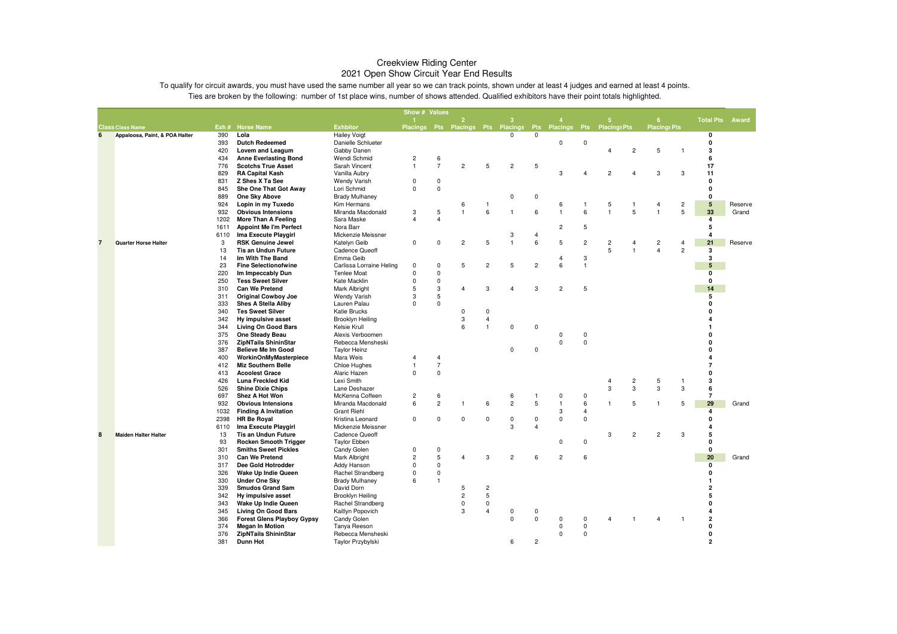|                |                                |              |                                                       |                                 | Show # Values                |                |                   |                         |                                    |                         |                               |                         |                         |                   |                     |                     |                     |                  |
|----------------|--------------------------------|--------------|-------------------------------------------------------|---------------------------------|------------------------------|----------------|-------------------|-------------------------|------------------------------------|-------------------------|-------------------------------|-------------------------|-------------------------|-------------------|---------------------|---------------------|---------------------|------------------|
|                |                                |              |                                                       |                                 |                              |                | $\overline{2}$    |                         | 3                                  |                         |                               |                         | 5                       |                   | 6                   |                     | <b>Total Pts</b>    | Award            |
|                | <b>Class Class Name</b>        |              | Exh # Horse Name                                      | <b>Exhbitor</b>                 |                              |                |                   |                         | Placings Pts Placings Pts Placings |                         | Pts Placings Pts Placings Pts |                         |                         |                   | <b>Placings Pts</b> |                     |                     |                  |
| 6              | Appaloosa, Paint, & POA Halter | 390          | Lola                                                  | <b>Hailey Voigt</b>             |                              |                |                   |                         | 0                                  | 0                       |                               |                         |                         |                   |                     |                     | 0                   |                  |
|                |                                | 393          | <b>Dutch Redeemed</b>                                 | Danielle Schlueter              |                              |                |                   |                         |                                    |                         | 0                             | 0                       |                         |                   |                     |                     | 0                   |                  |
|                |                                | 420          | Lovem and Leagum                                      | Gabby Danen                     |                              |                |                   |                         |                                    |                         |                               |                         | $\overline{4}$          | $\overline{c}$    | 5                   | $\mathbf{1}$        | 3                   |                  |
|                |                                | 434          | <b>Anne Everlasting Bond</b>                          | Wendi Schmid                    | $\overline{c}$               | $\,6\,$        |                   |                         |                                    |                         |                               |                         |                         |                   |                     |                     | 6                   |                  |
|                |                                | 776          | <b>Scotchs True Asset</b>                             | Sarah Vincent                   | $\overline{1}$               | $\overline{7}$ | $\overline{c}$    | 5                       | $\overline{2}$                     | 5                       |                               |                         |                         |                   |                     |                     | 17                  |                  |
|                |                                | 829          | <b>RA Capital Kash</b>                                | Vanilla Aubry                   |                              |                |                   |                         |                                    |                         | 3                             |                         | $\overline{2}$          |                   | 3                   | 3                   | 11                  |                  |
|                |                                | 831          | Z Shes X Ta See                                       | <b>Wendy Varish</b>             | $\mathbf 0$                  | $\mathbf 0$    |                   |                         |                                    |                         |                               |                         |                         |                   |                     |                     | 0                   |                  |
|                |                                | 845          | She One That Got Away                                 | Lori Schmid                     | $\mathbf{0}$                 | $\mathbf 0$    |                   |                         |                                    |                         |                               |                         |                         |                   |                     |                     | 0                   |                  |
|                |                                | 889          | One Sky Above                                         | <b>Brady Mulhaney</b>           |                              |                |                   |                         | $\Omega$                           | $\mathbf 0$             |                               |                         |                         |                   |                     |                     | 0                   |                  |
|                |                                | 924          | Lopin in my Tuxedo                                    | Kim Hermans                     |                              | $\sqrt{5}$     | 6<br>$\mathbf{1}$ | $\overline{1}$<br>6     | 1                                  | 6                       | 6<br>$\mathbf{1}$             | $\overline{1}$<br>6     | 5<br>$\mathbf{1}$       | $\mathbf{1}$<br>5 | 4<br>$\mathbf{1}$   | $\overline{c}$<br>5 | ${\bf 5}$<br>33     | Reserve<br>Grand |
|                |                                | 932<br>1202  | <b>Obvious Intensions</b>                             | Miranda Macdonald<br>Sara Maske | 3<br>$\overline{\mathbf{4}}$ | $\overline{4}$ |                   |                         |                                    |                         |                               |                         |                         |                   |                     |                     | 4                   |                  |
|                |                                |              | More Than A Feeling                                   |                                 |                              |                |                   |                         |                                    |                         |                               | 5                       |                         |                   |                     |                     | 5                   |                  |
|                |                                | 1611<br>6110 | <b>Appoint Me I'm Perfect</b><br>Ima Execute Playgirl | Nora Barr<br>Mickenzie Meissner |                              |                |                   |                         | 3                                  | $\overline{4}$          | $\overline{\mathbf{c}}$       |                         |                         |                   |                     |                     | $\overline{4}$      |                  |
| $\overline{7}$ | <b>Quarter Horse Halter</b>    | 3            | <b>RSK Genuine Jewel</b>                              | Katelyn Geib                    | $\mathbf 0$                  | $\mathbf 0$    | $\overline{c}$    | 5                       | $\mathbf{1}$                       | 6                       | 5                             | $\overline{c}$          | $\overline{\mathbf{c}}$ | 4                 | $\overline{2}$      | $\overline{4}$      | 21                  | Reserve          |
|                |                                | 13           | <b>Tis an Undun Future</b>                            | Cadence Queoff                  |                              |                |                   |                         |                                    |                         |                               |                         | 5                       | $\overline{1}$    | $\overline{4}$      | $\overline{2}$      | 3                   |                  |
|                |                                | 14           | Im With The Band                                      | Emma Geib                       |                              |                |                   |                         |                                    |                         | 4                             | 3                       |                         |                   |                     |                     | 3                   |                  |
|                |                                | 23           | <b>Fine Selectionofwine</b>                           | Carlissa Lorraine Heling        | $\mathbf 0$                  | $\mathbf 0$    | 5                 | $\overline{c}$          | 5                                  | $\overline{c}$          | 6                             | $\overline{1}$          |                         |                   |                     |                     | 5                   |                  |
|                |                                | 220          | Im Impeccably Dun                                     | <b>Tenlee Moat</b>              | $\mathbf 0$                  | $\mathsf 0$    |                   |                         |                                    |                         |                               |                         |                         |                   |                     |                     | 0                   |                  |
|                |                                | 250          | <b>Tess Sweet Silver</b>                              | Kate Macklin                    | $\mathbf 0$                  | $\mathbf 0$    |                   |                         |                                    |                         |                               |                         |                         |                   |                     |                     | 0                   |                  |
|                |                                | 310          | Can We Pretend                                        | Mark Albright                   | 5                            | 3              | $\overline{4}$    | $\mathbf 3$             | $\boldsymbol{\Delta}$              | 3                       | $\overline{c}$                | 5                       |                         |                   |                     |                     | 14                  |                  |
|                |                                | 311          | <b>Original Cowboy Joe</b>                            | <b>Wendy Varish</b>             | 3                            | 5              |                   |                         |                                    |                         |                               |                         |                         |                   |                     |                     | 5                   |                  |
|                |                                | 333          | <b>Shes A Stella Aliby</b>                            | Lauren Palau                    | $\Omega$                     | $\Omega$       |                   |                         |                                    |                         |                               |                         |                         |                   |                     |                     | 0                   |                  |
|                |                                | 340          | <b>Tes Sweet Silver</b>                               | <b>Katie Brucks</b>             |                              |                | $\Omega$          | $\mathbf 0$             |                                    |                         |                               |                         |                         |                   |                     |                     |                     |                  |
|                |                                | 342          | Hy impulsive asset                                    | Brooklyn Heiling                |                              |                | 3                 | $\overline{4}$          |                                    |                         |                               |                         |                         |                   |                     |                     |                     |                  |
|                |                                | 344          | <b>Living On Good Bars</b>                            | Kelsie Krull                    |                              |                | 6                 | $\overline{1}$          | $\Omega$                           | $\Omega$                |                               |                         |                         |                   |                     |                     |                     |                  |
|                |                                | 375          | One Steady Beau                                       | Alexis Verboomen                |                              |                |                   |                         |                                    |                         | 0                             | 0                       |                         |                   |                     |                     | ŋ                   |                  |
|                |                                | 376          | <b>ZipNTails ShininStar</b>                           | Rebecca Mensheski               |                              |                |                   |                         |                                    |                         | $\mathbf 0$                   | $\mathbf 0$             |                         |                   |                     |                     |                     |                  |
|                |                                | 387          | <b>Believe Me Im Good</b>                             | <b>Taylor Heinz</b>             |                              |                |                   |                         | $\Omega$                           | $\mathbf 0$             |                               |                         |                         |                   |                     |                     |                     |                  |
|                |                                | 400          | WorkinOnMyMasterpiece                                 | Mara Weis                       | $\overline{4}$               | $\overline{4}$ |                   |                         |                                    |                         |                               |                         |                         |                   |                     |                     |                     |                  |
|                |                                | 412          | <b>Miz Southern Belle</b>                             | Chloe Hughes                    | $\overline{1}$               | $\overline{7}$ |                   |                         |                                    |                         |                               |                         |                         |                   |                     |                     |                     |                  |
|                |                                | 413          | <b>Acoolest Grace</b>                                 | Alaric Hazen                    | $\mathbf 0$                  | $\mathbf 0$    |                   |                         |                                    |                         |                               |                         |                         |                   |                     |                     | 0                   |                  |
|                |                                | 426          | Luna Freckled Kid                                     | Lexi Smith                      |                              |                |                   |                         |                                    |                         |                               |                         | 4                       | 2                 | 5                   | $\overline{1}$      | 3                   |                  |
|                |                                | 526          | <b>Shine Dixie Chips</b>                              | Lane Deshazer                   |                              |                |                   |                         |                                    |                         |                               |                         | 3                       | 3                 | 3                   | 3                   | 6                   |                  |
|                |                                | 697          | <b>Shez A Hot Won</b>                                 | McKenna Coffeen                 | $\overline{c}$               | 6              |                   |                         | 6                                  | $\overline{1}$          | 0                             | 0                       |                         |                   |                     |                     | $\overline{7}$      |                  |
|                |                                | 932          | <b>Obvious Intensions</b>                             | Miranda Macdonald               | 6                            | $\overline{c}$ | $\mathbf{1}$      | 6                       | $\overline{c}$                     | 5                       | $\mathbf{1}$                  | 6                       | $\mathbf{1}$            | 5                 | $\mathbf{1}$        | 5                   | 29                  | Grand            |
|                |                                | 1032         | <b>Finding A Invitation</b>                           | <b>Grant Riehl</b>              |                              |                |                   |                         |                                    |                         | 3                             | $\overline{4}$          |                         |                   |                     |                     | 4                   |                  |
|                |                                | 2398         | <b>HR Be Royal</b>                                    | Kristina Leonard                | $^{\circ}$                   | $\mathbf 0$    | 0                 | $\mathbf 0$             | 0                                  | 0                       | $\mathbf 0$                   | $\mathbf 0$             |                         |                   |                     |                     | 0                   |                  |
|                |                                | 6110         | Ima Execute Playgirl                                  | Mickenzie Meissner              |                              |                |                   |                         | 3                                  | $\overline{\mathbf{A}}$ |                               |                         |                         |                   |                     |                     |                     |                  |
| 8              | <b>Maiden Halter Halter</b>    | 13           | <b>Tis an Undun Future</b>                            | Cadence Queoff                  |                              |                |                   |                         |                                    |                         |                               |                         | 3                       | $\overline{c}$    | $\overline{2}$      | 3                   | 5                   |                  |
|                |                                | 93           | <b>Rocken Smooth Trigger</b>                          | <b>Taylor Ebben</b>             |                              |                |                   |                         |                                    |                         | 0                             | 0                       |                         |                   |                     |                     | 0                   |                  |
|                |                                | 301          | <b>Smiths Sweet Pickles</b>                           | Candy Golen                     | $\mathbf 0$                  | $\pmb{0}$      |                   |                         |                                    |                         |                               |                         |                         |                   |                     |                     | 0                   |                  |
|                |                                | 310          | Can We Pretend                                        | Mark Albright                   | $\overline{c}$               | 5              | $\overline{4}$    | 3                       | $\overline{c}$                     | 6                       | $\overline{c}$                | 6                       |                         |                   |                     |                     | 20                  | Grand            |
|                |                                | 317          | Dee Gold Hotrodder                                    | Addy Hanson                     | 0                            | $\mathbf 0$    |                   |                         |                                    |                         |                               |                         |                         |                   |                     |                     | 0                   |                  |
|                |                                | 326          | Wake Up Indie Queen                                   | Rachel Strandberg               | 0                            | $\mathbf 0$    |                   |                         |                                    |                         |                               |                         |                         |                   |                     |                     | 0                   |                  |
|                |                                | 330          | <b>Under One Sky</b>                                  | <b>Brady Mulhaney</b>           | 6                            | $\mathbf{1}$   |                   |                         |                                    |                         |                               |                         |                         |                   |                     |                     |                     |                  |
|                |                                | 339          | <b>Smudos Grand Sam</b>                               | David Dorn                      |                              |                | 5                 | $\overline{\mathbf{c}}$ |                                    |                         |                               |                         |                         |                   |                     |                     | $\overline{2}$      |                  |
|                |                                | 342          | Hy impulsive asset                                    | Brooklyn Heiling                |                              |                | $\overline{c}$    | 5                       |                                    |                         |                               |                         |                         |                   |                     |                     | 5                   |                  |
|                |                                | 343          | Wake Up Indie Queen                                   | Rachel Strandberg               |                              |                | $\Omega$          | $\mathbf 0$             |                                    |                         |                               |                         |                         |                   |                     |                     | 0                   |                  |
|                |                                | 345          | <b>Living On Good Bars</b>                            | Kaitlyn Popovich                |                              |                | 3                 | $\overline{4}$          | 0<br>0                             | 0<br>$\Omega$           | $\Omega$                      |                         |                         |                   | $\overline{4}$      |                     | 4<br>$\overline{2}$ |                  |
|                |                                | 366<br>374   | <b>Forest Glens Playboy Gypsy</b>                     | Candy Golen                     |                              |                |                   |                         |                                    |                         | $\mathbf 0$                   | $\Omega$<br>$\mathbf 0$ |                         |                   |                     |                     | 0                   |                  |
|                |                                |              | <b>Megan In Motion</b>                                | Tanya Reeson                    |                              |                |                   |                         |                                    |                         |                               |                         |                         |                   |                     |                     | 0                   |                  |
|                |                                | 376          | <b>ZipNTails ShininStar</b>                           | Rebecca Mensheski               |                              |                |                   |                         |                                    |                         | 0                             | $\Omega$                |                         |                   |                     |                     |                     |                  |
|                |                                | 381          | <b>Dunn Hot</b>                                       | Taylor Przybylski               |                              |                |                   |                         | 6                                  | $\overline{c}$          |                               |                         |                         |                   |                     |                     | $\overline{2}$      |                  |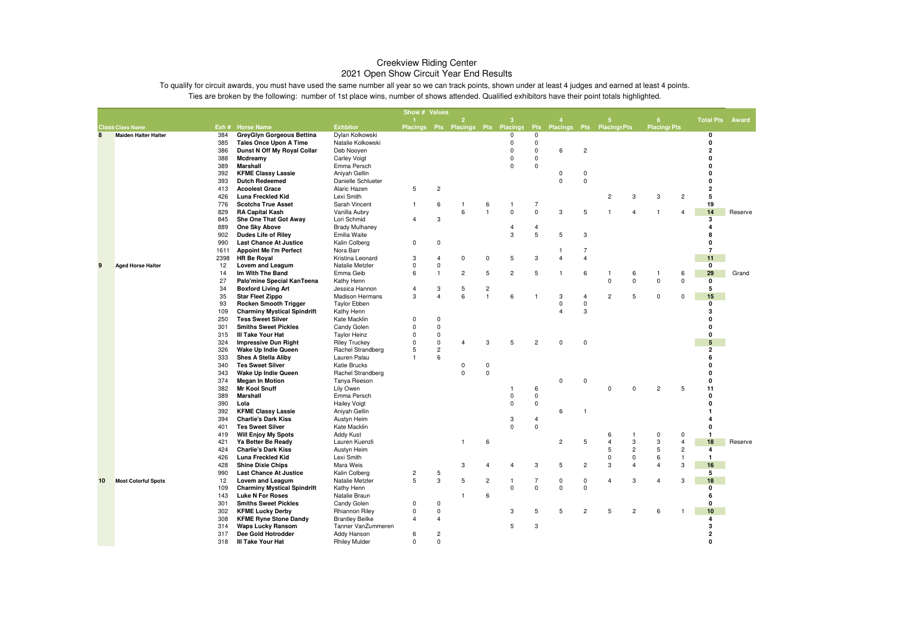|    |                             |            |                                                                    |                                      | Show # Values  |                         |                                    |                                |                           |                           |                           |                                  |                |                     |                     |                |                         |         |
|----|-----------------------------|------------|--------------------------------------------------------------------|--------------------------------------|----------------|-------------------------|------------------------------------|--------------------------------|---------------------------|---------------------------|---------------------------|----------------------------------|----------------|---------------------|---------------------|----------------|-------------------------|---------|
|    |                             |            |                                                                    |                                      |                |                         | $\overline{2}$                     |                                | з                         |                           |                           |                                  | 5.             |                     | 6                   |                | <b>Total Pts</b>        | Award   |
|    | <b>Class Class Name</b>     |            | Exh # Horse Name                                                   | <b>Exhbitor</b>                      |                |                         | Placings Pts Placings Pts Placings |                                |                           | <b>Pts</b><br>$\mathbf 0$ | Placings Pts Placings Pts |                                  |                |                     | <b>Placings Pts</b> |                |                         |         |
| 8  | <b>Maiden Halter Halter</b> | 384<br>385 | GreyGlyn Gorgeous Bettina<br><b>Tales Once Upon A Time</b>         | Dylan Kolkowski<br>Natalie Kolkowski |                |                         |                                    |                                | $^{\circ}$<br>$\mathbf 0$ | $\pmb{0}$                 |                           |                                  |                |                     |                     |                | 0<br>$\mathbf{0}$       |         |
|    |                             | 386        | Dunst N Off My Royal Collar                                        | Deb Nooyen                           |                |                         |                                    |                                | $\mathbf 0$               | $\mathbf 0$               | 6                         | $\overline{c}$                   |                |                     |                     |                | $\overline{2}$          |         |
|    |                             | 388        | Mcdreamy                                                           | <b>Carley Voigt</b>                  |                |                         |                                    |                                | $\mathbf 0$               | $\mathbf 0$               |                           |                                  |                |                     |                     |                | $\Omega$                |         |
|    |                             | 389        | Marshall                                                           | Emma Persch                          |                |                         |                                    |                                | $\Omega$                  | $\mathbf 0$               |                           |                                  |                |                     |                     |                | $\Omega$                |         |
|    |                             | 392        | <b>KFME Classy Lassie</b>                                          | Aniyah Gellin                        |                |                         |                                    |                                |                           |                           | 0                         | $\mathbf 0$                      |                |                     |                     |                | $\mathbf{0}$            |         |
|    |                             | 393        | <b>Dutch Redeemed</b>                                              | Danielle Schlueter                   |                |                         |                                    |                                |                           |                           | $\mathbf 0$               | $\mathbf 0$                      |                |                     |                     |                | $\mathbf{0}$            |         |
|    |                             | 413        | <b>Acoolest Grace</b>                                              | Alaric Hazen                         | 5              | $\overline{c}$          |                                    |                                |                           |                           |                           |                                  |                |                     |                     |                | $\overline{2}$          |         |
|    |                             | 426        | Luna Freckled Kid                                                  | Lexi Smith                           |                |                         |                                    |                                |                           |                           |                           |                                  | 2              | 3                   | 3                   | $\overline{c}$ | 5                       |         |
|    |                             | 776        | <b>Scotchs True Asset</b>                                          | Sarah Vincent                        | $\mathbf{1}$   | 6                       | $\mathbf{1}$                       | 6                              | $\mathbf{1}$              | $\overline{7}$            |                           |                                  |                |                     |                     |                | 19                      |         |
|    |                             | 829        | <b>RA Capital Kash</b>                                             | Vanilla Aubry                        |                |                         | 6                                  | $\overline{1}$                 | $\mathbf 0$               | $\mathbf 0$               | 3                         | 5                                |                | $\overline{4}$      |                     | 4              | 14                      | Reserve |
|    |                             | 845        | She One That Got Away                                              | Lori Schmid                          | 4              | 3                       |                                    |                                |                           |                           |                           |                                  |                |                     |                     |                | 3                       |         |
|    |                             | 889        | One Sky Above                                                      | <b>Brady Mulhaney</b>                |                |                         |                                    |                                | $\overline{4}$            | $\overline{4}$            |                           |                                  |                |                     |                     |                | $\overline{\mathbf{A}}$ |         |
|    |                             | 902        | <b>Dudes Life of Riley</b>                                         | Emilia Waite                         |                |                         |                                    |                                | 3                         | 5                         | $\,$ 5 $\,$               | 3                                |                |                     |                     |                | 8                       |         |
|    |                             | 990        | <b>Last Chance At Justice</b>                                      | Kalin Colberg                        | $\Omega$       | 0                       |                                    |                                |                           |                           |                           |                                  |                |                     |                     |                | 0                       |         |
|    |                             | 1611       | <b>Appoint Me I'm Perfect</b>                                      | Nora Barr                            |                |                         |                                    |                                |                           |                           | -1                        | $\overline{7}$                   |                |                     |                     |                | $\overline{7}$          |         |
|    |                             | 2398       | <b>HR Be Royal</b>                                                 | Kristina Leonard                     | 3              | 4                       | $\mathbf 0$                        | $\mathbf 0$                    | 5                         | 3                         | $\overline{4}$            | $\overline{4}$                   |                |                     |                     |                | 11                      |         |
| 9  | <b>Aged Horse Halter</b>    | 12         | Lovem and Leagum                                                   | Natalie Metzler                      | $\mathbf 0$    | $\pmb{0}$               |                                    |                                |                           |                           |                           |                                  |                |                     |                     |                | 0                       |         |
|    |                             | 14         | Im With The Band                                                   | Emma Geib                            | 6              | $\mathbf{1}$            | $\overline{c}$                     | 5                              | $\overline{c}$            | 5                         | $\overline{1}$            | 6                                |                | 6                   | $\mathbf{1}$        | 6              | 29                      | Grand   |
|    |                             | 27         | Palo'mine Special KanTeena                                         | Kathy Henn                           |                |                         |                                    |                                |                           |                           |                           |                                  | $\Omega$       | $\mathbf 0$         | 0                   | $\mathbf 0$    | 0                       |         |
|    |                             | 34         | <b>Boxford Living Art</b>                                          | Jessica Hannon                       | $\overline{4}$ | 3<br>$\overline{4}$     | 5                                  | $\overline{c}$<br>$\mathbf{1}$ | 6                         |                           |                           |                                  |                |                     |                     |                | 5                       |         |
|    |                             | 35         | <b>Star Fleet Zippo</b>                                            | <b>Madison Hermans</b>               | 3              |                         | 6                                  |                                |                           | -1                        | 3<br>0                    | $\overline{4}$<br>$\overline{0}$ | $\overline{c}$ | 5                   | 0                   | 0              | 15<br>$\mathbf{0}$      |         |
|    |                             | 93<br>109  | <b>Rocken Smooth Trigger</b><br><b>Charminy Mystical Spindrift</b> | <b>Taylor Ebben</b><br>Kathy Henn    |                |                         |                                    |                                |                           |                           | $\overline{4}$            | 3                                |                |                     |                     |                | 3                       |         |
|    |                             | 250        | <b>Tess Sweet Silver</b>                                           | Kate Macklin                         | $\mathbf 0$    | 0                       |                                    |                                |                           |                           |                           |                                  |                |                     |                     |                | n                       |         |
|    |                             | 301        | <b>Smiths Sweet Pickles</b>                                        | Candy Golen                          | $\Omega$       | $\mathbf 0$             |                                    |                                |                           |                           |                           |                                  |                |                     |                     |                | O                       |         |
|    |                             | 315        | III Take Your Hat                                                  | <b>Taylor Heinz</b>                  | $\mathbf 0$    | 0                       |                                    |                                |                           |                           |                           |                                  |                |                     |                     |                | 0                       |         |
|    |                             | 324        | <b>Impressive Dun Right</b>                                        | <b>Riley Truckey</b>                 | $\mathbf 0$    | $\pmb{0}$               | 4                                  | 3                              | 5                         | $\overline{c}$            | $\mathbf 0$               | $\overline{0}$                   |                |                     |                     |                | 5                       |         |
|    |                             | 326        | Wake Up Indie Queen                                                | Rachel Strandberg                    | 5              | $\overline{c}$          |                                    |                                |                           |                           |                           |                                  |                |                     |                     |                | $\overline{2}$          |         |
|    |                             | 333        | <b>Shes A Stella Aliby</b>                                         | Lauren Palau                         | -1             | 6                       |                                    |                                |                           |                           |                           |                                  |                |                     |                     |                | 6                       |         |
|    |                             | 340        | <b>Tes Sweet Silver</b>                                            | Katie Brucks                         |                |                         | $\mathbf 0$                        | $\pmb{0}$                      |                           |                           |                           |                                  |                |                     |                     |                | n                       |         |
|    |                             | 343        | Wake Up Indie Queen                                                | Rachel Strandberg                    |                |                         | $\mathbf 0$                        | $\mathbf 0$                    |                           |                           |                           |                                  |                |                     |                     |                | $\mathbf{0}$            |         |
|    |                             | 374        | <b>Megan In Motion</b>                                             | Tanya Reeson                         |                |                         |                                    |                                |                           |                           | $\mathbf 0$               | $\Omega$                         |                |                     |                     |                | $\mathbf{0}$            |         |
|    |                             | 382        | <b>Mr Kool Snuff</b>                                               | Lily Owen                            |                |                         |                                    |                                |                           | 6                         |                           |                                  | O              | $\Omega$            | $\overline{c}$      | 5              | 11                      |         |
|    |                             | 389        | Marshall                                                           | Emma Persch                          |                |                         |                                    |                                | $\mathbf 0$               | $\pmb{0}$                 |                           |                                  |                |                     |                     |                | 0                       |         |
|    |                             | 390        | Lola                                                               | <b>Hailey Voigt</b>                  |                |                         |                                    |                                | $\mathbf 0$               | $\mathbf 0$               |                           |                                  |                |                     |                     |                | $\Omega$                |         |
|    |                             | 392        | <b>KFME Classy Lassie</b>                                          | Aniyah Gellin                        |                |                         |                                    |                                |                           |                           | 6                         | $\mathbf{1}$                     |                |                     |                     |                |                         |         |
|    |                             | 394        | <b>Charlie's Dark Kiss</b>                                         | Austyn Heim                          |                |                         |                                    |                                | 3                         | $\overline{4}$            |                           |                                  |                |                     |                     |                |                         |         |
|    |                             | 401        | <b>Tes Sweet Silver</b>                                            | Kate Macklin                         |                |                         |                                    |                                | $\Omega$                  | $\mathbf 0$               |                           |                                  |                |                     |                     |                | $\Omega$                |         |
|    |                             | 419        | <b>Will Enjoy My Spots</b>                                         | Addy Kust                            |                |                         |                                    |                                |                           |                           |                           |                                  | 6              | -1                  | 0                   | $^{\circ}$     | $\mathbf{1}$            |         |
|    |                             | 421        | Ya Better Be Ready                                                 | Lauren Kuenzli                       |                |                         | -1                                 | 6                              |                           |                           | $\overline{c}$            | 5                                | $\overline{4}$ | 3                   | 3                   | $\overline{4}$ | 18                      | Reserve |
|    |                             | 424        | <b>Charlie's Dark Kiss</b>                                         | Austyn Heim                          |                |                         |                                    |                                |                           |                           |                           |                                  | 5              | $\overline{c}$      | 5                   | $\overline{c}$ | $\overline{4}$          |         |
|    |                             | 426        | Luna Freckled Kid                                                  | Lexi Smith                           |                |                         |                                    |                                | 4                         | 3                         |                           |                                  | 0<br>3         | 0<br>$\overline{4}$ | 6<br>4              | $\mathbf{1}$   | $\mathbf{1}$            |         |
|    |                             | 428<br>990 | <b>Shine Dixie Chips</b>                                           | Mara Weis                            |                |                         | 3                                  | $\overline{4}$                 |                           |                           | 5                         | $\overline{c}$                   |                |                     |                     | 3              | 16<br>5                 |         |
| 10 | <b>Most Colorful Spots</b>  | 12         | <b>Last Chance At Justice</b><br>Lovem and Leagum                  | Kalin Colberg<br>Natalie Metzler     | 2<br>5         | 5<br>$\mathsf 3$        | 5                                  | $\overline{c}$                 |                           | 7                         | $\mathsf 0$               | $\mathbf 0$                      | $\overline{4}$ | 3                   | $\overline{4}$      | 3              | 18                      |         |
|    |                             | 109        | <b>Charminy Mystical Spindrift</b>                                 | Kathy Henn                           |                |                         |                                    |                                | $\mathbf 0$               | $\mathbf 0$               | $\mathbf 0$               | $\mathbf 0$                      |                |                     |                     |                | 0                       |         |
|    |                             | 143        | <b>Luke N For Roses</b>                                            | Natalie Braun                        |                |                         |                                    | $\boldsymbol{6}$               |                           |                           |                           |                                  |                |                     |                     |                | 6                       |         |
|    |                             | 301        | <b>Smiths Sweet Pickles</b>                                        | Candy Golen                          | $\mathbf 0$    | $\mathbf 0$             |                                    |                                |                           |                           |                           |                                  |                |                     |                     |                | 0                       |         |
|    |                             | 302        | <b>KFME Lucky Derby</b>                                            | <b>Rhiannon Riley</b>                | 0              | 0                       |                                    |                                | 3                         | 5                         | 5                         | $\overline{c}$                   | 5              | $\overline{c}$      | 6                   |                | 10                      |         |
|    |                             | 308        | <b>KFME Ryne Stone Dandy</b>                                       | <b>Brantley Beilke</b>               | $\overline{4}$ | $\overline{4}$          |                                    |                                |                           |                           |                           |                                  |                |                     |                     |                | 4                       |         |
|    |                             | 314        | <b>Waps Lucky Ransom</b>                                           | Tanner VanZummeren                   |                |                         |                                    |                                | 5                         | 3                         |                           |                                  |                |                     |                     |                | 3                       |         |
|    |                             | 317        | Dee Gold Hotrodder                                                 | Addy Hanson                          | 6              | $\overline{\mathbf{c}}$ |                                    |                                |                           |                           |                           |                                  |                |                     |                     |                | $\overline{2}$          |         |
|    |                             | 318        | III Take Your Hat                                                  | <b>Rhiley Mulder</b>                 | $\Omega$       | $\Omega$                |                                    |                                |                           |                           |                           |                                  |                |                     |                     |                | $\Omega$                |         |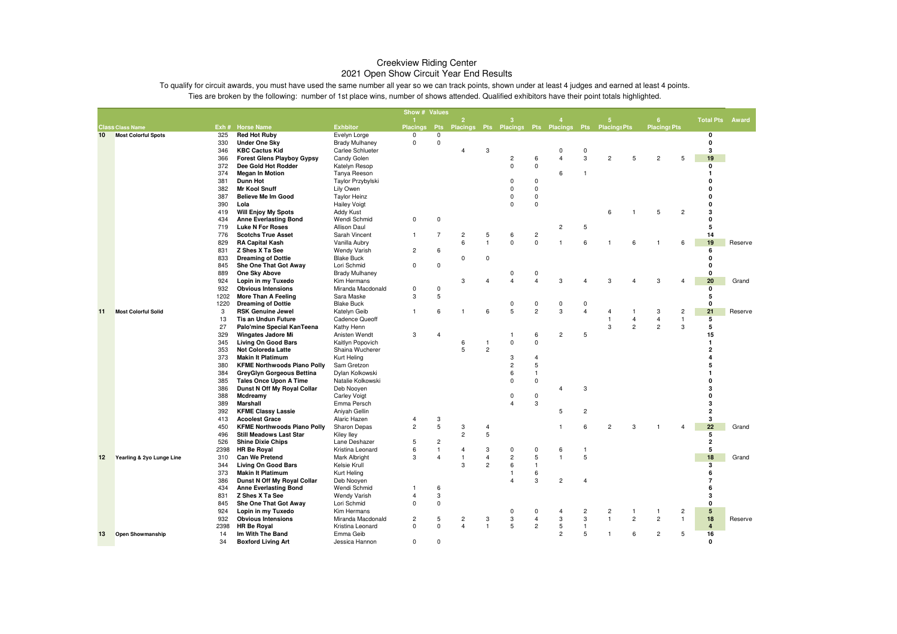|    |                            |            |                                                                        |                                   | Show # Values   |                  |                |                |                                                         |                     |                         |                |                |                |                         |                |                     |         |
|----|----------------------------|------------|------------------------------------------------------------------------|-----------------------------------|-----------------|------------------|----------------|----------------|---------------------------------------------------------|---------------------|-------------------------|----------------|----------------|----------------|-------------------------|----------------|---------------------|---------|
|    |                            |            |                                                                        |                                   |                 |                  | $\overline{2}$ |                | з                                                       |                     |                         |                | 5              |                | 6                       |                | <b>Total Pts</b>    | Award   |
|    | <b>Class Class Name</b>    |            | Exh # Horse Name                                                       | <b>Exhbitor</b>                   | <b>Placings</b> |                  |                |                | Pts Placings Pts Placings Pts Placings Pts Placings Pts |                     |                         |                |                |                | <b>Placings Pts</b>     |                |                     |         |
| 10 | <b>Most Colorful Spots</b> | 325        | <b>Red Hot Ruby</b>                                                    | Evelyn Lorge                      | $\mathbf 0$     | $\mathbf 0$      |                |                |                                                         |                     |                         |                |                |                |                         |                | 0                   |         |
|    |                            | 330        | <b>Under One Sky</b>                                                   | <b>Brady Mulhaney</b>             | 0               | $\mathbf 0$      |                |                |                                                         |                     |                         |                |                |                |                         |                | $\mathbf{0}$        |         |
|    |                            | 346        | <b>KBC Cactus Kid</b>                                                  | Carlee Schlueter                  |                 |                  | $\overline{4}$ | 3              |                                                         |                     | 0                       | 0              |                |                |                         |                | 3                   |         |
|    |                            | 366<br>372 | <b>Forest Glens Playboy Gypsy</b>                                      | Candy Golen                       |                 |                  |                |                | $\overline{2}$<br>0                                     | 6<br>$\mathbf 0$    | $\overline{4}$          | 3              | $\overline{c}$ | 5              | $\overline{c}$          | 5              | 19                  |         |
|    |                            | 374        | Dee Gold Hot Rodder<br><b>Megan In Motion</b>                          | Katelyn Resop                     |                 |                  |                |                |                                                         |                     | 6                       | $\mathbf{1}$   |                |                |                         |                | 0<br>1              |         |
|    |                            | 381        | Dunn Hot                                                               | Tanya Reeson<br>Taylor Przybylski |                 |                  |                |                | 0                                                       | $\mathbf 0$         |                         |                |                |                |                         |                | U                   |         |
|    |                            | 382        | <b>Mr Kool Snuff</b>                                                   | Lily Owen                         |                 |                  |                |                | $\Omega$                                                | 0                   |                         |                |                |                |                         |                | O                   |         |
|    |                            | 387        | <b>Believe Me Im Good</b>                                              | <b>Taylor Heinz</b>               |                 |                  |                |                | $\Omega$                                                | $\mathbf 0$         |                         |                |                |                |                         |                | 0                   |         |
|    |                            | 390        | Lola                                                                   | <b>Hailey Voigt</b>               |                 |                  |                |                | $\Omega$                                                | $\Omega$            |                         |                |                |                |                         |                | $\mathbf{0}$        |         |
|    |                            | 419        | <b>Will Enjoy My Spots</b>                                             | <b>Addy Kust</b>                  |                 |                  |                |                |                                                         |                     |                         |                | 6              |                | 5                       | $\overline{c}$ | 3                   |         |
|    |                            | 434        | <b>Anne Everlasting Bond</b>                                           | Wendi Schmid                      | $\mathbf 0$     | $\mathbf 0$      |                |                |                                                         |                     |                         |                |                |                |                         |                | $\mathbf 0$         |         |
|    |                            | 719        | <b>Luke N For Roses</b>                                                | Allison Daul                      |                 |                  |                |                |                                                         |                     | $\overline{c}$          | 5              |                |                |                         |                | 5                   |         |
|    |                            | 776        | <b>Scotchs True Asset</b>                                              | Sarah Vincent                     | 1               | $\overline{7}$   | $\overline{c}$ | 5              | 6                                                       | $\mathbf 2$         |                         |                |                |                |                         |                | 14                  |         |
|    |                            | 829        | <b>RA Capital Kash</b>                                                 | Vanilla Aubry                     |                 |                  | 6              | $\overline{1}$ | $\mathbf{0}$                                            | $\mathbf 0$         | 1                       | 6              | $\mathbf{1}$   | 6              | 1                       | 6              | 19                  | Reserve |
|    |                            | 831        | Z Shes X Ta See                                                        | <b>Wendy Varish</b>               | $\overline{c}$  | 6                |                |                |                                                         |                     |                         |                |                |                |                         |                | 6                   |         |
|    |                            | 833        | <b>Dreaming of Dottie</b>                                              | <b>Blake Buck</b>                 |                 |                  | $\Omega$       | $\mathbf 0$    |                                                         |                     |                         |                |                |                |                         |                | $\mathbf{0}$        |         |
|    |                            | 845        | She One That Got Away                                                  | Lori Schmid                       | 0               | $\mathbf 0$      |                |                |                                                         |                     |                         |                |                |                |                         |                | $\mathbf 0$         |         |
|    |                            | 889        | One Sky Above                                                          | <b>Brady Mulhaney</b>             |                 |                  |                |                | 0                                                       | 0                   |                         |                |                |                |                         |                | $\mathbf 0$         |         |
|    |                            | 924        | Lopin in my Tuxedo                                                     | Kim Hermans                       |                 |                  | 3              | 4              | $\overline{\mathbf{A}}$                                 | $\overline{A}$      | 3                       | 4              | 3              | $\overline{4}$ | 3                       |                | 20                  | Grand   |
|    |                            | 932        | <b>Obvious Intensions</b>                                              | Miranda Macdonald                 | 0               | $\mathbf 0$      |                |                |                                                         |                     |                         |                |                |                |                         |                | 0                   |         |
|    |                            | 1202       | More Than A Feeling                                                    | Sara Maske                        | 3               | 5                |                |                |                                                         |                     |                         |                |                |                |                         |                | 5                   |         |
|    |                            | 1220       | <b>Dreaming of Dottie</b>                                              | <b>Blake Buck</b>                 |                 |                  |                |                | 0                                                       | 0                   | $\mathbf 0$             | $\mathbf 0$    |                |                |                         |                | $\mathbf 0$         |         |
| 11 | <b>Most Colorful Solid</b> | 3          | <b>RSK Genuine Jewel</b>                                               | Katelyn Geib                      | 1               | 6                | $\overline{1}$ | 6              | 5                                                       | $\overline{c}$      | 3                       | $\overline{4}$ | $\overline{4}$ | -1             | 3                       | $\overline{c}$ | 21                  | Reserve |
|    |                            | 13         | <b>Tis an Undun Future</b>                                             | Cadence Queoff                    |                 |                  |                |                |                                                         |                     |                         |                | $\overline{1}$ | $\overline{4}$ | $\overline{4}$          | $\mathbf{1}$   | 5                   |         |
|    |                            | 27         | Palo'mine Special KanTeena                                             | Kathy Henn                        |                 |                  |                |                |                                                         |                     |                         |                | 3              | $\overline{c}$ | $\overline{2}$          | 3              | 5                   |         |
|    |                            | 329        | Wingates Jadore Mi                                                     | Anisten Wendt                     | 3               | 4                |                |                | 1                                                       | 6                   | $\overline{\mathbf{c}}$ | 5              |                |                |                         |                | 15                  |         |
|    |                            | 345        | <b>Living On Good Bars</b>                                             | Kaitlyn Popovich                  |                 |                  | 6              | $\overline{1}$ | 0                                                       | $\mathbf 0$         |                         |                |                |                |                         |                | $\mathbf{1}$        |         |
|    |                            | 353        | <b>Not Coloreda Latte</b>                                              | Shaina Wucherer                   |                 |                  | 5              | $\overline{c}$ |                                                         |                     |                         |                |                |                |                         |                | $\overline{2}$<br>4 |         |
|    |                            | 373        | <b>Makin It Platimum</b>                                               | Kurt Heling                       |                 |                  |                |                | 3<br>$\overline{2}$                                     | $\overline{4}$<br>5 |                         |                |                |                |                         |                | 5                   |         |
|    |                            | 380<br>384 | <b>KFME Northwoods Piano Polly</b><br><b>GreyGlyn Gorgeous Bettina</b> | Sam Gretzon<br>Dylan Kolkowski    |                 |                  |                |                | 6                                                       | $\mathbf{1}$        |                         |                |                |                |                         |                |                     |         |
|    |                            | 385        | <b>Tales Once Upon A Time</b>                                          | Natalie Kolkowski                 |                 |                  |                |                | $\Omega$                                                | 0                   |                         |                |                |                |                         |                | U                   |         |
|    |                            | 386        | Dunst N Off My Royal Collar                                            | Deb Nooyen                        |                 |                  |                |                |                                                         |                     | $\overline{4}$          | 3              |                |                |                         |                | 3                   |         |
|    |                            | 388        | Mcdreamy                                                               | <b>Carley Voigt</b>               |                 |                  |                |                | 0                                                       | 0                   |                         |                |                |                |                         |                | 0                   |         |
|    |                            | 389        | <b>Marshall</b>                                                        | Emma Persch                       |                 |                  |                |                | $\overline{A}$                                          | 3                   |                         |                |                |                |                         |                | 3                   |         |
|    |                            | 392        | <b>KFME Classy Lassie</b>                                              | Aniyah Gellin                     |                 |                  |                |                |                                                         |                     | 5                       | $\overline{c}$ |                |                |                         |                | $\overline{2}$      |         |
|    |                            | 413        | <b>Acoolest Grace</b>                                                  | Alaric Hazen                      | $\overline{4}$  | 3                |                |                |                                                         |                     |                         |                |                |                |                         |                | 3                   |         |
|    |                            | 450        | <b>KFME Northwoods Piano Polly</b>                                     | Sharon Depas                      | $\overline{c}$  | $5\phantom{.0}$  | 3              | $\overline{4}$ |                                                         |                     | $\overline{1}$          | 6              | $\overline{2}$ | 3              |                         |                | 22                  | Grand   |
|    |                            | 496        | <b>Still Meadows Last Star</b>                                         | Kiley lley                        |                 |                  | $\overline{c}$ | 5              |                                                         |                     |                         |                |                |                |                         |                | 5                   |         |
|    |                            | 526        | <b>Shine Dixie Chips</b>                                               | Lane Deshazer                     | 5               | $\overline{c}$   |                |                |                                                         |                     |                         |                |                |                |                         |                | $\overline{2}$      |         |
|    |                            | 2398       | <b>HR Be Royal</b>                                                     | Kristina Leonard                  | 6               | $\overline{1}$   | 4              | 3              | 0                                                       | $\pmb{0}$           | 6                       | $\mathbf{1}$   |                |                |                         |                | 5                   |         |
| 12 | Yearling & 2yo Lunge Line  | 310        | <b>Can We Pretend</b>                                                  | <b>Mark Albright</b>              | 3               | $\overline{4}$   | 1              | $\overline{4}$ | $\overline{\mathbf{c}}$                                 | 5                   | $\mathbf{1}$            | 5              |                |                |                         |                | 18                  | Grand   |
|    |                            | 344        | <b>Living On Good Bars</b>                                             | Kelsie Krull                      |                 |                  | 3              | $\overline{2}$ | 6                                                       | $\mathbf{1}$        |                         |                |                |                |                         |                | 3                   |         |
|    |                            | 373        | <b>Makin It Platimum</b>                                               | Kurt Heling                       |                 |                  |                |                | 1                                                       | 6                   |                         |                |                |                |                         |                | 6                   |         |
|    |                            | 386        | Dunst N Off My Royal Collar                                            | Deb Nooyen                        |                 |                  |                |                | 4                                                       | 3                   | $\overline{c}$          | $\overline{4}$ |                |                |                         |                | $\overline{7}$      |         |
|    |                            | 434        | <b>Anne Everlasting Bond</b>                                           | Wendi Schmid                      | 1               | $\boldsymbol{6}$ |                |                |                                                         |                     |                         |                |                |                |                         |                | 6                   |         |
|    |                            | 831        | Z Shes X Ta See                                                        | <b>Wendy Varish</b>               | $\overline{4}$  | 3                |                |                |                                                         |                     |                         |                |                |                |                         |                | 3                   |         |
|    |                            | 845        | She One That Got Away                                                  | Lori Schmid                       | $\Omega$        | $\mathbf 0$      |                |                |                                                         |                     |                         |                |                |                |                         |                | $\mathbf{0}$        |         |
|    |                            | 924        | Lopin in my Tuxedo                                                     | Kim Hermans                       |                 |                  |                |                | 0                                                       | 0                   | 4                       | $\overline{c}$ | $\overline{c}$ | $\overline{1}$ | $\mathbf{1}$            | $\overline{c}$ | 5                   |         |
|    |                            | 932        | <b>Obvious Intensions</b>                                              | Miranda Macdonald                 | $\overline{2}$  | 5                | $\overline{c}$ | 3              | 3                                                       | $\overline{4}$      | 3                       | 3              | $\mathbf{1}$   | $\overline{c}$ | $\overline{c}$          | $\mathbf{1}$   | 18                  | Reserve |
|    |                            | 2398       | <b>HR Be Royal</b>                                                     | Kristina Leonard                  | 0               | $\mathbf 0$      | 4              | $\overline{1}$ | 5                                                       | $\overline{2}$      | 5                       | $\overline{1}$ |                |                |                         |                | $\overline{4}$      |         |
| 13 | <b>Open Showmanship</b>    | 14         | Im With The Band                                                       | Emma Geib                         |                 |                  |                |                |                                                         |                     | $\overline{c}$          | 5              | $\mathbf{1}$   | 6              | $\overline{\mathbf{c}}$ | 5              | 16                  |         |
|    |                            | 34         | <b>Boxford Living Art</b>                                              | Jessica Hannon                    | $\Omega$        | $\Omega$         |                |                |                                                         |                     |                         |                |                |                |                         |                | $\mathbf{0}$        |         |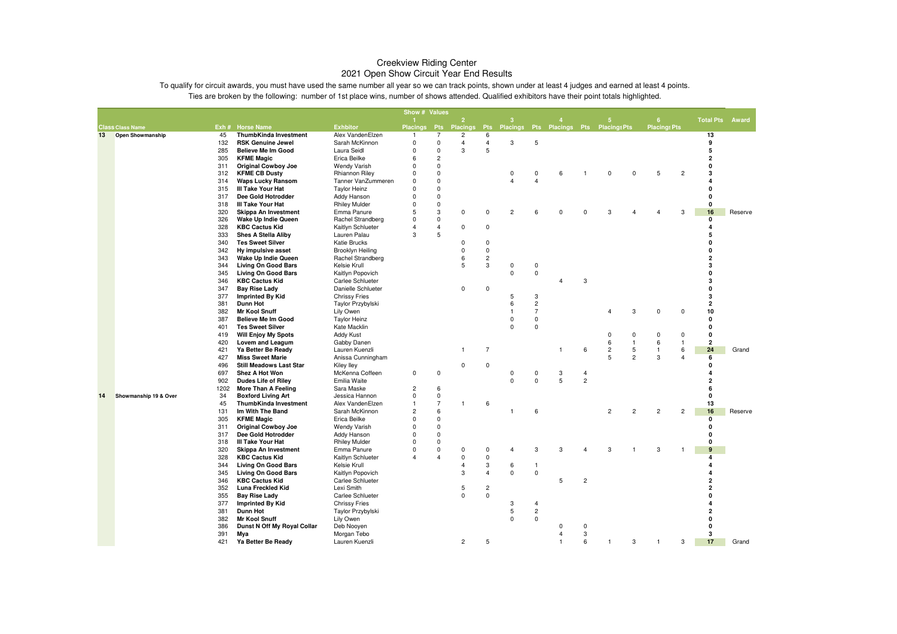|    |                         |            |                                                     |                                            | Show # Values               |                             |                 |                |                                        |                         |          |                |                         |                |                     |                |                        |         |
|----|-------------------------|------------|-----------------------------------------------------|--------------------------------------------|-----------------------------|-----------------------------|-----------------|----------------|----------------------------------------|-------------------------|----------|----------------|-------------------------|----------------|---------------------|----------------|------------------------|---------|
|    |                         |            |                                                     |                                            |                             |                             | $\overline{2}$  |                | ९                                      |                         |          |                | 5                       |                | 6                   |                | <b>Total Pts Award</b> |         |
|    | <b>Class Class Name</b> |            | Exh # Horse Name                                    | <b>Exhbitor</b>                            | <b>Placings</b>             | <b>Pts</b>                  | <b>Placings</b> | Pts            | Placings Pts Placings Pts Placings Pts |                         |          |                |                         |                | <b>Placings Pts</b> |                |                        |         |
| 13 | <b>Open Showmanship</b> | 45         | ThumbKinda Investment                               | Alex VandenElzen                           | $\mathbf{1}$                | 7                           | 2               | 6              |                                        |                         |          |                |                         |                |                     |                | 13                     |         |
|    |                         | 132        | <b>RSK Genuine Jewel</b>                            | Sarah McKinnon                             | $\mathsf 0$                 | $\pmb{0}$                   | $\overline{4}$  | $\overline{4}$ | 3                                      | 5                       |          |                |                         |                |                     |                | 9                      |         |
|    |                         | 285        | <b>Believe Me Im Good</b>                           | Laura Seidl                                | $\Omega$                    | $\mathbf 0$                 | 3               | 5              |                                        |                         |          |                |                         |                |                     |                | 5                      |         |
|    |                         | 305        | <b>KFME Magic</b>                                   | Erica Beilke                               | 6                           | $\overline{c}$              |                 |                |                                        |                         |          |                |                         |                |                     |                | $\overline{2}$         |         |
|    |                         | 311        | <b>Original Cowboy Joe</b>                          | <b>Wendy Varish</b>                        | $\mathbf 0$                 | $\mathbf 0$                 |                 |                |                                        |                         |          |                |                         |                |                     |                | $\Omega$               |         |
|    |                         | 312        | <b>KFME CB Dusty</b>                                | <b>Rhiannon Riley</b>                      | $\mathbf 0$                 | $\mathbf 0$                 |                 |                | 0                                      | $\mathbf 0$             | 6        | 1              | $\mathbf 0$             | $\mathbf 0$    | 5                   | $\overline{2}$ | 3                      |         |
|    |                         | 314        | Waps Lucky Ransom                                   | Tanner VanZummeren                         | $\mathbf 0$                 | $\mathbf 0$                 |                 |                | $\overline{4}$                         | $\overline{4}$          |          |                |                         |                |                     |                |                        |         |
|    |                         | 315        | III Take Your Hat                                   | <b>Taylor Heinz</b>                        | $\Omega$                    | $\mathbf 0$                 |                 |                |                                        |                         |          |                |                         |                |                     |                | U                      |         |
|    |                         | 317        | Dee Gold Hotrodder                                  | <b>Addy Hanson</b>                         | $\mathbf 0$                 | $\mathbf 0$                 |                 |                |                                        |                         |          |                |                         |                |                     |                | $\mathbf{0}$           |         |
|    |                         | 318        | <b>III Take Your Hat</b>                            | <b>Rhiley Mulder</b>                       | $\mathbf 0$                 | $\mathbf 0$                 |                 |                |                                        |                         |          |                |                         |                |                     |                | 0                      |         |
|    |                         | 320        | Skippa An Investment                                | Emma Panure                                | 5                           | 3                           | 0               | $\pmb{0}$      | $\overline{2}$                         | 6                       | $\Omega$ | $\Omega$       | 3                       |                | 4                   | 3              | 16                     | Reserve |
|    |                         | 326        | Wake Up Indie Queen                                 | Rachel Strandberg                          | $\Omega$                    | $\mathbf 0$                 |                 |                |                                        |                         |          |                |                         |                |                     |                | 0                      |         |
|    |                         | 328        | <b>KBC Cactus Kid</b>                               | Kaitlyn Schlueter                          | $\overline{4}$              | $\overline{4}$              | $\mathbf 0$     | $\pmb{0}$      |                                        |                         |          |                |                         |                |                     |                | $\overline{a}$         |         |
|    |                         | 333        | <b>Shes A Stella Aliby</b>                          | Lauren Palau                               | 3                           | 5                           |                 |                |                                        |                         |          |                |                         |                |                     |                | 5                      |         |
|    |                         | 340        | <b>Tes Sweet Silver</b>                             | <b>Katie Brucks</b>                        |                             |                             | $\Omega$        | $\mathsf 0$    |                                        |                         |          |                |                         |                |                     |                | $\Omega$               |         |
|    |                         | 342        | Hy impulsive asset                                  | Brooklyn Heiling                           |                             |                             | $\Omega$        | $\mathbf 0$    |                                        |                         |          |                |                         |                |                     |                | O                      |         |
|    |                         | 343        | Wake Up Indie Queen                                 | Rachel Strandberg                          |                             |                             | 6               | $\sqrt{2}$     |                                        |                         |          |                |                         |                |                     |                | $\overline{2}$         |         |
|    |                         | 344        | <b>Living On Good Bars</b>                          | Kelsie Krull                               |                             |                             | 5               | 3              | $\mathbf 0$                            | $\mathbf 0$             |          |                |                         |                |                     |                | 3                      |         |
|    |                         | 345        | <b>Living On Good Bars</b>                          | Kaitlyn Popovich                           |                             |                             |                 |                | $\mathbf 0$                            | $\mathsf 0$             |          |                |                         |                |                     |                | $\mathbf{0}$           |         |
|    |                         | 346        | <b>KBC Cactus Kid</b>                               | <b>Carlee Schlueter</b>                    |                             |                             |                 |                |                                        |                         | 4        | 3              |                         |                |                     |                | 3                      |         |
|    |                         | 347        | <b>Bay Rise Lady</b>                                | Danielle Schlueter                         |                             |                             | $\Omega$        | $\mathbf 0$    |                                        |                         |          |                |                         |                |                     |                | $\mathbf{0}$           |         |
|    |                         | 377        | <b>Imprinted By Kid</b>                             | <b>Chrissy Fries</b>                       |                             |                             |                 |                | 5                                      | 3                       |          |                |                         |                |                     |                | 3                      |         |
|    |                         | 381        | <b>Dunn Hot</b>                                     | Taylor Przybylski                          |                             |                             |                 |                | 6                                      | $\overline{c}$          |          |                |                         |                |                     |                | $\overline{2}$         |         |
|    |                         | 382        | <b>Mr Kool Snuff</b>                                | Lily Owen                                  |                             |                             |                 |                | $\mathbf{1}$                           | $\overline{7}$          |          |                | 4                       | 3              | $\pmb{0}$           | $\pmb{0}$      | 10                     |         |
|    |                         | 387        | Believe Me Im Good                                  | <b>Taylor Heinz</b>                        |                             |                             |                 |                | $\Omega$                               | $\mathbf 0$             |          |                |                         |                |                     |                | $\mathbf{0}$           |         |
|    |                         | 401        | <b>Tes Sweet Silver</b>                             | Kate Macklin                               |                             |                             |                 |                | 0                                      | $\mathbf 0$             |          |                |                         |                |                     |                | $\mathbf{0}$           |         |
|    |                         | 419        | <b>Will Enjoy My Spots</b>                          | <b>Addy Kust</b>                           |                             |                             |                 |                |                                        |                         |          |                | 0                       | 0              | 0                   | 0              | $\mathbf{0}$           |         |
|    |                         | 420        | Lovem and Leagum                                    | Gabby Danen                                |                             |                             |                 |                |                                        |                         |          |                | 6                       | $\overline{1}$ | 6                   | $\overline{1}$ | $\overline{2}$         |         |
|    |                         | 421        | Ya Better Be Ready                                  | Lauren Kuenzli                             |                             |                             | 1               | $\overline{7}$ |                                        |                         | 1        | 6              | $\overline{\mathbf{c}}$ | 5              | 1                   | 6              | 24                     | Grand   |
|    |                         | 427        | <b>Miss Sweet Marie</b>                             | Anissa Cunningham                          |                             |                             |                 |                |                                        |                         |          |                | 5                       | $\overline{2}$ | 3                   | 4              | 6<br>$\Omega$          |         |
|    |                         | 496        | <b>Still Meadows Last Star</b>                      | Kiley lley                                 |                             |                             | 0               | $\mathbf 0$    |                                        |                         |          |                |                         |                |                     |                | 4                      |         |
|    |                         | 697        | <b>Shez A Hot Won</b>                               | McKenna Coffeen                            | $\mathbf 0$                 | $\mathbf 0$                 |                 |                | $\mathbf 0$                            | $\mathbf 0$<br>$\Omega$ | 3        | $\overline{4}$ |                         |                |                     |                | $\overline{2}$         |         |
|    |                         | 902        | <b>Dudes Life of Riley</b>                          | Emilia Waite                               |                             |                             |                 |                | $\Omega$                               |                         | 5        | $\overline{c}$ |                         |                |                     |                |                        |         |
|    |                         | 1202       | More Than A Feeling                                 | Sara Maske                                 | $\overline{c}$              | 6                           |                 |                |                                        |                         |          |                |                         |                |                     |                | 6<br>$\mathbf 0$       |         |
| 14 | Showmanship 19 & Over   | 34         | <b>Boxford Living Art</b>                           | Jessica Hannon                             | $\mathbf 0$<br>$\mathbf{1}$ | $\pmb{0}$<br>$\overline{7}$ | 1               |                |                                        |                         |          |                |                         |                |                     |                |                        |         |
|    |                         | 45         | ThumbKinda Investment                               | Alex VandenElzen                           | $\overline{c}$              | 6                           |                 | 6              | $\mathbf{1}$                           | 6                       |          |                | $\overline{c}$          | $\overline{c}$ | $\overline{c}$      | $\overline{2}$ | 13<br>16               |         |
|    |                         | 131        | Im With The Band                                    | Sarah McKinnon                             | $\Omega$                    | $\mathbf 0$                 |                 |                |                                        |                         |          |                |                         |                |                     |                |                        | Reserve |
|    |                         | 305<br>311 | <b>KFME Magic</b>                                   | Erica Beilke                               | $\Omega$                    | $\mathbf 0$                 |                 |                |                                        |                         |          |                |                         |                |                     |                | 0<br>0                 |         |
|    |                         | 317        | <b>Original Cowboy Joe</b><br>Dee Gold Hotrodder    | <b>Wendy Varish</b>                        | $\mathbf 0$                 | $\mathbf 0$                 |                 |                |                                        |                         |          |                |                         |                |                     |                | $\Omega$               |         |
|    |                         | 318        | III Take Your Hat                                   | <b>Addy Hanson</b><br><b>Rhiley Mulder</b> | $\Omega$                    | $\mathbf 0$                 |                 |                |                                        |                         |          |                |                         |                |                     |                | 0                      |         |
|    |                         | 320        | Skippa An Investment                                | Emma Panure                                | $\mathbf 0$                 | $\mathbf 0$                 | 0               | $\mathbf 0$    | $\overline{4}$                         | 3                       | 3        | $\overline{4}$ | 3                       | -1             | 3                   |                | 9                      |         |
|    |                         |            |                                                     |                                            | $\overline{4}$              | $\overline{4}$              | 0               |                |                                        |                         |          |                |                         |                |                     |                | 4                      |         |
|    |                         | 328<br>344 | <b>KBC Cactus Kid</b><br><b>Living On Good Bars</b> | Kaitlyn Schlueter<br>Kelsie Krull          |                             |                             | $\overline{4}$  | $\pmb{0}$<br>3 | 6                                      | $\overline{1}$          |          |                |                         |                |                     |                |                        |         |
|    |                         | 345        | <b>Living On Good Bars</b>                          |                                            |                             |                             | 3               | $\overline{4}$ | $\pmb{0}$                              | $\mathsf 0$             |          |                |                         |                |                     |                |                        |         |
|    |                         | 346        | <b>KBC Cactus Kid</b>                               | Kaitlyn Popovich<br>Carlee Schlueter       |                             |                             |                 |                |                                        |                         | 5        | $\overline{c}$ |                         |                |                     |                | $\overline{2}$         |         |
|    |                         | 352        | <b>Luna Freckled Kid</b>                            | Lexi Smith                                 |                             |                             | 5               | $\overline{c}$ |                                        |                         |          |                |                         |                |                     |                | $\overline{2}$         |         |
|    |                         | 355        | <b>Bay Rise Lady</b>                                | Carlee Schlueter                           |                             |                             | $\Omega$        | $\overline{0}$ |                                        |                         |          |                |                         |                |                     |                | O                      |         |
|    |                         | 377        | <b>Imprinted By Kid</b>                             | <b>Chrissy Fries</b>                       |                             |                             |                 |                | 3                                      | $\overline{4}$          |          |                |                         |                |                     |                | 4                      |         |
|    |                         | 381        | <b>Dunn Hot</b>                                     | Taylor Przybylski                          |                             |                             |                 |                | 5                                      | $\overline{c}$          |          |                |                         |                |                     |                | $\overline{2}$         |         |
|    |                         | 382        | <b>Mr Kool Snuff</b>                                | Lily Owen                                  |                             |                             |                 |                | $\mathbf 0$                            | $\mathbf{0}$            |          |                |                         |                |                     |                | 0                      |         |
|    |                         | 386        | Dunst N Off My Royal Collar                         | Deb Nooyen                                 |                             |                             |                 |                |                                        |                         | 0        | 0              |                         |                |                     |                | 0                      |         |
|    |                         | 391        | Mya                                                 | Morgan Tebo                                |                             |                             |                 |                |                                        |                         | 4        | 3              |                         |                |                     |                | 3                      |         |
|    |                         | 421        | Ya Better Be Ready                                  | Lauren Kuenzli                             |                             |                             | $\overline{c}$  | 5              |                                        |                         | 1        | 6              | $\mathbf{1}$            | 3              | $\mathbf{1}$        | 3              | 17                     | Grand   |
|    |                         |            |                                                     |                                            |                             |                             |                 |                |                                        |                         |          |                |                         |                |                     |                |                        |         |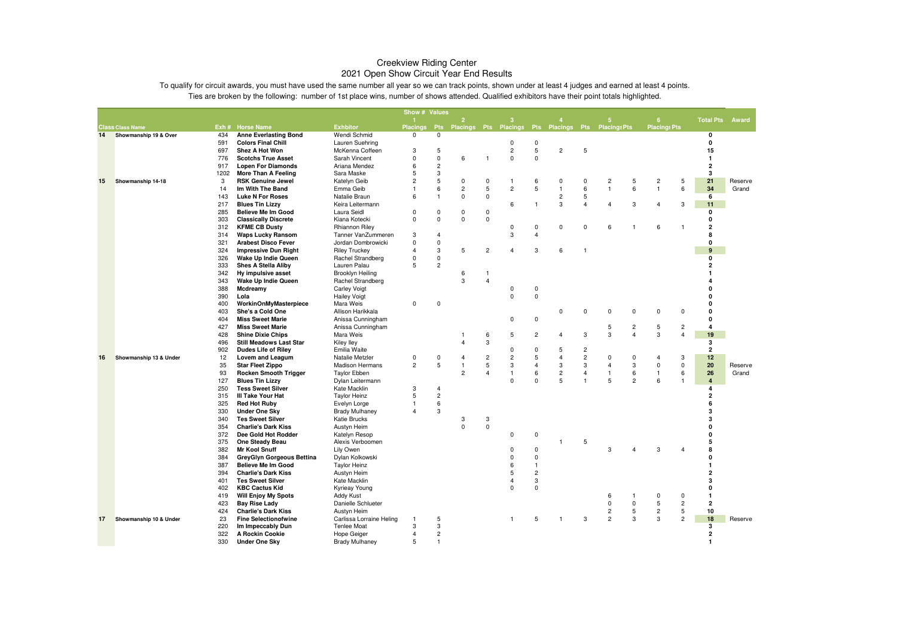|    |                         |            |                                                     |                              | Show # Values   |                            |                           |                |                         |                |                           |                |                                                      |                              |                         |         |
|----|-------------------------|------------|-----------------------------------------------------|------------------------------|-----------------|----------------------------|---------------------------|----------------|-------------------------|----------------|---------------------------|----------------|------------------------------------------------------|------------------------------|-------------------------|---------|
|    |                         |            |                                                     |                              |                 |                            | $\overline{2}$            |                | 3                       |                |                           |                | 5                                                    | 6                            | <b>Total Pts</b>        | Award   |
|    | <b>Class Class Name</b> |            | Exh # Horse Name                                    | <b>Exhbitor</b>              | <b>Placings</b> |                            | Pts Placings Pts Placings |                |                         |                |                           |                | Pts Placings Pts Placings Pts                        | <b>Placings Pts</b>          |                         |         |
| 14 | Showmanship 19 & Over   | 434        | <b>Anne Everlasting Bond</b>                        | Wendi Schmid                 | $\mathbf 0$     | $\mathbf 0$                |                           |                |                         |                |                           |                |                                                      |                              | 0                       |         |
|    |                         | 591        | <b>Colors Final Chill</b>                           | Lauren Suehring              |                 |                            |                           |                | 0                       | 0              |                           |                |                                                      |                              | 0                       |         |
|    |                         | 697        | Shez A Hot Won                                      | McKenna Coffeen              | 3               | 5                          |                           |                | $\overline{c}$          | 5              | $\overline{c}$            | 5              |                                                      |                              | 15                      |         |
|    |                         | 776        | <b>Scotchs True Asset</b>                           | Sarah Vincent                | $\mathsf 0$     | $\mathsf 0$                | 6                         | -1             | $\mathsf 0$             | $\mathbf 0$    |                           |                |                                                      |                              | $\mathbf{1}$            |         |
|    |                         | 917        | <b>Lopen For Diamonds</b>                           | Ariana Mendez                | 6               | $\overline{c}$             |                           |                |                         |                |                           |                |                                                      |                              | $\overline{2}$          |         |
|    |                         | 1202       | More Than A Feeling                                 | Sara Maske                   | 5               | 3<br>5                     |                           |                |                         |                |                           |                |                                                      |                              | 3                       |         |
| 15 | Showmanship 14-18       | 3          | <b>RSK Genuine Jewel</b>                            | Katelyn Geib                 | $\overline{c}$  |                            | $\mathbf 0$               | $\mathbf 0$    | 1                       | 6              | 0                         | $\pmb{0}$      | 2<br>5                                               | $\overline{c}$<br>5          | 21                      | Reserve |
|    |                         | 14         | Im With The Band                                    | Emma Geib                    | $\overline{1}$  | $\,6\,$                    | $\overline{c}$            | 5              | $\overline{2}$          | 5              | $\overline{1}$            | 6<br>5         | 6<br>$\mathbf{1}$                                    | $\mathbf{1}$<br>6            | 34                      | Grand   |
|    |                         | 143        | <b>Luke N For Roses</b>                             | Natalie Braun                | 6               | $\overline{1}$             | $\mathbf 0$               | $\mathbf 0$    | 6                       | $\mathbf{1}$   | $\overline{c}$<br>3       | $\overline{4}$ | 3                                                    | 4                            | 6                       |         |
|    |                         | 217        | <b>Blues Tin Lizzy</b><br><b>Believe Me Im Good</b> | Keira Leitermann             | $\Omega$        |                            | $\mathbf 0$               | $\mathbf 0$    |                         |                |                           |                | 4                                                    | 3                            | 11<br>0                 |         |
|    |                         | 285<br>303 | <b>Classically Discrete</b>                         | Laura Seidl<br>Kiana Kotecki | $\Omega$        | $\mathbf 0$<br>$\mathbf 0$ | 0                         | $\mathbf 0$    |                         |                |                           |                |                                                      |                              | 0                       |         |
|    |                         | 312        | <b>KFME CB Dusty</b>                                | <b>Rhiannon Riley</b>        |                 |                            |                           |                | $\mathbf 0$             | $\pmb{0}$      | $\mathsf 0$               | $\mathbf 0$    | 6<br>$\overline{1}$                                  | 6<br>1                       | 2                       |         |
|    |                         | 314        | <b>Waps Lucky Ransom</b>                            | Tanner VanZummeren           | 3               | $\overline{4}$             |                           |                | 3                       | $\overline{4}$ |                           |                |                                                      |                              | 8                       |         |
|    |                         | 321        | <b>Arabest Disco Fever</b>                          | Jordan Dombrowicki           | $\mathbf 0$     | $\mathbf 0$                |                           |                |                         |                |                           |                |                                                      |                              | 0                       |         |
|    |                         | 324        | <b>Impressive Dun Right</b>                         | <b>Riley Truckey</b>         | $\overline{4}$  | $\mathbf{3}$               | 5                         | $\overline{c}$ | 4                       | 3              | 6                         | $\overline{1}$ |                                                      |                              | 9                       |         |
|    |                         | 326        | Wake Up Indie Queen                                 | Rachel Strandberg            | $\mathbf 0$     | $\mathbf 0$                |                           |                |                         |                |                           |                |                                                      |                              | 0                       |         |
|    |                         | 333        | <b>Shes A Stella Aliby</b>                          | Lauren Palau                 | 5               | $\overline{c}$             |                           |                |                         |                |                           |                |                                                      |                              | $\overline{2}$          |         |
|    |                         | 342        | Hy impulsive asset                                  | Brooklyn Heiling             |                 |                            | 6                         |                |                         |                |                           |                |                                                      |                              |                         |         |
|    |                         | 343        | Wake Up Indie Queen                                 | Rachel Strandberg            |                 |                            | 3                         | $\overline{4}$ |                         |                |                           |                |                                                      |                              |                         |         |
|    |                         | 388        | Mcdreamy                                            | <b>Carley Voigt</b>          |                 |                            |                           |                | $\mathbf 0$             | $\mathbf 0$    |                           |                |                                                      |                              | n                       |         |
|    |                         | 390        | Lola                                                | <b>Hailey Voigt</b>          |                 |                            |                           |                | $\Omega$                | $\mathbf 0$    |                           |                |                                                      |                              | O                       |         |
|    |                         | 400        | WorkinOnMyMasterpiece                               | Mara Weis                    | $\mathsf 0$     | $\mathbf 0$                |                           |                |                         |                |                           |                |                                                      |                              | $\Omega$                |         |
|    |                         | 403        | She's a Cold One                                    | Allison Harikkala            |                 |                            |                           |                |                         |                | $\mathbf 0$               | $^{\circ}$     | 0<br>0                                               | 0<br>$^{\circ}$              | 0                       |         |
|    |                         | 404        | <b>Miss Sweet Marie</b>                             | Anissa Cunningham            |                 |                            |                           |                | $\mathbf 0$             | $\mathbf 0$    |                           |                |                                                      |                              | 0                       |         |
|    |                         | 427        | <b>Miss Sweet Marie</b>                             | Anissa Cunningham            |                 |                            |                           |                |                         |                |                           |                | 5<br>$\overline{\mathbf{c}}$                         | 5<br>$\overline{2}$          | $\overline{\mathbf{4}}$ |         |
|    |                         | 428        | <b>Shine Dixie Chips</b>                            | Mara Weis                    |                 |                            | $\mathbf{1}$              | 6              | 5                       | $\overline{c}$ | $\overline{4}$            | 3              | 3<br>$\overline{4}$                                  | 3<br>$\overline{4}$          | 19                      |         |
|    |                         | 496        | <b>Still Meadows Last Star</b>                      | Kiley Iley                   |                 |                            | $\overline{4}$            | 3              |                         |                |                           |                |                                                      |                              | 3                       |         |
|    |                         | 902        | <b>Dudes Life of Riley</b>                          | Emilia Waite                 |                 |                            |                           |                | $\Omega$                | $\mathbf 0$    | 5                         | $\overline{c}$ |                                                      |                              | $\overline{2}$          |         |
| 16 | Showmanship 13 & Under  | 12         | Lovem and Leagum                                    | Natalie Metzler              | 0               | $\mathbf 0$                | 4                         | $\overline{c}$ | $\overline{\mathbf{c}}$ | $\sqrt{5}$     | $\overline{\mathbf{4}}$   | $\sqrt{2}$     | 0<br>$\pmb{0}$                                       | 4<br>3                       | 12                      |         |
|    |                         | 35         | <b>Star Fleet Zippo</b>                             | <b>Madison Hermans</b>       | $\overline{c}$  | $\sqrt{5}$                 | $\overline{1}$            | $\overline{5}$ | 3                       | $\overline{4}$ | $\ensuremath{\mathsf{3}}$ | 3              | $\ensuremath{\mathsf{3}}$<br>$\overline{\mathbf{A}}$ | $\pmb{0}$<br>$\mathbf 0$     | 20                      | Reserve |
|    |                         | 93         | <b>Rocken Smooth Trigger</b>                        | <b>Taylor Ebben</b>          |                 |                            | $\overline{2}$            | $\overline{4}$ | $\mathbf{1}$            | 6              | $\overline{c}$            | $\overline{4}$ | 6<br>1                                               | 6<br>1                       | 26                      | Grand   |
|    |                         | 127        | <b>Blues Tin Lizzy</b>                              | Dylan Leitermann             |                 |                            |                           |                | $\Omega$                | $\Omega$       | 5                         | $\mathbf{1}$   | 5<br>$\overline{2}$                                  | 6<br>$\overline{1}$          | $\overline{4}$          |         |
|    |                         | 250        | <b>Tess Sweet Silver</b>                            | Kate Macklin                 | 3               | $\overline{4}$             |                           |                |                         |                |                           |                |                                                      |                              | 4                       |         |
|    |                         | 315        | III Take Your Hat                                   | <b>Taylor Heinz</b>          | 5               | $\overline{c}$             |                           |                |                         |                |                           |                |                                                      |                              | $\overline{2}$          |         |
|    |                         | 325        | <b>Red Hot Ruby</b>                                 | Evelyn Lorge                 |                 | 6                          |                           |                |                         |                |                           |                |                                                      |                              | 6                       |         |
|    |                         | 330        | <b>Under One Sky</b>                                | <b>Brady Mulhaney</b>        | $\overline{4}$  | 3                          |                           |                |                         |                |                           |                |                                                      |                              | з                       |         |
|    |                         | 340        | <b>Tes Sweet Silver</b>                             | Katie Brucks                 |                 |                            | 3                         | 3              |                         |                |                           |                |                                                      |                              | 3                       |         |
|    |                         | 354        | <b>Charlie's Dark Kiss</b>                          | Austyn Heim                  |                 |                            | 0                         | $\mathbf 0$    |                         |                |                           |                |                                                      |                              |                         |         |
|    |                         | 372        | Dee Gold Hot Rodder                                 | Katelyn Resop                |                 |                            |                           |                | $\mathbf 0$             | $\mathbf 0$    |                           |                |                                                      |                              | $\Omega$                |         |
|    |                         | 375        | One Steady Beau                                     | Alexis Verboomen             |                 |                            |                           |                |                         |                | $\mathbf{1}$              | 5              |                                                      |                              | 5                       |         |
|    |                         | 382        | <b>Mr Kool Snuff</b>                                | Lily Owen                    |                 |                            |                           |                | $\mathbf 0$             | $\mathbf 0$    |                           |                | 3<br>$\overline{4}$                                  | 3<br>4                       | R                       |         |
|    |                         | 384        | <b>GreyGlyn Gorgeous Bettina</b>                    | Dylan Kolkowski              |                 |                            |                           |                | $\Omega$                | $\mathbf 0$    |                           |                |                                                      |                              | $\Omega$                |         |
|    |                         | 387        | <b>Believe Me Im Good</b>                           | <b>Taylor Heinz</b>          |                 |                            |                           |                | 6                       | $\overline{1}$ |                           |                |                                                      |                              | 1                       |         |
|    |                         | 394        | <b>Charlie's Dark Kiss</b>                          | Austyn Heim                  |                 |                            |                           |                | 5                       | $\overline{c}$ |                           |                |                                                      |                              | $\overline{2}$          |         |
|    |                         | 401        | <b>Tes Sweet Silver</b>                             | Kate Macklin                 |                 |                            |                           |                | 4                       | 3              |                           |                |                                                      |                              | 3                       |         |
|    |                         | 402        | <b>KBC Cactus Kid</b>                               | Kyrieay Young                |                 |                            |                           |                | $\Omega$                | $\pmb{0}$      |                           |                |                                                      |                              | 0                       |         |
|    |                         | 419        | <b>Will Enjoy My Spots</b>                          | <b>Addy Kust</b>             |                 |                            |                           |                |                         |                |                           |                | 6<br>$\overline{1}$                                  | 0<br>$\mathbf 0$             | 1                       |         |
|    |                         | 423        | <b>Bay Rise Lady</b>                                | Danielle Schlueter           |                 |                            |                           |                |                         |                |                           |                | $\mathbf 0$<br>$\mathsf 0$                           | 5<br>$\overline{c}$          | $\overline{\mathbf{2}}$ |         |
|    |                         | 424        | <b>Charlie's Dark Kiss</b>                          | Austyn Heim                  |                 |                            |                           |                |                         |                |                           |                | $\overline{c}$<br>$\sqrt{5}$                         | $\overline{\mathbf{c}}$<br>5 | 10                      |         |
| 17 | Showmanship 10 & Under  | 23         | <b>Fine Selectionofwine</b>                         | Carlissa Lorraine Heling     |                 | 5                          |                           |                | $\overline{1}$          | 5              | $\mathbf{1}$              | 3              | $\overline{2}$<br>3                                  | 3<br>$\overline{2}$          | 18                      | Reserve |
|    |                         | 220        | Im Impeccably Dun                                   | <b>Tenlee Moat</b>           | 3               | 3                          |                           |                |                         |                |                           |                |                                                      |                              | 3                       |         |
|    |                         | 322        | A Rockin Cookie                                     | Hope Geiger                  | 4               | $\overline{c}$             |                           |                |                         |                |                           |                |                                                      |                              | $\overline{2}$          |         |
|    |                         | 330        | <b>Under One Sky</b>                                | <b>Brady Mulhaney</b>        | 5               | $\overline{1}$             |                           |                |                         |                |                           |                |                                                      |                              | $\mathbf{1}$            |         |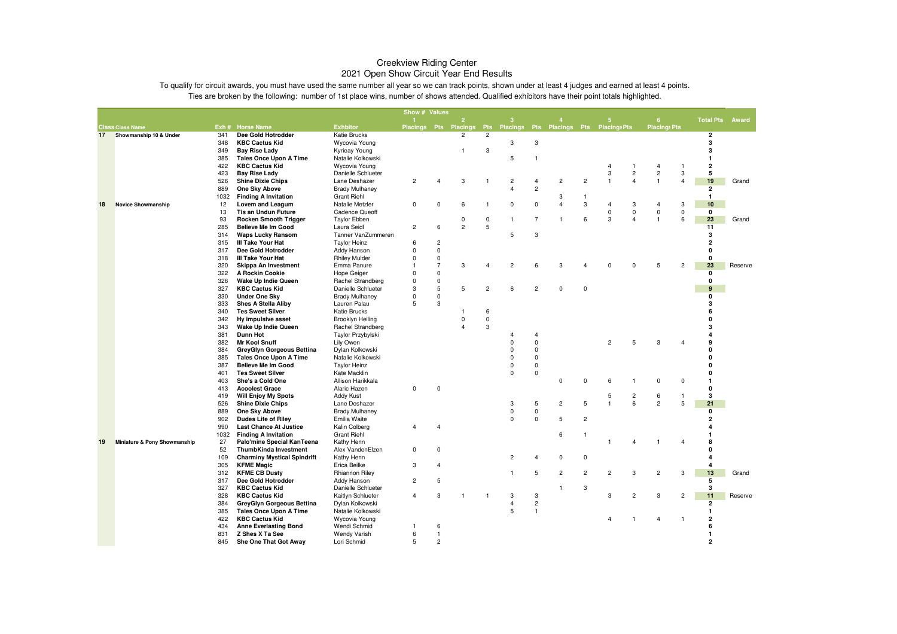|    |                              |            |                                                                   |                                          | Show # Values  |                |                         |                         |                                            |                                  |                         |                |                |                         |                             |                |                         |         |
|----|------------------------------|------------|-------------------------------------------------------------------|------------------------------------------|----------------|----------------|-------------------------|-------------------------|--------------------------------------------|----------------------------------|-------------------------|----------------|----------------|-------------------------|-----------------------------|----------------|-------------------------|---------|
|    |                              |            |                                                                   |                                          |                |                | $\overline{2}$          |                         | ९                                          |                                  |                         |                | 5              |                         | 6                           |                | <b>Total Pts Award</b>  |         |
|    | <b>Class Class Name</b>      |            | Exh # Horse Name                                                  | <b>Exhbitor</b>                          |                |                | Placings Pts Placings   |                         | Pts Placings Pts Placings Pts Placings Pts |                                  |                         |                |                |                         | <b>Placings Pts</b>         |                |                         |         |
| 17 | Showmanship 10 & Under       | 341        | Dee Gold Hotrodder                                                | Katie Brucks                             |                |                | 2                       | $\overline{c}$          |                                            |                                  |                         |                |                |                         |                             |                | $\overline{2}$          |         |
|    |                              | 348        | <b>KBC Cactus Kid</b>                                             | Wycovia Young                            |                |                |                         |                         | 3                                          | 3                                |                         |                |                |                         |                             |                | 3                       |         |
|    |                              | 349        | <b>Bay Rise Lady</b>                                              | Kyrieay Young                            |                |                | 1                       | 3                       |                                            |                                  |                         |                |                |                         |                             |                | 3                       |         |
|    |                              | 385        | <b>Tales Once Upon A Time</b>                                     | Natalie Kolkowski                        |                |                |                         |                         | 5                                          | 1                                |                         |                |                |                         |                             |                | $\mathbf{1}$            |         |
|    |                              | 422        | <b>KBC Cactus Kid</b>                                             | Wycovia Young                            |                |                |                         |                         |                                            |                                  |                         |                | $\overline{4}$ | -1                      | 4                           | $\mathbf{1}$   | $\overline{\mathbf{2}}$ |         |
|    |                              | 423        | <b>Bay Rise Lady</b>                                              | Danielle Schlueter                       |                |                |                         |                         |                                            |                                  |                         |                | 3              | $\overline{c}$          | $\overline{c}$              | 3              | 5                       |         |
|    |                              | 526        | <b>Shine Dixie Chips</b>                                          | Lane Deshazer                            | $\overline{c}$ | 4              | 3                       | 1                       | $\overline{c}$                             | $\overline{4}$                   | $\overline{\mathbf{c}}$ | $\overline{c}$ | $\mathbf{1}$   | $\overline{\mathbf{4}}$ | $\mathbf{1}$                | 4              | 19                      | Grand   |
|    |                              | 889        | One Sky Above                                                     | <b>Brady Mulhaney</b>                    |                |                |                         |                         | 4                                          | $\overline{c}$                   |                         |                |                |                         |                             |                | $\overline{2}$          |         |
|    |                              | 1032       | <b>Finding A Invitation</b>                                       | <b>Grant Riehl</b>                       |                |                |                         |                         |                                            |                                  | 3<br>$\overline{4}$     | $\mathbf{1}$   |                |                         |                             |                | $\mathbf{1}$            |         |
| 18 | <b>Novice Showmanship</b>    | 12<br>13   | Lovem and Leagum<br><b>Tis an Undun Future</b>                    | Natalie Metzler<br><b>Cadence Queoff</b> | 0              | 0              | 6                       | $\mathbf{1}$            | 0                                          | 0                                |                         | 3              | 4<br>$\pmb{0}$ | 3<br>$\pmb{0}$          | $\overline{4}$<br>$\pmb{0}$ | 3<br>$\pmb{0}$ | 10<br>0                 |         |
|    |                              | 93         | <b>Rocken Smooth Trigger</b>                                      | <b>Taylor Ebben</b>                      |                |                | 0                       | 0                       | $\mathbf{1}$                               | $\overline{7}$                   | $\overline{1}$          | 6              | 3              | $\overline{\mathbf{A}}$ | $\mathbf{1}$                | 6              | 23                      | Grand   |
|    |                              | 285        | Believe Me Im Good                                                | Laura Seidl                              | $\overline{c}$ | 6              | $\overline{c}$          | 5                       |                                            |                                  |                         |                |                |                         |                             |                | 11                      |         |
|    |                              | 314        | <b>Waps Lucky Ransom</b>                                          | Tanner VanZummeren                       |                |                |                         |                         | 5                                          | 3                                |                         |                |                |                         |                             |                | 3                       |         |
|    |                              | 315        | III Take Your Hat                                                 | <b>Taylor Heinz</b>                      | 6              | $\overline{c}$ |                         |                         |                                            |                                  |                         |                |                |                         |                             |                | $\overline{2}$          |         |
|    |                              | 317        | Dee Gold Hotrodder                                                | Addy Hanson                              | $\Omega$       | $\mathbf 0$    |                         |                         |                                            |                                  |                         |                |                |                         |                             |                | 0                       |         |
|    |                              | 318        | III Take Your Hat                                                 | <b>Rhiley Mulder</b>                     | 0              | 0              |                         |                         |                                            |                                  |                         |                |                |                         |                             |                | 0                       |         |
|    |                              | 320        | Skippa An Investment                                              | Emma Panure                              | 1              | $\overline{7}$ | 3                       | $\overline{4}$          | $\overline{c}$                             | 6                                | 3                       | Δ              | $\Omega$       | $\mathbf 0$             | 5                           | $\overline{c}$ | 23                      | Reserve |
|    |                              | 322        | A Rockin Cookie                                                   | <b>Hope Geiger</b>                       | $\Omega$       | $\mathsf 0$    |                         |                         |                                            |                                  |                         |                |                |                         |                             |                | $\mathbf 0$             |         |
|    |                              | 326        | Wake Up Indie Queen                                               | Rachel Strandberg                        | 0              | $\mathsf 0$    |                         |                         |                                            |                                  |                         |                |                |                         |                             |                | 0                       |         |
|    |                              | 327        | <b>KBC Cactus Kid</b>                                             | Danielle Schlueter                       | 3              | 5              | 5                       | $\overline{\mathbf{c}}$ | 6                                          | $\overline{\mathbf{c}}$          | $\mathbf 0$             | $\mathsf 0$    |                |                         |                             |                | 9                       |         |
|    |                              | 330        | <b>Under One Sky</b>                                              | <b>Brady Mulhaney</b>                    | 0              | $\mathbf 0$    |                         |                         |                                            |                                  |                         |                |                |                         |                             |                | 0                       |         |
|    |                              | 333        | <b>Shes A Stella Aliby</b>                                        | Lauren Palau                             | 5              | 3              |                         |                         |                                            |                                  |                         |                |                |                         |                             |                | 3                       |         |
|    |                              | 340        | <b>Tes Sweet Silver</b>                                           | <b>Katie Brucks</b>                      |                |                |                         | 6                       |                                            |                                  |                         |                |                |                         |                             |                | 6                       |         |
|    |                              | 342        | Hy impulsive asset                                                | Brooklyn Heiling                         |                |                | 0                       | $\mathsf 0$             |                                            |                                  |                         |                |                |                         |                             |                | O                       |         |
|    |                              | 343        | Wake Up Indie Queen                                               | Rachel Strandberg                        |                |                | $\overline{\mathbf{A}}$ | 3                       |                                            |                                  |                         |                |                |                         |                             |                | 3                       |         |
|    |                              | 381        | <b>Dunn Hot</b>                                                   | Taylor Przybylski                        |                |                |                         |                         | 4                                          | $\overline{4}$                   |                         |                |                |                         |                             |                | 4                       |         |
|    |                              | 382        | <b>Mr Kool Snuff</b>                                              | Lily Owen                                |                |                |                         |                         | $\mathbf 0$                                | $\mathbf 0$                      |                         |                | $\overline{2}$ | 5                       | 3                           |                | 9                       |         |
|    |                              | 384        | <b>GreyGlyn Gorgeous Bettina</b>                                  | Dylan Kolkowski                          |                |                |                         |                         | $\mathbf 0$                                | $\mathbf 0$                      |                         |                |                |                         |                             |                | 0                       |         |
|    |                              | 385        | <b>Tales Once Upon A Time</b>                                     | Natalie Kolkowski                        |                |                |                         |                         | $\Omega$                                   | $\Omega$                         |                         |                |                |                         |                             |                | 0                       |         |
|    |                              | 387        | <b>Believe Me Im Good</b>                                         | <b>Taylor Heinz</b>                      |                |                |                         |                         | 0                                          | 0                                |                         |                |                |                         |                             |                | $\Omega$                |         |
|    |                              | 401        | <b>Tes Sweet Silver</b>                                           | Kate Macklin                             |                |                |                         |                         | 0                                          | $\mathbf 0$                      |                         |                |                |                         |                             |                | 0                       |         |
|    |                              | 403        | She's a Cold One                                                  | Allison Harikkala                        |                |                |                         |                         |                                            |                                  | 0                       | 0              | 6              | -1                      | 0                           | 0              |                         |         |
|    |                              | 413        | <b>Acoolest Grace</b>                                             | Alaric Hazen                             | $\Omega$       | 0              |                         |                         |                                            |                                  |                         |                |                |                         |                             |                | 0                       |         |
|    |                              | 419        | <b>Will Enjoy My Spots</b>                                        | <b>Addy Kust</b>                         |                |                |                         |                         |                                            |                                  |                         |                | 5              | $\overline{c}$          | 6                           | $\mathbf{1}$   | 3                       |         |
|    |                              | 526        | <b>Shine Dixie Chips</b>                                          | Lane Deshazer                            |                |                |                         |                         | 3                                          | 5                                | $\overline{c}$          | 5              | $\mathbf{1}$   | 6                       | $\overline{c}$              | 5              | 21                      |         |
|    |                              | 889        | One Sky Above                                                     | <b>Brady Mulhaney</b>                    |                |                |                         |                         | $\mathbf 0$                                | 0                                |                         |                |                |                         |                             |                | 0                       |         |
|    |                              | 902        | <b>Dudes Life of Riley</b>                                        | Emilia Waite                             |                |                |                         |                         | $\mathbf 0$                                | $\mathbf 0$                      | 5                       | $\overline{c}$ |                |                         |                             |                | $\overline{2}$          |         |
|    |                              | 990        | <b>Last Chance At Justice</b>                                     | Kalin Colberg                            | 4              | $\overline{4}$ |                         |                         |                                            |                                  |                         |                |                |                         |                             |                |                         |         |
|    |                              | 1032       | <b>Finding A Invitation</b>                                       | <b>Grant Riehl</b>                       |                |                |                         |                         |                                            |                                  | 6                       | $\overline{1}$ |                |                         |                             |                |                         |         |
| 19 | Miniature & Pony Showmanship | 27         | Palo'mine Special KanTeena                                        | Kathy Henn                               |                |                |                         |                         |                                            |                                  |                         |                | 1              | $\overline{4}$          | $\overline{1}$              | $\overline{4}$ | 8                       |         |
|    |                              | 52         | ThumbKinda Investment                                             | Alex VandenElzen                         | 0              | $\mathbf 0$    |                         |                         |                                            |                                  |                         |                |                |                         |                             |                | 0                       |         |
|    |                              | 109        | <b>Charminy Mystical Spindrift</b>                                | Kathy Henn                               |                |                |                         |                         | $\overline{c}$                             | 4                                | 0                       | $\mathbf 0$    |                |                         |                             |                | 4                       |         |
|    |                              | 305        | <b>KFME Magic</b>                                                 | Erica Beilke                             | 3              | $\overline{4}$ |                         |                         |                                            |                                  |                         |                |                |                         |                             |                | 4                       |         |
|    |                              | 312        | <b>KFME CB Dusty</b>                                              | Rhiannon Riley                           |                |                |                         |                         | $\mathbf{1}$                               | 5                                | $\overline{c}$          | $\overline{c}$ | $\overline{c}$ | 3                       | $\overline{c}$              | 3              | 13                      | Grand   |
|    |                              | 317<br>327 | Dee Gold Hotrodder                                                | Addy Hanson                              | $\overline{c}$ | 5              |                         |                         |                                            |                                  | $\mathbf{1}$            | 3              |                |                         |                             |                | 5<br>3                  |         |
|    |                              | 328        | <b>KBC Cactus Kid</b>                                             | Danielle Schlueter                       | $\overline{4}$ | 3              |                         |                         |                                            |                                  |                         |                |                |                         |                             |                | 11                      | Reserve |
|    |                              |            | <b>KBC Cactus Kid</b>                                             | Kaitlyn Schlueter                        |                |                |                         |                         | 3<br>$\overline{4}$                        | $\ensuremath{\mathsf{3}}$        |                         |                | 3              | $\overline{c}$          | 3                           | $\overline{c}$ |                         |         |
|    |                              | 384        | <b>GreyGlyn Gorgeous Bettina</b><br><b>Tales Once Upon A Time</b> | Dylan Kolkowski                          |                |                |                         |                         | 5                                          | $\overline{c}$<br>$\overline{1}$ |                         |                |                |                         |                             |                | $\overline{2}$          |         |
|    |                              | 385<br>422 | <b>KBC Cactus Kid</b>                                             | Natalie Kolkowski<br>Wycovia Young       |                |                |                         |                         |                                            |                                  |                         |                | 4              |                         | 4                           | 1              | $\mathbf{1}$<br>2       |         |
|    |                              | 434        | <b>Anne Everlasting Bond</b>                                      | Wendi Schmid                             | 1              | 6              |                         |                         |                                            |                                  |                         |                |                |                         |                             |                | 6                       |         |
|    |                              | 831        | Z Shes X Ta See                                                   | <b>Wendy Varish</b>                      | 6              | $\mathbf{1}$   |                         |                         |                                            |                                  |                         |                |                |                         |                             |                | 1                       |         |
|    |                              | 845        | She One That Got Away                                             | Lori Schmid                              | 5              | $\overline{c}$ |                         |                         |                                            |                                  |                         |                |                |                         |                             |                | $\overline{2}$          |         |
|    |                              |            |                                                                   |                                          |                |                |                         |                         |                                            |                                  |                         |                |                |                         |                             |                |                         |         |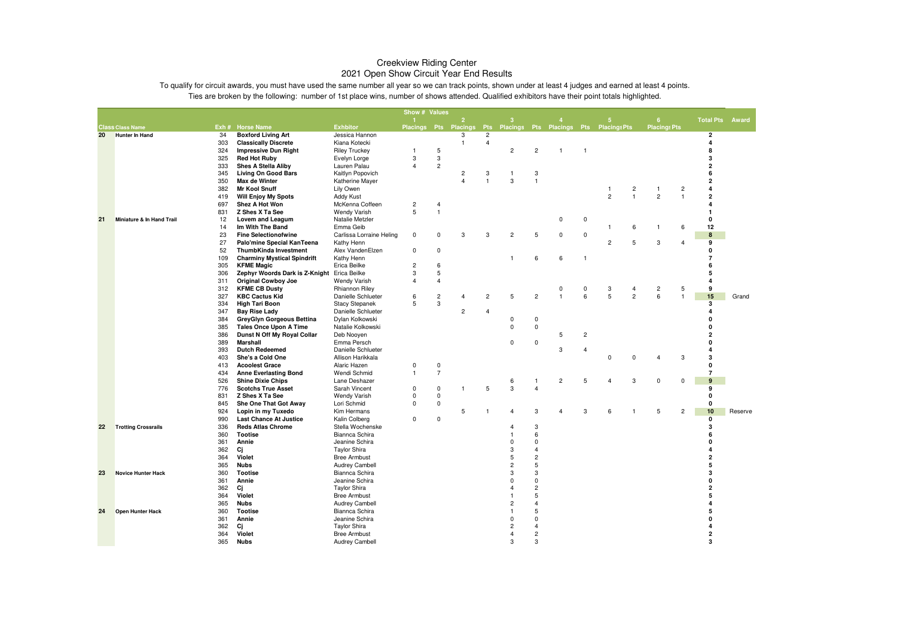|    |                            |            |                                                          |                                       | Show # Values           |                |                       |                                  |                     |                              |                   |                |                                        |                     |                         |                   |                                         |         |
|----|----------------------------|------------|----------------------------------------------------------|---------------------------------------|-------------------------|----------------|-----------------------|----------------------------------|---------------------|------------------------------|-------------------|----------------|----------------------------------------|---------------------|-------------------------|-------------------|-----------------------------------------|---------|
|    |                            |            |                                                          |                                       |                         |                | $\overline{2}$        |                                  | 3                   |                              |                   |                | 5                                      |                     | 6                       |                   | <b>Total Pts</b>                        | Award   |
|    | <b>Class Class Name</b>    |            | Exh # Horse Name                                         | <b>Exhbitor</b>                       |                         |                | Placings Pts Placings | <b>Pts</b>                       |                     |                              |                   |                | Placings Pts Placings Pts Placings Pts |                     | <b>Placings Pts</b>     |                   |                                         |         |
| 20 | <b>Hunter In Hand</b>      | 34<br>303  | <b>Boxford Living Art</b><br><b>Classically Discrete</b> | Jessica Hannon<br>Kiana Kotecki       |                         |                | 3<br>$\overline{1}$   | $\overline{c}$<br>$\overline{4}$ |                     |                              |                   |                |                                        |                     |                         |                   | $\mathbf{2}$<br>$\overline{\mathbf{4}}$ |         |
|    |                            | 324        | <b>Impressive Dun Right</b>                              | <b>Riley Truckey</b>                  | $\mathbf{1}$            | 5              |                       |                                  | $\overline{c}$      | $\overline{c}$               | $\mathbf{1}$      | $\overline{1}$ |                                        |                     |                         |                   | 8                                       |         |
|    |                            | 325        | <b>Red Hot Ruby</b>                                      | Evelyn Lorge                          | 3                       | 3              |                       |                                  |                     |                              |                   |                |                                        |                     |                         |                   | 3                                       |         |
|    |                            | 333        | <b>Shes A Stella Aliby</b>                               | Lauren Palau                          | $\overline{4}$          | $\overline{c}$ |                       |                                  |                     |                              |                   |                |                                        |                     |                         |                   | 2                                       |         |
|    |                            | 345        | <b>Living On Good Bars</b>                               | Kaitlyn Popovich                      |                         |                | $\overline{c}$        | 3                                | $\mathbf{1}$        | 3                            |                   |                |                                        |                     |                         |                   | 6                                       |         |
|    |                            | 350        | Max de Winter                                            | Katherine Mayer                       |                         |                | $\overline{4}$        | $\overline{1}$                   | 3                   | $\overline{1}$               |                   |                |                                        |                     |                         |                   | $\overline{\mathbf{2}}$                 |         |
|    |                            | 382        | <b>Mr Kool Snuff</b>                                     | Lily Owen                             |                         |                |                       |                                  |                     |                              |                   |                | $\mathbf{1}$                           | 2                   | $\mathbf{1}$            | $\overline{c}$    | $\overline{\mathbf{A}}$                 |         |
|    |                            | 419        | <b>Will Enjoy My Spots</b>                               | <b>Addy Kust</b>                      |                         |                |                       |                                  |                     |                              |                   |                | $\overline{c}$                         | $\mathbf{1}$        | $\overline{c}$          | $\mathbf{1}$      | $\mathbf 2$                             |         |
|    |                            | 697        | Shez A Hot Won                                           | McKenna Coffeen                       | $\overline{c}$          | 4              |                       |                                  |                     |                              |                   |                |                                        |                     |                         |                   | 4                                       |         |
|    |                            | 831        | Z Shes X Ta See                                          | Wendy Varish                          | 5                       | $\overline{1}$ |                       |                                  |                     |                              |                   |                |                                        |                     |                         |                   | 1                                       |         |
| 21 | Miniature & In Hand Trail  | 12         | Lovem and Leagum                                         | Natalie Metzler                       |                         |                |                       |                                  |                     |                              | $\mathsf 0$       | $\mathbf 0$    |                                        |                     |                         |                   | $\mathbf 0$                             |         |
|    |                            | 14         | Im With The Band                                         | Emma Geib                             |                         |                |                       |                                  |                     |                              |                   |                | $\overline{1}$                         | 6                   | $\mathbf{1}$            | 6                 | 12                                      |         |
|    |                            | 23         | <b>Fine Selectionofwine</b>                              | Carlissa Lorraine Heling              | 0                       | $\mathbf 0$    | 3                     | 3                                | $\overline{c}$      | 5                            | 0                 | 0              |                                        |                     |                         |                   | 8                                       |         |
|    |                            | 27         | Palo'mine Special KanTeena                               | Kathy Henn                            |                         |                |                       |                                  |                     |                              |                   |                | $\overline{2}$                         | 5                   | 3                       | $\overline{4}$    | 9                                       |         |
|    |                            | 52         | ThumbKinda Investment                                    | Alex VandenElzen                      | $\mathbf 0$             | $\mathbf 0$    |                       |                                  |                     |                              |                   |                |                                        |                     |                         |                   | $\Omega$                                |         |
|    |                            | 109        | <b>Charminy Mystical Spindrift</b>                       | Kathy Henn                            |                         |                |                       |                                  | $\mathbf{1}$        | 6                            | 6                 | $\overline{1}$ |                                        |                     |                         |                   | $\overline{7}$                          |         |
|    |                            | 305        | <b>KFME Magic</b>                                        | Erica Beilke                          | $\overline{\mathbf{c}}$ | 6              |                       |                                  |                     |                              |                   |                |                                        |                     |                         |                   | 6                                       |         |
|    |                            | 306        | Zephyr Woords Dark is Z-Knight Erica Beilke              |                                       | 3                       | 5              |                       |                                  |                     |                              |                   |                |                                        |                     |                         |                   | 5                                       |         |
|    |                            | 311        | <b>Original Cowboy Joe</b>                               | Wendy Varish                          | $\overline{\mathbf{4}}$ | 4              |                       |                                  |                     |                              |                   |                |                                        |                     |                         |                   | 4                                       |         |
|    |                            | 312        | <b>KFME CB Dusty</b>                                     | Rhiannon Riley                        |                         |                |                       |                                  |                     |                              | 0<br>$\mathbf{1}$ | 0              | 3                                      | 4<br>$\overline{c}$ | $\overline{\mathbf{c}}$ | 5<br>$\mathbf{1}$ | 9                                       |         |
|    |                            | 327        | <b>KBC Cactus Kid</b>                                    | Danielle Schlueter                    | 6                       | $\overline{c}$ | 4                     | $\overline{c}$                   | 5                   | $\overline{c}$               |                   | 6              | 5                                      |                     | 6                       |                   | 15                                      | Grand   |
|    |                            | 334        | <b>High Tari Boon</b>                                    | <b>Stacy Stepanek</b>                 | 5                       | 3              | $\overline{c}$        | $\overline{4}$                   |                     |                              |                   |                |                                        |                     |                         |                   | 3<br>$\overline{\mathbf{A}}$            |         |
|    |                            | 347<br>384 | Bay Rise Lady<br>GreyGlyn Gorgeous Bettina               | Danielle Schlueter<br>Dylan Kolkowski |                         |                |                       |                                  | $\pmb{0}$           | $\mathbf 0$                  |                   |                |                                        |                     |                         |                   | $\Omega$                                |         |
|    |                            | 385        | <b>Tales Once Upon A Time</b>                            | Natalie Kolkowski                     |                         |                |                       |                                  | $\mathbf 0$         | $\mathbf 0$                  |                   |                |                                        |                     |                         |                   | $\Omega$                                |         |
|    |                            | 386        | Dunst N Off My Royal Collar                              | Deb Nooyen                            |                         |                |                       |                                  |                     |                              | 5                 | $\overline{c}$ |                                        |                     |                         |                   | $\overline{2}$                          |         |
|    |                            | 389        | <b>Marshall</b>                                          | Emma Persch                           |                         |                |                       |                                  | 0                   | 0                            |                   |                |                                        |                     |                         |                   | $\Omega$                                |         |
|    |                            | 393        | <b>Dutch Redeemed</b>                                    | Danielle Schlueter                    |                         |                |                       |                                  |                     |                              | 3                 | $\overline{4}$ |                                        |                     |                         |                   | $\overline{\mathbf{A}}$                 |         |
|    |                            | 403        | She's a Cold One                                         | Allison Harikkala                     |                         |                |                       |                                  |                     |                              |                   |                | 0                                      | 0                   | $\overline{4}$          | 3                 | 3                                       |         |
|    |                            | 413        | <b>Acoolest Grace</b>                                    | Alaric Hazen                          | $\mathsf 0$             | $\pmb{0}$      |                       |                                  |                     |                              |                   |                |                                        |                     |                         |                   | 0                                       |         |
|    |                            | 434        | <b>Anne Everlasting Bond</b>                             | Wendi Schmid                          | $\mathbf{1}$            | $\overline{7}$ |                       |                                  |                     |                              |                   |                |                                        |                     |                         |                   | $\overline{7}$                          |         |
|    |                            | 526        | <b>Shine Dixie Chips</b>                                 | Lane Deshazer                         |                         |                |                       |                                  | 6                   | $\overline{1}$               | $\mathbf 2$       | 5              | $\overline{4}$                         | 3                   | 0                       | $\mathbf 0$       | 9                                       |         |
|    |                            | 776        | <b>Scotchs True Asset</b>                                | Sarah Vincent                         | $\mathbf 0$             | $\mathbf 0$    | $\overline{1}$        | 5                                | 3                   | $\overline{4}$               |                   |                |                                        |                     |                         |                   | 9                                       |         |
|    |                            | 831        | Z Shes X Ta See                                          | Wendy Varish                          | 0                       | 0              |                       |                                  |                     |                              |                   |                |                                        |                     |                         |                   | 0                                       |         |
|    |                            | 845        | She One That Got Away                                    | Lori Schmid                           | $\mathbf 0$             | $\mathsf 0$    |                       |                                  |                     |                              |                   |                |                                        |                     |                         |                   | 0                                       |         |
|    |                            | 924        | Lopin in my Tuxedo                                       | Kim Hermans                           |                         |                | 5                     | $\overline{1}$                   | 4                   | 3                            | $\overline{4}$    | 3              | 6                                      | 1                   | 5                       | $\overline{c}$    | 10                                      | Reserve |
|    |                            | 990        | <b>Last Chance At Justice</b>                            | Kalin Colberg                         | 0                       | 0              |                       |                                  |                     |                              |                   |                |                                        |                     |                         |                   | 0                                       |         |
| 22 | <b>Trotting Crossrails</b> | 336        | <b>Reds Atlas Chrome</b>                                 | Stella Wochenske                      |                         |                |                       |                                  | $\overline{4}$      | 3                            |                   |                |                                        |                     |                         |                   | 3                                       |         |
|    |                            | 360        | <b>Tootise</b>                                           | Biannca Schira                        |                         |                |                       |                                  | 1                   | 6                            |                   |                |                                        |                     |                         |                   | 6<br>$\Omega$                           |         |
|    |                            | 361        | Annie                                                    | Jeanine Schira                        |                         |                |                       |                                  | $\mathbf 0$         | $\mathbf 0$                  |                   |                |                                        |                     |                         |                   |                                         |         |
|    |                            | 362        | Cj                                                       | <b>Taylor Shira</b>                   |                         |                |                       |                                  | 3                   | 4                            |                   |                |                                        |                     |                         |                   |                                         |         |
|    |                            | 364<br>365 | Violet                                                   | <b>Bree Armbust</b>                   |                         |                |                       |                                  | 5<br>$\overline{c}$ | $\overline{\mathbf{c}}$<br>5 |                   |                |                                        |                     |                         |                   | 2<br>5                                  |         |
| 23 | <b>Novice Hunter Hack</b>  | 360        | <b>Nubs</b><br><b>Tootise</b>                            | Audrey Cambell<br>Biannca Schira      |                         |                |                       |                                  | 3                   | 3                            |                   |                |                                        |                     |                         |                   | 3                                       |         |
|    |                            | 361        | Annie                                                    | Jeanine Schira                        |                         |                |                       |                                  | $\mathbf 0$         | $\mathbf 0$                  |                   |                |                                        |                     |                         |                   | 0                                       |         |
|    |                            | 362        | Сj                                                       | <b>Taylor Shira</b>                   |                         |                |                       |                                  | 4                   | $\overline{2}$               |                   |                |                                        |                     |                         |                   | $\overline{2}$                          |         |
|    |                            | 364        | Violet                                                   | <b>Bree Armbust</b>                   |                         |                |                       |                                  | $\mathbf{1}$        | 5                            |                   |                |                                        |                     |                         |                   | 5                                       |         |
|    |                            | 365        | <b>Nubs</b>                                              | Audrey Cambell                        |                         |                |                       |                                  | $\overline{c}$      | $\overline{4}$               |                   |                |                                        |                     |                         |                   | $\Delta$                                |         |
| 24 | <b>Open Hunter Hack</b>    | 360        | <b>Tootise</b>                                           | Biannca Schira                        |                         |                |                       |                                  | $\mathbf{1}$        | 5                            |                   |                |                                        |                     |                         |                   | 5                                       |         |
|    |                            | 361        | Annie                                                    | Jeanine Schira                        |                         |                |                       |                                  | $\mathbf 0$         | $\mathbf 0$                  |                   |                |                                        |                     |                         |                   | $\Omega$                                |         |
|    |                            | 362        | Ci                                                       | <b>Taylor Shira</b>                   |                         |                |                       |                                  | $\overline{2}$      | $\overline{4}$               |                   |                |                                        |                     |                         |                   | $\overline{a}$                          |         |
|    |                            | 364        | Violet                                                   | <b>Bree Armbust</b>                   |                         |                |                       |                                  | $\overline{4}$      | $\overline{\mathbf{c}}$      |                   |                |                                        |                     |                         |                   | $\overline{2}$                          |         |
|    |                            | 365        | <b>Nubs</b>                                              | Audrey Cambell                        |                         |                |                       |                                  | 3                   | 3                            |                   |                |                                        |                     |                         |                   | 3                                       |         |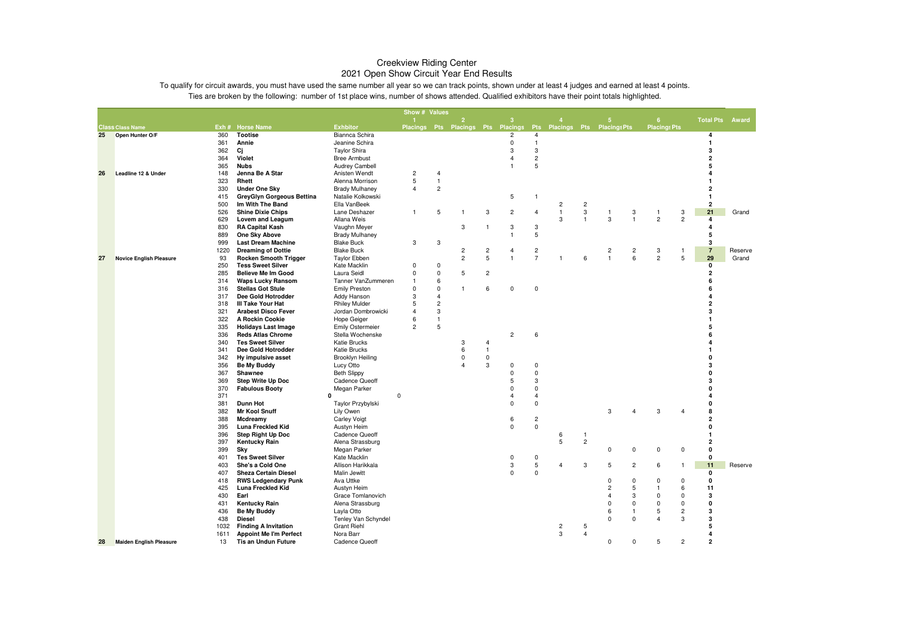|    |                                |            |                                |                                        |                | Show # Values  |                                    |                         |                               |                                  |                               |                |                         |                |                     |                |                         |         |
|----|--------------------------------|------------|--------------------------------|----------------------------------------|----------------|----------------|------------------------------------|-------------------------|-------------------------------|----------------------------------|-------------------------------|----------------|-------------------------|----------------|---------------------|----------------|-------------------------|---------|
|    |                                |            |                                |                                        | $\mathbf{1}$   |                | $\overline{2}$                     |                         | 3                             |                                  | $\mathbf{A}$                  |                | 5 <sub>5</sub>          |                | $6\phantom{.}6$     |                | <b>Total Pts</b>        | Award   |
|    | <b>Class Class Name</b>        |            | Exh # Horse Name               | <b>Exhbitor</b>                        |                |                | Placings Pts Placings Pts Placings |                         |                               |                                  | Pts Placings Pts Placings Pts |                |                         |                | <b>Placings Pts</b> |                |                         |         |
| 25 | Open Hunter O/F                | 360        | <b>Tootise</b>                 | Biannca Schira<br>Jeanine Schira       |                |                |                                    |                         | $\overline{c}$<br>$\mathbf 0$ | $\overline{4}$<br>$\overline{1}$ |                               |                |                         |                |                     |                | 4<br>$\mathbf{1}$       |         |
|    |                                | 361        | Annie                          |                                        |                |                |                                    |                         | 3                             |                                  |                               |                |                         |                |                     |                | 3                       |         |
|    |                                | 362        | Сj                             | <b>Taylor Shira</b>                    |                |                |                                    |                         | $\overline{4}$                | 3                                |                               |                |                         |                |                     |                | $\overline{2}$          |         |
|    |                                | 364        | Violet                         | <b>Bree Armbust</b>                    |                |                |                                    |                         | $\mathbf{1}$                  | $\overline{\mathbf{c}}$          |                               |                |                         |                |                     |                | 5                       |         |
|    |                                | 365<br>148 | <b>Nubs</b><br>Jenna Be A Star | <b>Audrey Cambell</b><br>Anisten Wendt | $\overline{c}$ | $\overline{4}$ |                                    |                         |                               | 5                                |                               |                |                         |                |                     |                | Δ                       |         |
| 26 | Leadline 12 & Under            | 323        | Rhett                          | Alenna Morrison                        | 5              | $\overline{1}$ |                                    |                         |                               |                                  |                               |                |                         |                |                     |                |                         |         |
|    |                                | 330        | <b>Under One Sky</b>           | <b>Brady Mulhaney</b>                  | $\overline{4}$ | $\overline{c}$ |                                    |                         |                               |                                  |                               |                |                         |                |                     |                | $\overline{2}$          |         |
|    |                                | 415        | GreyGlyn Gorgeous Bettina      | Natalie Kolkowski                      |                |                |                                    |                         | 5                             | $\overline{1}$                   |                               |                |                         |                |                     |                | $\mathbf{1}$            |         |
|    |                                | 500        | Im With The Band               | Ella VanBeek                           |                |                |                                    |                         |                               |                                  | $\overline{\mathbf{c}}$       | $\overline{c}$ |                         |                |                     |                | $\overline{\mathbf{2}}$ |         |
|    |                                | 526        | <b>Shine Dixie Chips</b>       | Lane Deshazer                          | 1              | 5              | 1                                  | 3                       | $\overline{c}$                | $\overline{4}$                   | $\mathbf{1}$                  | 3              | $\mathbf{1}$            | 3              | $\mathbf{1}$        | 3              | 21                      | Grand   |
|    |                                | 629        | Lovem and Leagum               | Allana Weis                            |                |                |                                    |                         |                               |                                  | 3                             | $\mathbf{1}$   | $\mathsf 3$             | $\overline{1}$ | $\overline{c}$      | $\overline{2}$ | 4                       |         |
|    |                                | 830        | <b>RA Capital Kash</b>         | Vaughn Meyer                           |                |                | 3                                  | $\mathbf{1}$            | 3                             | 3                                |                               |                |                         |                |                     |                | 4                       |         |
|    |                                | 889        | One Sky Above                  | <b>Brady Mulhaney</b>                  |                |                |                                    |                         | 1                             | 5                                |                               |                |                         |                |                     |                | 5                       |         |
|    |                                | 999        | <b>Last Dream Machine</b>      | <b>Blake Buck</b>                      | 3              | 3              |                                    |                         |                               |                                  |                               |                |                         |                |                     |                | 3                       |         |
|    |                                | 1220       | <b>Dreaming of Dottie</b>      | <b>Blake Buck</b>                      |                |                | $\overline{\mathbf{c}}$            | $\overline{\mathbf{c}}$ | 4                             | $\overline{\mathbf{c}}$          |                               |                | $\overline{c}$          | $\overline{c}$ | 3                   | 1              | $\overline{7}$          | Reserve |
| 27 | <b>Novice English Pleasure</b> | 93         | <b>Rocken Smooth Trigger</b>   | <b>Taylor Ebben</b>                    |                |                | $\overline{2}$                     | 5                       | $\mathbf{1}$                  | $\overline{7}$                   | $\mathbf{1}$                  | 6              | $\mathbf{1}$            | 6              | $\overline{c}$      | 5              | 29                      | Grand   |
|    |                                | 250        | <b>Tess Sweet Silver</b>       | Kate Macklin                           | $\Omega$       | 0              |                                    |                         |                               |                                  |                               |                |                         |                |                     |                | $\mathbf 0$             |         |
|    |                                | 285        | <b>Believe Me Im Good</b>      | Laura Seidl                            | 0              | $\Omega$       | 5                                  | $\overline{\mathbf{c}}$ |                               |                                  |                               |                |                         |                |                     |                | $\overline{2}$          |         |
|    |                                | 314        | <b>Waps Lucky Ransom</b>       | Tanner VanZummeren                     | 1              | 6              |                                    |                         |                               |                                  |                               |                |                         |                |                     |                | 6                       |         |
|    |                                | 316        | <b>Stellas Got Stule</b>       | <b>Emily Preston</b>                   | 0              | $\Omega$       | 1                                  | 6                       | $\mathbf 0$                   | $\mathsf 0$                      |                               |                |                         |                |                     |                | 6                       |         |
|    |                                | 317        | Dee Gold Hotrodder             | Addy Hanson                            | 3              | $\overline{4}$ |                                    |                         |                               |                                  |                               |                |                         |                |                     |                | Δ                       |         |
|    |                                | 318        | III Take Your Hat              | <b>Rhiley Mulder</b>                   | 5              | $\overline{c}$ |                                    |                         |                               |                                  |                               |                |                         |                |                     |                | $\overline{2}$          |         |
|    |                                | 321        | <b>Arabest Disco Fever</b>     | Jordan Dombrowicki                     | $\overline{4}$ | 3              |                                    |                         |                               |                                  |                               |                |                         |                |                     |                | 3                       |         |
|    |                                | 322        | A Rockin Cookie                | Hope Geiger                            | 6              | $\mathbf{1}$   |                                    |                         |                               |                                  |                               |                |                         |                |                     |                |                         |         |
|    |                                | 335        | <b>Holidays Last Image</b>     | <b>Emily Ostermeier</b>                | $\overline{c}$ | 5              |                                    |                         |                               |                                  |                               |                |                         |                |                     |                | 5                       |         |
|    |                                | 336        | <b>Reds Atlas Chrome</b>       | Stella Wochenske                       |                |                |                                    |                         | $\overline{c}$                | 6                                |                               |                |                         |                |                     |                | 6                       |         |
|    |                                | 340        | <b>Tes Sweet Silver</b>        | <b>Katie Brucks</b>                    |                |                | 3                                  | 4                       |                               |                                  |                               |                |                         |                |                     |                | 4                       |         |
|    |                                | 341        | Dee Gold Hotrodder             | <b>Katie Brucks</b>                    |                |                | 6                                  | $\mathbf{1}$            |                               |                                  |                               |                |                         |                |                     |                |                         |         |
|    |                                | 342        | Hy impulsive asset             | <b>Brooklyn Heiling</b>                |                |                | 0                                  | $\mathbf 0$             |                               |                                  |                               |                |                         |                |                     |                | 0                       |         |
|    |                                | 356        | <b>Be My Buddy</b>             | Lucy Otto                              |                |                | $\overline{\mathbf{A}}$            | 3                       | 0                             | $\mathbf 0$                      |                               |                |                         |                |                     |                | 3                       |         |
|    |                                | 367        | Shawnee                        | <b>Beth Slippy</b>                     |                |                |                                    |                         | 0                             | $\mathbf 0$                      |                               |                |                         |                |                     |                | $\Omega$                |         |
|    |                                | 369        | <b>Step Write Up Doc</b>       | <b>Cadence Queoff</b>                  |                |                |                                    |                         | 5                             | 3                                |                               |                |                         |                |                     |                | 3                       |         |
|    |                                | 370        | <b>Fabulous Booty</b>          | Megan Parker                           |                |                |                                    |                         | $\mathbf 0$                   | $\mathbf 0$                      |                               |                |                         |                |                     |                | 0<br>4                  |         |
|    |                                | 371<br>381 | <b>Dunn Hot</b>                | 0                                      | $\mathbf 0$    |                |                                    |                         | 4<br>0                        | $\overline{4}$<br>0              |                               |                |                         |                |                     |                | 0                       |         |
|    |                                | 382        | <b>Mr Kool Snuff</b>           | Taylor Przybylski<br>Lily Owen         |                |                |                                    |                         |                               |                                  |                               |                | 3                       |                | 3                   |                | 8                       |         |
|    |                                | 388        | Mcdreamy                       | <b>Carley Voigt</b>                    |                |                |                                    |                         | 6                             | $\overline{c}$                   |                               |                |                         |                |                     |                | $\overline{2}$          |         |
|    |                                | 395        | Luna Freckled Kid              | Austyn Heim                            |                |                |                                    |                         | $\pmb{0}$                     | $\pmb{0}$                        |                               |                |                         |                |                     |                | 0                       |         |
|    |                                | 396        | <b>Step Right Up Doc</b>       | <b>Cadence Queoff</b>                  |                |                |                                    |                         |                               |                                  | 6                             | $\mathbf{1}$   |                         |                |                     |                | $\mathbf{1}$            |         |
|    |                                | 397        | <b>Kentucky Rain</b>           | Alena Strassburg                       |                |                |                                    |                         |                               |                                  | 5                             | $\overline{c}$ |                         |                |                     |                | $\overline{2}$          |         |
|    |                                | 399        | Sky                            | Megan Parker                           |                |                |                                    |                         |                               |                                  |                               |                | $\mathbf 0$             | $\mathbf 0$    | 0                   | $\mathbf 0$    | $\mathbf 0$             |         |
|    |                                | 401        | <b>Tes Sweet Silver</b>        | Kate Macklin                           |                |                |                                    |                         | 0                             | 0                                |                               |                |                         |                |                     |                | 0                       |         |
|    |                                | 403        | She's a Cold One               | Allison Harikkala                      |                |                |                                    |                         | 3                             | 5                                | $\overline{4}$                | 3              | 5                       | $\overline{c}$ | 6                   | $\mathbf{1}$   | 11                      | Reserve |
|    |                                | 407        | <b>Sheza Certain Diesel</b>    | Malin Jewitt                           |                |                |                                    |                         | $\mathbf 0$                   | $\mathbf 0$                      |                               |                |                         |                |                     |                | 0                       |         |
|    |                                | 418        | <b>RWS Ledgendary Punk</b>     | Ava Uttke                              |                |                |                                    |                         |                               |                                  |                               |                | $\mathbf 0$             | $\mathbf 0$    | $\mathbf 0$         | $\mathbf 0$    | $\mathbf 0$             |         |
|    |                                | 425        | Luna Freckled Kid              | Austyn Heim                            |                |                |                                    |                         |                               |                                  |                               |                | $\overline{c}$          | 5              | 1                   | 6              | 11                      |         |
|    |                                | 430        | Earl                           | Grace Tomlanovich                      |                |                |                                    |                         |                               |                                  |                               |                | $\overline{\mathbf{4}}$ | 3              | $\mathbf 0$         | $\Omega$       | 3                       |         |
|    |                                | 431        | <b>Kentucky Rain</b>           | Alena Strassburg                       |                |                |                                    |                         |                               |                                  |                               |                | 0                       | $\mathbf 0$    | $\mathbf 0$         | $\mathbf 0$    | 0                       |         |
|    |                                | 436        | Be My Buddy                    | Layla Otto                             |                |                |                                    |                         |                               |                                  |                               |                | 6                       | $\mathbf{1}$   | 5                   | $\overline{2}$ | 3                       |         |
|    |                                | 438        | Diesel                         | Tenley Van Schyndel                    |                |                |                                    |                         |                               |                                  |                               |                | $\mathbf 0$             | $\mathbf 0$    | 4                   | 3              | 3                       |         |
|    |                                | 1032       | <b>Finding A Invitation</b>    | <b>Grant Riehl</b>                     |                |                |                                    |                         |                               |                                  | $\overline{c}$                | 5              |                         |                |                     |                | 5                       |         |
|    |                                | 1611       | <b>Appoint Me I'm Perfect</b>  | Nora Barr                              |                |                |                                    |                         |                               |                                  | 3                             | $\overline{4}$ |                         |                |                     |                | 4                       |         |
| 28 | <b>Maiden English Pleasure</b> | 13         | <b>Tis an Undun Future</b>     | <b>Cadence Queoff</b>                  |                |                |                                    |                         |                               |                                  |                               |                | $\mathbf 0$             | $\mathbf 0$    | 5                   | $\overline{c}$ | $\overline{2}$          |         |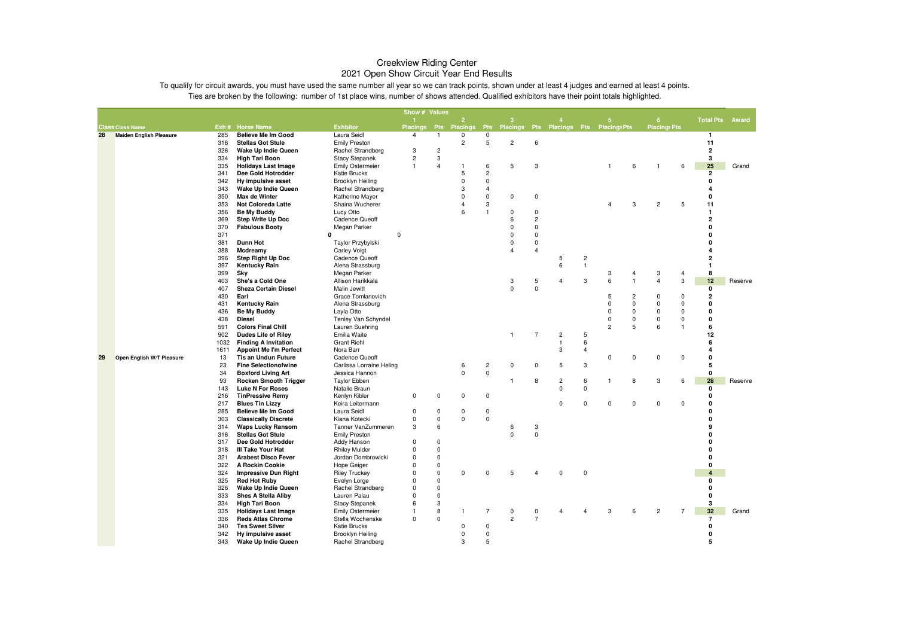|    |                                |            |                                                    |                                | Show # Values   |                |                     |                               |                                            |                |                |                |                |                |                     |                |                        |         |
|----|--------------------------------|------------|----------------------------------------------------|--------------------------------|-----------------|----------------|---------------------|-------------------------------|--------------------------------------------|----------------|----------------|----------------|----------------|----------------|---------------------|----------------|------------------------|---------|
|    |                                |            |                                                    |                                |                 |                | $\overline{2}$      |                               | વ                                          |                |                |                |                |                | 6                   |                | <b>Total Pts Award</b> |         |
|    | <b>Class Class Name</b>        |            | Exh # Horse Name                                   | <b>Exhbitor</b>                | <b>Placings</b> |                | <b>Pts Placings</b> |                               | Pts Placings Pts Placings Pts Placings Pts |                |                |                |                |                | <b>Placings Pts</b> |                |                        |         |
| 28 | <b>Maiden English Pleasure</b> | 285        | <b>Believe Me Im Good</b>                          | Laura Seidl                    | $\overline{4}$  | $\mathbf{1}$   | $\mathbf 0$         | 0                             |                                            |                |                |                |                |                |                     |                | $\mathbf{1}$           |         |
|    |                                | 316        | <b>Stellas Got Stule</b>                           | <b>Emily Preston</b>           |                 |                | $\overline{2}$      | 5                             | $\overline{c}$                             | 6              |                |                |                |                |                     |                | 11                     |         |
|    |                                | 326        | Wake Up Indie Queen                                | Rachel Strandberg              | 3               | $\overline{c}$ |                     |                               |                                            |                |                |                |                |                |                     |                | $\mathbf{2}$           |         |
|    |                                | 334        | <b>High Tari Boon</b>                              | <b>Stacy Stepanek</b>          | $\overline{2}$  | 3              |                     |                               |                                            |                |                |                |                |                |                     |                | 3                      |         |
|    |                                | 335        | <b>Holidays Last Image</b>                         | <b>Emily Ostermeier</b>        | $\mathbf{1}$    | $\overline{4}$ | 1                   | 6                             | 5                                          | 3              |                |                |                | 6              |                     | 6              | 25                     | Grand   |
|    |                                | 341        | Dee Gold Hotrodder                                 | <b>Katie Brucks</b>            |                 |                | 5                   | $\overline{2}$                |                                            |                |                |                |                |                |                     |                | $\overline{2}$         |         |
|    |                                | 342        | Hy impulsive asset                                 | Brooklyn Heiling               |                 |                | $\Omega$            | $\mathbf 0$                   |                                            |                |                |                |                |                |                     |                | 0                      |         |
|    |                                | 343        | Wake Up Indie Queen                                | Rachel Strandberg              |                 |                | 3                   | $\overline{4}$                |                                            |                |                |                |                |                |                     |                | $\Delta$               |         |
|    |                                | 350        | Max de Winter                                      | Katherine Mayer                |                 |                | $\Omega$            | $\mathbf 0$                   | $\mathbf 0$                                | $\mathsf 0$    |                |                |                |                |                     |                | 0                      |         |
|    |                                | 353        | <b>Not Coloreda Latte</b>                          | Shaina Wucherer                |                 |                |                     | 3                             |                                            |                |                |                | 4              | 3              | $\overline{c}$      | 5              | 11                     |         |
|    |                                | 356        | Be My Buddy                                        | Lucy Otto                      |                 |                | ĥ                   | $\mathbf{1}$                  | $\mathbf 0$                                | $\mathbf 0$    |                |                |                |                |                     |                | $\mathbf{1}$           |         |
|    |                                | 369        | <b>Step Write Up Doc</b>                           | <b>Cadence Queoff</b>          |                 |                |                     |                               | 6                                          | $\overline{c}$ |                |                |                |                |                     |                | 2                      |         |
|    |                                | 370        | <b>Fabulous Booty</b>                              | Megan Parker                   |                 |                |                     |                               | $\Omega$                                   | $\mathsf 0$    |                |                |                |                |                     |                | $\Omega$               |         |
|    |                                | 371        |                                                    | $\mathbf 0$<br>ŋ               |                 |                |                     |                               | $\Omega$                                   | $\mathsf 0$    |                |                |                |                |                     |                | $\Omega$               |         |
|    |                                | 381        | <b>Dunn Hot</b>                                    | Taylor Przybylski              |                 |                |                     |                               | $\Omega$                                   | $\mathsf 0$    |                |                |                |                |                     |                |                        |         |
|    |                                | 388        | Mcdreamy                                           | <b>Carley Voigt</b>            |                 |                |                     |                               | 4                                          | $\overline{4}$ |                |                |                |                |                     |                |                        |         |
|    |                                | 396        | <b>Step Right Up Doc</b>                           | Cadence Queoff                 |                 |                |                     |                               |                                            |                | 5              | $\overline{c}$ |                |                |                     |                | $\overline{2}$         |         |
|    |                                | 397        | <b>Kentucky Rain</b>                               | Alena Strassburg               |                 |                |                     |                               |                                            |                | 6              | $\mathbf{1}$   |                |                |                     |                | $\mathbf{1}$           |         |
|    |                                | 399        | Sky                                                | Megan Parker                   |                 |                |                     |                               |                                            |                |                |                | 3              | 4              | 3                   | 4              | 8                      |         |
|    |                                | 403        | She's a Cold One                                   | Allison Harikkala              |                 |                |                     |                               | 3                                          | 5              | $\overline{4}$ | 3              | 6              | $\overline{1}$ | $\overline{4}$      | 3              | 12                     | Reserve |
|    |                                | 407        | <b>Sheza Certain Diesel</b>                        | Malin Jewitt                   |                 |                |                     |                               | $\Omega$                                   | $\Omega$       |                |                |                |                |                     |                | $\Omega$               |         |
|    |                                | 430        | Earl                                               | Grace Tomlanovich              |                 |                |                     |                               |                                            |                |                |                | 5              | 2              | 0                   | 0              | $\overline{2}$         |         |
|    |                                | 431        | <b>Kentucky Rain</b>                               | Alena Strassburg               |                 |                |                     |                               |                                            |                |                |                | $\Omega$       | $\mathbf 0$    | $\Omega$            | $\Omega$       | $\Omega$               |         |
|    |                                | 436        | Be My Buddy                                        | Layla Otto                     |                 |                |                     |                               |                                            |                |                |                | $\Omega$       | $\Omega$       | $\Omega$            | $\Omega$       | $\Omega$               |         |
|    |                                | 438        | Diesel                                             | Tenley Van Schyndel            |                 |                |                     |                               |                                            |                |                |                | $\Omega$       | 0              | $\Omega$            | $\mathbf 0$    | 0                      |         |
|    |                                | 591        | <b>Colors Final Chill</b>                          | Lauren Suehring                |                 |                |                     |                               |                                            |                |                |                | $\overline{2}$ | 5              | 6                   | $\mathbf{1}$   | 6                      |         |
|    |                                | 902        | <b>Dudes Life of Riley</b>                         | Emilia Waite                   |                 |                |                     |                               | $\mathbf{1}$                               | $\overline{7}$ | $\overline{c}$ | 5              |                |                |                     |                | 12                     |         |
|    |                                | 1032       | <b>Finding A Invitation</b>                        | <b>Grant Riehl</b>             |                 |                |                     |                               |                                            |                | $\mathbf{1}$   | 6              |                |                |                     |                | 6                      |         |
|    |                                | 1611       | <b>Appoint Me I'm Perfect</b>                      | Nora Barr                      |                 |                |                     |                               |                                            |                | 3              | $\overline{4}$ |                |                |                     |                | 4                      |         |
| 29 | Open English W/T Pleasure      | 13         | <b>Tis an Undun Future</b>                         | <b>Cadence Queoff</b>          |                 |                |                     |                               |                                            |                |                |                | 0              | 0              | $\pmb{0}$           | 0              | 0                      |         |
|    |                                | 23         | <b>Fine Selectionofwine</b>                        | Carlissa Lorraine Heling       |                 |                | 6<br>$\Omega$       | $\overline{c}$<br>$\mathsf 0$ | $\mathbf 0$                                | $\mathbf 0$    | 5              | 3              |                |                |                     |                | 5                      |         |
|    |                                | 34         | <b>Boxford Living Art</b>                          | Jessica Hannon                 |                 |                |                     |                               | 1                                          |                |                |                |                |                |                     |                | 0<br>28                |         |
|    |                                | 93         | <b>Rocken Smooth Trigger</b>                       | <b>Taylor Ebben</b>            |                 |                |                     |                               |                                            | 8              | $\overline{c}$ | 6<br>$\Omega$  | -1             | 8              | 3                   | 6              |                        | Reserve |
|    |                                | 143<br>216 | <b>Luke N For Roses</b><br><b>TinPressive Remy</b> | Natalie Braun<br>Kenlyn Kibler | 0               | 0              | $\Omega$            | 0                             |                                            |                | 0              |                |                |                |                     |                | 0<br>0                 |         |
|    |                                | 217        | <b>Blues Tin Lizzy</b>                             | Keira Leitermann               |                 |                |                     |                               |                                            |                | $\Omega$       | $\Omega$       | $\mathbf 0$    | $\mathbf 0$    | $\mathbf 0$         | $\mathbf 0$    | $\Omega$               |         |
|    |                                | 285        | <b>Believe Me Im Good</b>                          | Laura Seidl                    | 0               | $\mathbf 0$    | 0                   | $\mathbf 0$                   |                                            |                |                |                |                |                |                     |                | 0                      |         |
|    |                                | 303        | <b>Classically Discrete</b>                        | Kiana Kotecki                  | 0               | $\mathsf 0$    | $\Omega$            | $\pmb{0}$                     |                                            |                |                |                |                |                |                     |                | $\Omega$               |         |
|    |                                | 314        | <b>Waps Lucky Ransom</b>                           | Tanner VanZummeren             | 3               | 6              |                     |                               | 6                                          | $_{\rm 3}$     |                |                |                |                |                     |                | 9                      |         |
|    |                                | 316        | <b>Stellas Got Stule</b>                           | <b>Emily Preston</b>           |                 |                |                     |                               | $\Omega$                                   | $\mathbf 0$    |                |                |                |                |                     |                | 0                      |         |
|    |                                | 317        | Dee Gold Hotrodder                                 | Addy Hanson                    | $\Omega$        | $\mathbf 0$    |                     |                               |                                            |                |                |                |                |                |                     |                | $\Omega$               |         |
|    |                                | 318        | III Take Your Hat                                  | <b>Rhiley Mulder</b>           | $\Omega$        | $\mathsf 0$    |                     |                               |                                            |                |                |                |                |                |                     |                | $\Omega$               |         |
|    |                                | 321        | <b>Arabest Disco Fever</b>                         | Jordan Dombrowicki             | $\Omega$        | 0              |                     |                               |                                            |                |                |                |                |                |                     |                | O                      |         |
|    |                                | 322        | A Rockin Cookie                                    | Hope Geiger                    | $\Omega$        | $\mathbf 0$    |                     |                               |                                            |                |                |                |                |                |                     |                | 0                      |         |
|    |                                | 324        | <b>Impressive Dun Right</b>                        | <b>Riley Truckey</b>           | $\Omega$        | $\mathbf 0$    | $\Omega$            | $\Omega$                      | 5                                          | $\overline{4}$ | $\Omega$       | $\Omega$       |                |                |                     |                | 4                      |         |
|    |                                | 325        | <b>Red Hot Ruby</b>                                | Evelyn Lorge                   | $\Omega$        | $\mathsf 0$    |                     |                               |                                            |                |                |                |                |                |                     |                | n                      |         |
|    |                                | 326        | Wake Up Indie Queen                                | Rachel Strandberg              | $\Omega$        | $\mathsf 0$    |                     |                               |                                            |                |                |                |                |                |                     |                | O                      |         |
|    |                                | 333        | <b>Shes A Stella Aliby</b>                         | Lauren Palau                   | $\Omega$        | $\mathbf 0$    |                     |                               |                                            |                |                |                |                |                |                     |                | O                      |         |
|    |                                | 334        | <b>High Tari Boon</b>                              | <b>Stacy Stepanek</b>          | 6               | 3              |                     |                               |                                            |                |                |                |                |                |                     |                | 3                      |         |
|    |                                | 335        | <b>Holidays Last Image</b>                         | <b>Emily Ostermeier</b>        | 1               | 8              | 1                   | $\overline{7}$                | $\mathbf 0$                                | $\mathbf 0$    | 4              | 4              | 3              | 6              | $\overline{c}$      | $\overline{7}$ | 32                     | Grand   |
|    |                                | 336        | <b>Reds Atlas Chrome</b>                           | Stella Wochenske               | $\mathbf 0$     | $\Omega$       |                     |                               | $\overline{2}$                             | $\overline{7}$ |                |                |                |                |                     |                | $\overline{7}$         |         |
|    |                                | 340        | <b>Tes Sweet Silver</b>                            | <b>Katie Brucks</b>            |                 |                | $\Omega$            | $\mathsf 0$                   |                                            |                |                |                |                |                |                     |                | 0                      |         |
|    |                                | 342        | Hy impulsive asset                                 | Brooklyn Heiling               |                 |                | $\Omega$            | $\pmb{0}$                     |                                            |                |                |                |                |                |                     |                | O                      |         |
|    |                                | 343        | Wake Up Indie Queen                                | Rachel Strandberg              |                 |                | 3                   | 5                             |                                            |                |                |                |                |                |                     |                | 5                      |         |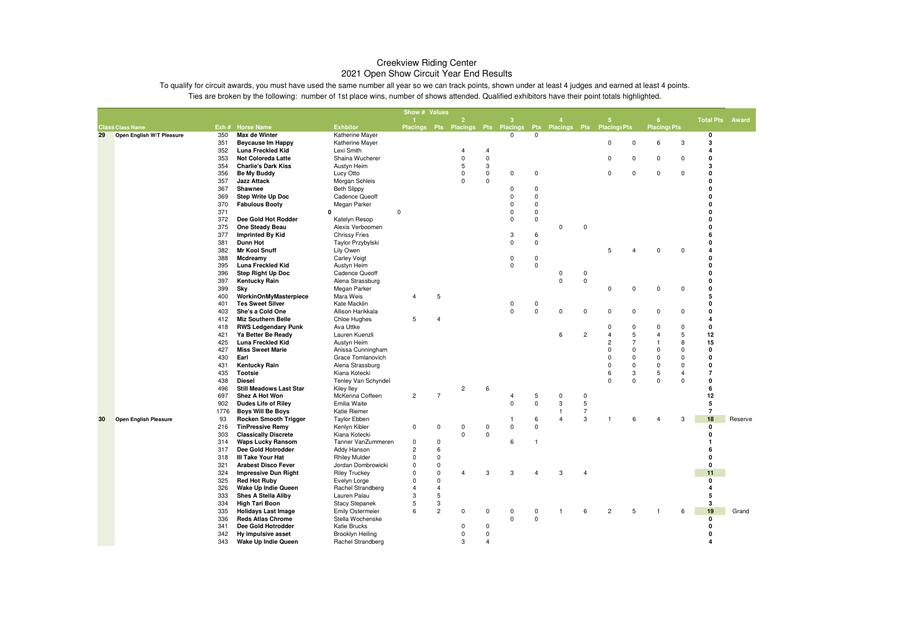| $\overline{2}$<br><b>Total Pts</b><br>-3<br>6<br><b>Exhbitor</b><br><b>Placings Pts</b><br>Exh # Horse Name<br>Placings Pts Placings Pts Placings<br><b>Placings Pts Placings Pts</b><br><b>Class Class Name</b><br><b>Pts</b><br>Max de Winter<br>Katherine Mayer<br>0<br>$\Omega$<br>0<br>29<br>Open English W/T Pleasure<br>350<br>3<br>351<br><b>Beycause Im Happy</b><br>Katherine Mayer<br>0<br>6<br>3<br>$\Omega$<br>Lexi Smith<br>352<br>Luna Freckled Kid<br>$\overline{4}$<br>$\overline{a}$<br>4<br>0<br>353<br><b>Not Coloreda Latte</b><br>Shaina Wucherer<br>0<br>0<br>0<br>$\Omega$<br>0<br>0<br>3<br>5<br>3<br>354<br><b>Charlie's Dark Kiss</b><br>Austyn Heim<br>$\mathbf 0$<br>$\mathbf 0$<br>0<br>356<br><b>Be My Buddy</b><br>Lucy Otto<br>$\Omega$<br>0<br>0<br>$\Omega$<br>$\Omega$<br>0<br>357<br>Morgan Schleis<br>0<br>0<br><b>Jazz Attack</b><br>O<br>$\pmb{0}$<br>$\Omega$<br>367<br>Shawnee<br><b>Beth Slippy</b><br>$\mathbf 0$<br>$\mathbf 0$<br><b>Step Write Up Doc</b><br>0<br>369<br><b>Cadence Queoff</b><br>$\Omega$<br>370<br>Megan Parker<br>0<br>0<br><b>Fabulous Booty</b><br>$\Omega$<br>371<br>$\Omega$<br>$\mathbf 0$<br>0<br>$\Omega$<br>$\Omega$<br>372<br>Dee Gold Hot Rodder<br>0<br>0<br>Katelyn Resop<br>0<br>375<br>$\Omega$<br>One Steady Beau<br>Alexis Verboomen<br>$\mathbf 0$<br>0<br>377<br><b>Imprinted By Kid</b><br>3<br>6<br>6<br><b>Chrissy Fries</b><br><b>Dunn Hot</b><br>0<br>0<br>381<br>Taylor Przybylski<br>$\mathbf 0$<br>382<br><b>Mr Kool Snuff</b><br>Lily Owen<br>5<br>$\Omega$<br>$\overline{4}$<br>0<br>4<br>$\pmb{0}$<br>$\Omega$<br>388<br>Mcdreamy<br><b>Carley Voigt</b><br>$\mathbf 0$<br>$\pmb{0}$<br>0<br>395<br>Luna Freckled Kid<br>0<br>Austyn Heim<br>0<br>Step Right Up Doc<br>Cadence Queoff<br>396<br>0<br>0<br>$\pmb{0}$<br>0<br>397<br>Kentucky Rain<br>Alena Strassburg<br>$\Omega$<br>399<br>0<br>0<br>0<br>0<br>0<br>Sky<br>Megan Parker<br>5<br>5<br>400<br>WorkinOnMyMasterpiece<br>Mara Weis<br>$\overline{4}$ |         |  |  |  | Show # Values |                         |                    |  |
|-----------------------------------------------------------------------------------------------------------------------------------------------------------------------------------------------------------------------------------------------------------------------------------------------------------------------------------------------------------------------------------------------------------------------------------------------------------------------------------------------------------------------------------------------------------------------------------------------------------------------------------------------------------------------------------------------------------------------------------------------------------------------------------------------------------------------------------------------------------------------------------------------------------------------------------------------------------------------------------------------------------------------------------------------------------------------------------------------------------------------------------------------------------------------------------------------------------------------------------------------------------------------------------------------------------------------------------------------------------------------------------------------------------------------------------------------------------------------------------------------------------------------------------------------------------------------------------------------------------------------------------------------------------------------------------------------------------------------------------------------------------------------------------------------------------------------------------------------------------------------------------------------------------------------------------------------------------------------------------------------------------------|---------|--|--|--|---------------|-------------------------|--------------------|--|
|                                                                                                                                                                                                                                                                                                                                                                                                                                                                                                                                                                                                                                                                                                                                                                                                                                                                                                                                                                                                                                                                                                                                                                                                                                                                                                                                                                                                                                                                                                                                                                                                                                                                                                                                                                                                                                                                                                                                                                                                                 | Award   |  |  |  |               |                         |                    |  |
|                                                                                                                                                                                                                                                                                                                                                                                                                                                                                                                                                                                                                                                                                                                                                                                                                                                                                                                                                                                                                                                                                                                                                                                                                                                                                                                                                                                                                                                                                                                                                                                                                                                                                                                                                                                                                                                                                                                                                                                                                 |         |  |  |  |               |                         |                    |  |
|                                                                                                                                                                                                                                                                                                                                                                                                                                                                                                                                                                                                                                                                                                                                                                                                                                                                                                                                                                                                                                                                                                                                                                                                                                                                                                                                                                                                                                                                                                                                                                                                                                                                                                                                                                                                                                                                                                                                                                                                                 |         |  |  |  |               |                         |                    |  |
|                                                                                                                                                                                                                                                                                                                                                                                                                                                                                                                                                                                                                                                                                                                                                                                                                                                                                                                                                                                                                                                                                                                                                                                                                                                                                                                                                                                                                                                                                                                                                                                                                                                                                                                                                                                                                                                                                                                                                                                                                 |         |  |  |  |               |                         |                    |  |
|                                                                                                                                                                                                                                                                                                                                                                                                                                                                                                                                                                                                                                                                                                                                                                                                                                                                                                                                                                                                                                                                                                                                                                                                                                                                                                                                                                                                                                                                                                                                                                                                                                                                                                                                                                                                                                                                                                                                                                                                                 |         |  |  |  |               |                         |                    |  |
|                                                                                                                                                                                                                                                                                                                                                                                                                                                                                                                                                                                                                                                                                                                                                                                                                                                                                                                                                                                                                                                                                                                                                                                                                                                                                                                                                                                                                                                                                                                                                                                                                                                                                                                                                                                                                                                                                                                                                                                                                 |         |  |  |  |               |                         |                    |  |
|                                                                                                                                                                                                                                                                                                                                                                                                                                                                                                                                                                                                                                                                                                                                                                                                                                                                                                                                                                                                                                                                                                                                                                                                                                                                                                                                                                                                                                                                                                                                                                                                                                                                                                                                                                                                                                                                                                                                                                                                                 |         |  |  |  |               |                         |                    |  |
|                                                                                                                                                                                                                                                                                                                                                                                                                                                                                                                                                                                                                                                                                                                                                                                                                                                                                                                                                                                                                                                                                                                                                                                                                                                                                                                                                                                                                                                                                                                                                                                                                                                                                                                                                                                                                                                                                                                                                                                                                 |         |  |  |  |               |                         |                    |  |
|                                                                                                                                                                                                                                                                                                                                                                                                                                                                                                                                                                                                                                                                                                                                                                                                                                                                                                                                                                                                                                                                                                                                                                                                                                                                                                                                                                                                                                                                                                                                                                                                                                                                                                                                                                                                                                                                                                                                                                                                                 |         |  |  |  |               |                         |                    |  |
|                                                                                                                                                                                                                                                                                                                                                                                                                                                                                                                                                                                                                                                                                                                                                                                                                                                                                                                                                                                                                                                                                                                                                                                                                                                                                                                                                                                                                                                                                                                                                                                                                                                                                                                                                                                                                                                                                                                                                                                                                 |         |  |  |  |               |                         |                    |  |
|                                                                                                                                                                                                                                                                                                                                                                                                                                                                                                                                                                                                                                                                                                                                                                                                                                                                                                                                                                                                                                                                                                                                                                                                                                                                                                                                                                                                                                                                                                                                                                                                                                                                                                                                                                                                                                                                                                                                                                                                                 |         |  |  |  |               |                         |                    |  |
|                                                                                                                                                                                                                                                                                                                                                                                                                                                                                                                                                                                                                                                                                                                                                                                                                                                                                                                                                                                                                                                                                                                                                                                                                                                                                                                                                                                                                                                                                                                                                                                                                                                                                                                                                                                                                                                                                                                                                                                                                 |         |  |  |  |               |                         |                    |  |
|                                                                                                                                                                                                                                                                                                                                                                                                                                                                                                                                                                                                                                                                                                                                                                                                                                                                                                                                                                                                                                                                                                                                                                                                                                                                                                                                                                                                                                                                                                                                                                                                                                                                                                                                                                                                                                                                                                                                                                                                                 |         |  |  |  |               |                         |                    |  |
|                                                                                                                                                                                                                                                                                                                                                                                                                                                                                                                                                                                                                                                                                                                                                                                                                                                                                                                                                                                                                                                                                                                                                                                                                                                                                                                                                                                                                                                                                                                                                                                                                                                                                                                                                                                                                                                                                                                                                                                                                 |         |  |  |  |               |                         |                    |  |
|                                                                                                                                                                                                                                                                                                                                                                                                                                                                                                                                                                                                                                                                                                                                                                                                                                                                                                                                                                                                                                                                                                                                                                                                                                                                                                                                                                                                                                                                                                                                                                                                                                                                                                                                                                                                                                                                                                                                                                                                                 |         |  |  |  |               |                         |                    |  |
|                                                                                                                                                                                                                                                                                                                                                                                                                                                                                                                                                                                                                                                                                                                                                                                                                                                                                                                                                                                                                                                                                                                                                                                                                                                                                                                                                                                                                                                                                                                                                                                                                                                                                                                                                                                                                                                                                                                                                                                                                 |         |  |  |  |               |                         |                    |  |
|                                                                                                                                                                                                                                                                                                                                                                                                                                                                                                                                                                                                                                                                                                                                                                                                                                                                                                                                                                                                                                                                                                                                                                                                                                                                                                                                                                                                                                                                                                                                                                                                                                                                                                                                                                                                                                                                                                                                                                                                                 |         |  |  |  |               |                         |                    |  |
|                                                                                                                                                                                                                                                                                                                                                                                                                                                                                                                                                                                                                                                                                                                                                                                                                                                                                                                                                                                                                                                                                                                                                                                                                                                                                                                                                                                                                                                                                                                                                                                                                                                                                                                                                                                                                                                                                                                                                                                                                 |         |  |  |  |               |                         |                    |  |
|                                                                                                                                                                                                                                                                                                                                                                                                                                                                                                                                                                                                                                                                                                                                                                                                                                                                                                                                                                                                                                                                                                                                                                                                                                                                                                                                                                                                                                                                                                                                                                                                                                                                                                                                                                                                                                                                                                                                                                                                                 |         |  |  |  |               |                         |                    |  |
|                                                                                                                                                                                                                                                                                                                                                                                                                                                                                                                                                                                                                                                                                                                                                                                                                                                                                                                                                                                                                                                                                                                                                                                                                                                                                                                                                                                                                                                                                                                                                                                                                                                                                                                                                                                                                                                                                                                                                                                                                 |         |  |  |  |               |                         |                    |  |
|                                                                                                                                                                                                                                                                                                                                                                                                                                                                                                                                                                                                                                                                                                                                                                                                                                                                                                                                                                                                                                                                                                                                                                                                                                                                                                                                                                                                                                                                                                                                                                                                                                                                                                                                                                                                                                                                                                                                                                                                                 |         |  |  |  |               |                         |                    |  |
|                                                                                                                                                                                                                                                                                                                                                                                                                                                                                                                                                                                                                                                                                                                                                                                                                                                                                                                                                                                                                                                                                                                                                                                                                                                                                                                                                                                                                                                                                                                                                                                                                                                                                                                                                                                                                                                                                                                                                                                                                 |         |  |  |  |               |                         |                    |  |
|                                                                                                                                                                                                                                                                                                                                                                                                                                                                                                                                                                                                                                                                                                                                                                                                                                                                                                                                                                                                                                                                                                                                                                                                                                                                                                                                                                                                                                                                                                                                                                                                                                                                                                                                                                                                                                                                                                                                                                                                                 |         |  |  |  |               |                         |                    |  |
| $\Omega$                                                                                                                                                                                                                                                                                                                                                                                                                                                                                                                                                                                                                                                                                                                                                                                                                                                                                                                                                                                                                                                                                                                                                                                                                                                                                                                                                                                                                                                                                                                                                                                                                                                                                                                                                                                                                                                                                                                                                                                                        |         |  |  |  |               |                         |                    |  |
| 401<br><b>Tes Sweet Silver</b><br>Kate Macklin<br>$\mathbf 0$<br>0<br>$\mathbf 0$<br>$\mathbf 0$<br>$\Omega$<br>0                                                                                                                                                                                                                                                                                                                                                                                                                                                                                                                                                                                                                                                                                                                                                                                                                                                                                                                                                                                                                                                                                                                                                                                                                                                                                                                                                                                                                                                                                                                                                                                                                                                                                                                                                                                                                                                                                               |         |  |  |  |               |                         |                    |  |
| She's a Cold One<br>Allison Harikkala<br>0<br>0<br>0<br>403<br>0<br>0<br>$\overline{4}$<br>$\overline{4}$                                                                                                                                                                                                                                                                                                                                                                                                                                                                                                                                                                                                                                                                                                                                                                                                                                                                                                                                                                                                                                                                                                                                                                                                                                                                                                                                                                                                                                                                                                                                                                                                                                                                                                                                                                                                                                                                                                       |         |  |  |  |               |                         |                    |  |
| 412<br><b>Miz Southern Belle</b><br>Chloe Hughes<br>5<br>$\pmb{0}$<br>0<br>418<br>Ava Uttke<br>0<br>$\Omega$<br>$\Omega$                                                                                                                                                                                                                                                                                                                                                                                                                                                                                                                                                                                                                                                                                                                                                                                                                                                                                                                                                                                                                                                                                                                                                                                                                                                                                                                                                                                                                                                                                                                                                                                                                                                                                                                                                                                                                                                                                        |         |  |  |  |               |                         |                    |  |
| <b>RWS Ledgendary Punk</b><br>$\overline{c}$<br>5<br>5<br>12<br>421<br>Lauren Kuenzli<br>6<br>$\overline{4}$<br>4                                                                                                                                                                                                                                                                                                                                                                                                                                                                                                                                                                                                                                                                                                                                                                                                                                                                                                                                                                                                                                                                                                                                                                                                                                                                                                                                                                                                                                                                                                                                                                                                                                                                                                                                                                                                                                                                                               |         |  |  |  |               |                         |                    |  |
| Ya Better Be Ready<br>$\overline{7}$<br>8<br>$\overline{2}$<br>15<br>425<br><b>Luna Freckled Kid</b>                                                                                                                                                                                                                                                                                                                                                                                                                                                                                                                                                                                                                                                                                                                                                                                                                                                                                                                                                                                                                                                                                                                                                                                                                                                                                                                                                                                                                                                                                                                                                                                                                                                                                                                                                                                                                                                                                                            |         |  |  |  |               |                         |                    |  |
| Austyn Heim<br>$\mathbf 0$<br>0<br>427<br><b>Miss Sweet Marie</b><br>Anissa Cunningham<br>$\mathbf 0$<br>$\Omega$<br>$\Omega$                                                                                                                                                                                                                                                                                                                                                                                                                                                                                                                                                                                                                                                                                                                                                                                                                                                                                                                                                                                                                                                                                                                                                                                                                                                                                                                                                                                                                                                                                                                                                                                                                                                                                                                                                                                                                                                                                   |         |  |  |  |               |                         |                    |  |
| 430<br>Earl<br>Grace Tomlanovich<br>0<br>0<br>0<br>$\Omega$<br>$\Omega$                                                                                                                                                                                                                                                                                                                                                                                                                                                                                                                                                                                                                                                                                                                                                                                                                                                                                                                                                                                                                                                                                                                                                                                                                                                                                                                                                                                                                                                                                                                                                                                                                                                                                                                                                                                                                                                                                                                                         |         |  |  |  |               |                         |                    |  |
| $\mathbf 0$<br>431<br><b>Kentucky Rain</b><br>Alena Strassburg<br>$\Omega$<br>$\mathbf 0$<br>$\Omega$<br>$\Omega$                                                                                                                                                                                                                                                                                                                                                                                                                                                                                                                                                                                                                                                                                                                                                                                                                                                                                                                                                                                                                                                                                                                                                                                                                                                                                                                                                                                                                                                                                                                                                                                                                                                                                                                                                                                                                                                                                               |         |  |  |  |               |                         |                    |  |
| 435<br>3<br>$\overline{4}$<br>$\overline{7}$<br>Tootsie<br>Kiana Kotecki<br>6<br>5                                                                                                                                                                                                                                                                                                                                                                                                                                                                                                                                                                                                                                                                                                                                                                                                                                                                                                                                                                                                                                                                                                                                                                                                                                                                                                                                                                                                                                                                                                                                                                                                                                                                                                                                                                                                                                                                                                                              |         |  |  |  |               |                         |                    |  |
| $\Omega$<br>$\mathbf 0$<br>$\mathbf 0$<br>438<br><b>Diesel</b><br>Tenley Van Schyndel<br>$\Omega$<br>O                                                                                                                                                                                                                                                                                                                                                                                                                                                                                                                                                                                                                                                                                                                                                                                                                                                                                                                                                                                                                                                                                                                                                                                                                                                                                                                                                                                                                                                                                                                                                                                                                                                                                                                                                                                                                                                                                                          |         |  |  |  |               |                         |                    |  |
| $\overline{c}$<br>6<br>496<br><b>Still Meadows Last Star</b><br>Kiley Iley<br>6                                                                                                                                                                                                                                                                                                                                                                                                                                                                                                                                                                                                                                                                                                                                                                                                                                                                                                                                                                                                                                                                                                                                                                                                                                                                                                                                                                                                                                                                                                                                                                                                                                                                                                                                                                                                                                                                                                                                 |         |  |  |  |               |                         |                    |  |
| $\overline{7}$<br>12<br>Shez A Hot Won<br>$\overline{c}$<br>5<br>697<br>McKenna Coffeen<br>$\overline{4}$<br>0<br>0                                                                                                                                                                                                                                                                                                                                                                                                                                                                                                                                                                                                                                                                                                                                                                                                                                                                                                                                                                                                                                                                                                                                                                                                                                                                                                                                                                                                                                                                                                                                                                                                                                                                                                                                                                                                                                                                                             |         |  |  |  |               |                         |                    |  |
| 5<br>$\pmb{0}$<br>3<br>5<br>902<br><b>Dudes Life of Riley</b><br>Emilia Waite<br>$\Omega$                                                                                                                                                                                                                                                                                                                                                                                                                                                                                                                                                                                                                                                                                                                                                                                                                                                                                                                                                                                                                                                                                                                                                                                                                                                                                                                                                                                                                                                                                                                                                                                                                                                                                                                                                                                                                                                                                                                       |         |  |  |  |               |                         |                    |  |
| $\overline{7}$<br>$\overline{7}$<br><b>Boys Will Be Boys</b><br>1776<br>Katie Riemer<br>$\mathbf{1}$                                                                                                                                                                                                                                                                                                                                                                                                                                                                                                                                                                                                                                                                                                                                                                                                                                                                                                                                                                                                                                                                                                                                                                                                                                                                                                                                                                                                                                                                                                                                                                                                                                                                                                                                                                                                                                                                                                            |         |  |  |  |               |                         |                    |  |
| 3<br>18<br><b>Rocken Smooth Trigger</b><br>30<br><b>Open English Pleasure</b><br>93<br><b>Taylor Ebben</b><br>6<br>$\overline{4}$<br>-1<br>6<br>3<br>$\mathbf{1}$<br>4                                                                                                                                                                                                                                                                                                                                                                                                                                                                                                                                                                                                                                                                                                                                                                                                                                                                                                                                                                                                                                                                                                                                                                                                                                                                                                                                                                                                                                                                                                                                                                                                                                                                                                                                                                                                                                          | Reserve |  |  |  |               |                         |                    |  |
| 216<br><b>TinPressive Remy</b><br>Kenlyn Kibler<br>0<br>0<br>0<br>$\mathbf 0$<br>0<br>0<br>0                                                                                                                                                                                                                                                                                                                                                                                                                                                                                                                                                                                                                                                                                                                                                                                                                                                                                                                                                                                                                                                                                                                                                                                                                                                                                                                                                                                                                                                                                                                                                                                                                                                                                                                                                                                                                                                                                                                    |         |  |  |  |               |                         |                    |  |
| 0<br>0<br>303<br><b>Classically Discrete</b><br>Kiana Kotecki<br>$\Omega$                                                                                                                                                                                                                                                                                                                                                                                                                                                                                                                                                                                                                                                                                                                                                                                                                                                                                                                                                                                                                                                                                                                                                                                                                                                                                                                                                                                                                                                                                                                                                                                                                                                                                                                                                                                                                                                                                                                                       |         |  |  |  |               |                         |                    |  |
| 314<br><b>Waps Lucky Ransom</b><br>Tanner VanZummeren<br>0<br>6<br>$\overline{1}$<br>0<br>$\mathbf{1}$                                                                                                                                                                                                                                                                                                                                                                                                                                                                                                                                                                                                                                                                                                                                                                                                                                                                                                                                                                                                                                                                                                                                                                                                                                                                                                                                                                                                                                                                                                                                                                                                                                                                                                                                                                                                                                                                                                          |         |  |  |  |               |                         |                    |  |
| Dee Gold Hotrodder<br>$\overline{c}$<br>6<br>6<br>317<br>Addy Hanson                                                                                                                                                                                                                                                                                                                                                                                                                                                                                                                                                                                                                                                                                                                                                                                                                                                                                                                                                                                                                                                                                                                                                                                                                                                                                                                                                                                                                                                                                                                                                                                                                                                                                                                                                                                                                                                                                                                                            |         |  |  |  |               |                         |                    |  |
| $\Omega$<br>318<br>III Take Your Hat<br><b>Rhiley Mulder</b><br>$\Omega$<br>0                                                                                                                                                                                                                                                                                                                                                                                                                                                                                                                                                                                                                                                                                                                                                                                                                                                                                                                                                                                                                                                                                                                                                                                                                                                                                                                                                                                                                                                                                                                                                                                                                                                                                                                                                                                                                                                                                                                                   |         |  |  |  |               |                         |                    |  |
| 321<br><b>Arabest Disco Fever</b><br>Jordan Dombrowicki<br>0<br>0<br>0                                                                                                                                                                                                                                                                                                                                                                                                                                                                                                                                                                                                                                                                                                                                                                                                                                                                                                                                                                                                                                                                                                                                                                                                                                                                                                                                                                                                                                                                                                                                                                                                                                                                                                                                                                                                                                                                                                                                          |         |  |  |  |               |                         |                    |  |
| $\mathsf 0$<br>3<br>3<br>324<br><b>Impressive Dun Right</b><br><b>Riley Truckey</b><br>$\mathbf 0$<br>3<br>$\overline{4}$<br>11<br>$\overline{4}$<br>4                                                                                                                                                                                                                                                                                                                                                                                                                                                                                                                                                                                                                                                                                                                                                                                                                                                                                                                                                                                                                                                                                                                                                                                                                                                                                                                                                                                                                                                                                                                                                                                                                                                                                                                                                                                                                                                          |         |  |  |  |               |                         |                    |  |
| 325<br>$\mathsf 0$<br>0<br><b>Red Hot Ruby</b><br>Evelyn Lorge<br>$\Omega$                                                                                                                                                                                                                                                                                                                                                                                                                                                                                                                                                                                                                                                                                                                                                                                                                                                                                                                                                                                                                                                                                                                                                                                                                                                                                                                                                                                                                                                                                                                                                                                                                                                                                                                                                                                                                                                                                                                                      |         |  |  |  |               |                         |                    |  |
| 326<br>Wake Up Indie Queen<br>Rachel Strandberg<br>4<br>4<br>$\overline{4}$                                                                                                                                                                                                                                                                                                                                                                                                                                                                                                                                                                                                                                                                                                                                                                                                                                                                                                                                                                                                                                                                                                                                                                                                                                                                                                                                                                                                                                                                                                                                                                                                                                                                                                                                                                                                                                                                                                                                     |         |  |  |  |               |                         |                    |  |
| 5<br>3<br>5<br>333<br><b>Shes A Stella Aliby</b><br>Lauren Palau                                                                                                                                                                                                                                                                                                                                                                                                                                                                                                                                                                                                                                                                                                                                                                                                                                                                                                                                                                                                                                                                                                                                                                                                                                                                                                                                                                                                                                                                                                                                                                                                                                                                                                                                                                                                                                                                                                                                                |         |  |  |  |               |                         |                    |  |
| <b>Stacy Stepanek</b><br>5<br>3<br>334<br><b>High Tari Boon</b><br>3                                                                                                                                                                                                                                                                                                                                                                                                                                                                                                                                                                                                                                                                                                                                                                                                                                                                                                                                                                                                                                                                                                                                                                                                                                                                                                                                                                                                                                                                                                                                                                                                                                                                                                                                                                                                                                                                                                                                            |         |  |  |  |               |                         |                    |  |
| $\overline{c}$<br>5<br>19<br>335<br><b>Holidays Last Image</b><br><b>Emily Ostermeier</b><br>6<br>0<br>$\overline{c}$<br>0<br>0<br>0<br>$\mathbf{1}$<br>6<br>$\overline{1}$<br>6                                                                                                                                                                                                                                                                                                                                                                                                                                                                                                                                                                                                                                                                                                                                                                                                                                                                                                                                                                                                                                                                                                                                                                                                                                                                                                                                                                                                                                                                                                                                                                                                                                                                                                                                                                                                                                | Grand   |  |  |  |               |                         |                    |  |
| <b>Reds Atlas Chrome</b><br>Stella Wochenske<br>$\mathbf 0$<br>$\pmb{0}$<br>336<br>0                                                                                                                                                                                                                                                                                                                                                                                                                                                                                                                                                                                                                                                                                                                                                                                                                                                                                                                                                                                                                                                                                                                                                                                                                                                                                                                                                                                                                                                                                                                                                                                                                                                                                                                                                                                                                                                                                                                            |         |  |  |  |               |                         |                    |  |
| Dee Gold Hotrodder<br>0<br>341<br>Katie Brucks<br>0<br>0                                                                                                                                                                                                                                                                                                                                                                                                                                                                                                                                                                                                                                                                                                                                                                                                                                                                                                                                                                                                                                                                                                                                                                                                                                                                                                                                                                                                                                                                                                                                                                                                                                                                                                                                                                                                                                                                                                                                                        |         |  |  |  |               |                         |                    |  |
| 0<br>$\Omega$<br>342<br>$\Omega$                                                                                                                                                                                                                                                                                                                                                                                                                                                                                                                                                                                                                                                                                                                                                                                                                                                                                                                                                                                                                                                                                                                                                                                                                                                                                                                                                                                                                                                                                                                                                                                                                                                                                                                                                                                                                                                                                                                                                                                |         |  |  |  |               |                         |                    |  |
| 3<br>343<br>Wake Up Indie Queen<br>Rachel Strandberg<br>$\overline{a}$<br>$\overline{a}$                                                                                                                                                                                                                                                                                                                                                                                                                                                                                                                                                                                                                                                                                                                                                                                                                                                                                                                                                                                                                                                                                                                                                                                                                                                                                                                                                                                                                                                                                                                                                                                                                                                                                                                                                                                                                                                                                                                        |         |  |  |  |               | <b>Brooklyn Heiling</b> | Hy impulsive asset |  |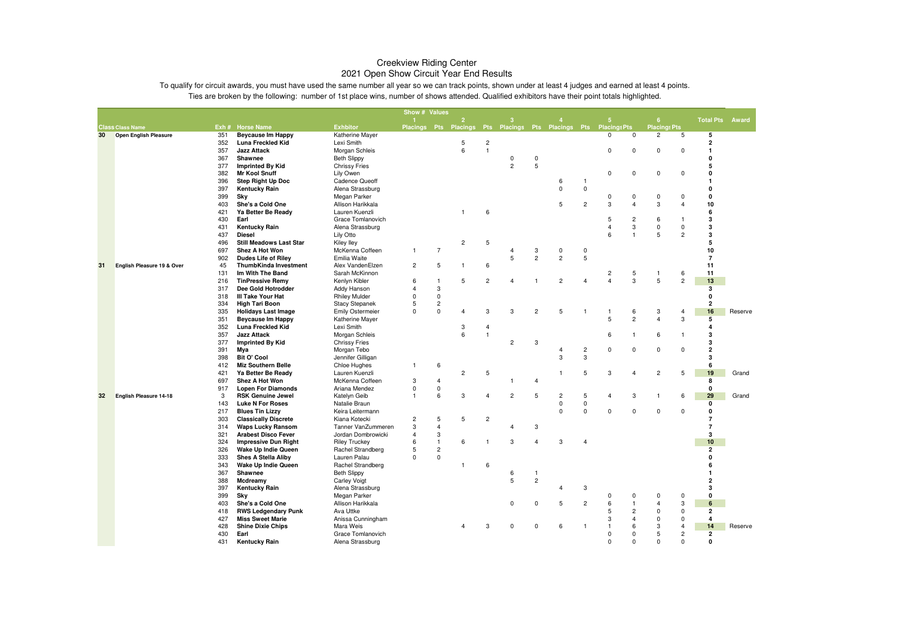|    |                               |            |                                                     |                                 | Show # Values  |                |                                                                  |                         |                |                |                            |                            |                                  |                         |                      |                         |                                           |         |
|----|-------------------------------|------------|-----------------------------------------------------|---------------------------------|----------------|----------------|------------------------------------------------------------------|-------------------------|----------------|----------------|----------------------------|----------------------------|----------------------------------|-------------------------|----------------------|-------------------------|-------------------------------------------|---------|
|    |                               |            |                                                     |                                 |                |                | $\overline{2}$                                                   |                         |                |                |                            |                            |                                  |                         | 6                    |                         | <b>Total Pts</b>                          | Award   |
|    | <b>Class Class Name</b>       |            | Exh # Horse Name                                    | <b>Exhbitor</b>                 |                |                | Placings Pts Placings Pts Placings Pts Placings Pts Placings Pts |                         |                |                |                            |                            | $\Omega$                         | $\mathbf 0$             | <b>Placings Pts</b>  |                         |                                           |         |
| 30 | <b>Open English Pleasure</b>  | 351<br>352 | <b>Beycause Im Happy</b><br>Luna Freckled Kid       | Katherine Mayer<br>Lexi Smith   |                |                | 5                                                                | $\overline{\mathbf{c}}$ |                |                |                            |                            |                                  |                         | $\overline{c}$       | 5                       | 5<br>$\overline{2}$                       |         |
|    |                               | 357        | <b>Jazz Attack</b>                                  | Morgan Schleis                  |                |                | 6                                                                | $\mathbf{1}$            |                |                |                            |                            | $\mathbf 0$                      | 0                       | 0                    | 0                       | $\mathbf{1}$                              |         |
|    |                               | 367        | Shawnee                                             | <b>Beth Slippy</b>              |                |                |                                                                  |                         | 0              | 0              |                            |                            |                                  |                         |                      |                         | $\mathbf{0}$                              |         |
|    |                               | 377        | <b>Imprinted By Kid</b>                             | <b>Chrissy Fries</b>            |                |                |                                                                  |                         | $\overline{2}$ | 5              |                            |                            |                                  |                         |                      |                         | 5                                         |         |
|    |                               | 382        | <b>Mr Kool Snuff</b>                                | Lily Owen                       |                |                |                                                                  |                         |                |                |                            |                            | $\mathbf 0$                      | 0                       | 0                    | 0                       | 0                                         |         |
|    |                               | 396        | Step Right Up Doc                                   | Cadence Queoff                  |                |                |                                                                  |                         |                |                | 6                          | $\overline{1}$             |                                  |                         |                      |                         | $\mathbf{1}$                              |         |
|    |                               | 397        | Kentucky Rain                                       | Alena Strassburg                |                |                |                                                                  |                         |                |                | $\mathbf 0$                | $\mathbf 0$                |                                  |                         |                      |                         | $\mathbf{0}$                              |         |
|    |                               | 399        | Sky                                                 | Megan Parker                    |                |                |                                                                  |                         |                |                |                            |                            | $\Omega$                         | 0                       | 0                    | $\mathbf 0$             | $\mathbf{0}$                              |         |
|    |                               | 403        | She's a Cold One                                    | Allison Harikkala               |                |                |                                                                  |                         |                |                | 5                          | $\overline{c}$             | 3                                | $\overline{4}$          | 3                    | $\overline{4}$          | 10                                        |         |
|    |                               | 421        | Ya Better Be Ready                                  | Lauren Kuenzli                  |                |                |                                                                  | 6                       |                |                |                            |                            |                                  |                         |                      |                         | 6                                         |         |
|    |                               | 430        | Earl                                                | Grace Tomlanovich               |                |                |                                                                  |                         |                |                |                            |                            | 5                                | $\overline{c}$          | 6                    | $\mathbf{1}$            | 3                                         |         |
|    |                               | 431        | Kentucky Rain                                       | Alena Strassburg                |                |                |                                                                  |                         |                |                |                            |                            | $\overline{4}$                   | $\mathsf 3$             | $\Omega$             | $\mathbf 0$             | 3                                         |         |
|    |                               | 437        | <b>Diesel</b>                                       | Lily Otto                       |                |                |                                                                  |                         |                |                |                            |                            | 6                                | $\mathbf{1}$            | 5                    | $\overline{c}$          | 3                                         |         |
|    |                               | 496        | <b>Still Meadows Last Star</b>                      | Kiley Iley                      |                |                | $\overline{c}$                                                   | 5                       |                |                |                            |                            |                                  |                         |                      |                         | 5                                         |         |
|    |                               | 697        | Shez A Hot Won                                      | McKenna Coffeen                 | $\overline{1}$ | $\overline{7}$ |                                                                  |                         | $\overline{4}$ | 3              | $\mathbf 0$                | 0                          |                                  |                         |                      |                         | 10                                        |         |
|    |                               | 902        | <b>Dudes Life of Riley</b>                          | Emilia Waite                    |                |                |                                                                  |                         | 5              | $\overline{c}$ | $\overline{c}$             | $\overline{5}$             |                                  |                         |                      |                         | $\overline{7}$                            |         |
| 31 | English Pleasure 19 & Over    | 45         | <b>ThumbKinda Investment</b>                        | Alex VandenElzen                | $\overline{2}$ | 5              | $\mathbf{1}$                                                     | 6                       |                |                |                            |                            |                                  |                         |                      |                         | 11                                        |         |
|    |                               | 131<br>216 | Im With The Band<br><b>TinPressive Remy</b>         | Sarah McKinnon<br>Kenlyn Kibler | 6              | $\mathbf{1}$   | 5                                                                | $\overline{c}$          | $\overline{4}$ | $\mathbf{1}$   | $\overline{c}$             | $\overline{4}$             | $\overline{c}$<br>$\overline{4}$ | 5<br>3                  | $\mathbf{1}$<br>5    | 6<br>$\overline{c}$     | 11<br>13                                  |         |
|    |                               | 317        | Dee Gold Hotrodder                                  | <b>Addy Hanson</b>              | $\overline{4}$ | 3              |                                                                  |                         |                |                |                            |                            |                                  |                         |                      |                         | 3                                         |         |
|    |                               | 318        | III Take Your Hat                                   | <b>Rhiley Mulder</b>            | $\mathbf 0$    | $\mathsf 0$    |                                                                  |                         |                |                |                            |                            |                                  |                         |                      |                         | 0                                         |         |
|    |                               | 334        | <b>High Tari Boon</b>                               | <b>Stacy Stepanek</b>           | 5              | $\sqrt{2}$     |                                                                  |                         |                |                |                            |                            |                                  |                         |                      |                         | $\overline{2}$                            |         |
|    |                               | 335        | <b>Holidays Last Image</b>                          | <b>Emily Ostermeier</b>         | $\mathbf 0$    | $\mathbf 0$    | $\overline{4}$                                                   | 3                       | 3              | $\overline{c}$ | 5                          | $\overline{1}$             |                                  | 6                       | 3                    | $\overline{4}$          | 16                                        | Reserve |
|    |                               | 351        | <b>Beycause Im Happy</b>                            | Katherine Mayer                 |                |                |                                                                  |                         |                |                |                            |                            | 5                                | $\overline{2}$          | $\overline{4}$       | 3                       | 5                                         |         |
|    |                               | 352        | <b>Luna Freckled Kid</b>                            | Lexi Smith                      |                |                | 3                                                                | $\overline{4}$          |                |                |                            |                            |                                  |                         |                      |                         | $\overline{a}$                            |         |
|    |                               | 357        | <b>Jazz Attack</b>                                  | Morgan Schleis                  |                |                | 6                                                                | $\overline{1}$          |                |                |                            |                            | 6                                | $\mathbf{1}$            | 6                    | $\overline{1}$          | 3                                         |         |
|    |                               | 377        | <b>Imprinted By Kid</b>                             | <b>Chrissy Fries</b>            |                |                |                                                                  |                         | $\overline{c}$ | 3              |                            |                            |                                  |                         |                      |                         | 3                                         |         |
|    |                               | 391        | Mya                                                 | Morgan Tebo                     |                |                |                                                                  |                         |                |                | $\overline{4}$             | $\overline{c}$             | $\mathbf 0$                      | 0                       | $\mathbf 0$          | $\mathbf 0$             | $\overline{2}$                            |         |
|    |                               | 398        | <b>Bit O' Cool</b>                                  | Jennifer Gilligan               |                |                |                                                                  |                         |                |                | 3                          | 3                          |                                  |                         |                      |                         | 3                                         |         |
|    |                               | 412        | <b>Miz Southern Belle</b>                           | Chloe Hughes                    | -1             | 6              |                                                                  |                         |                |                |                            |                            |                                  |                         |                      |                         | 6                                         |         |
|    |                               | 421        | Ya Better Be Ready                                  | Lauren Kuenzli                  |                |                | $\overline{c}$                                                   | 5                       |                |                | $\overline{1}$             | 5                          | 3                                | $\overline{4}$          | $\overline{c}$       | 5                       | 19                                        | Grand   |
|    |                               | 697        | <b>Shez A Hot Won</b>                               | McKenna Coffeen                 | 3              | $\overline{4}$ |                                                                  |                         | -1             | $\overline{4}$ |                            |                            |                                  |                         |                      |                         | 8                                         |         |
|    |                               | 917        | <b>Lopen For Diamonds</b>                           | Ariana Mendez                   | $\mathbf 0$    | 0              |                                                                  | $\overline{4}$          |                |                |                            |                            |                                  |                         |                      |                         | $\mathbf{0}$                              |         |
| 32 | <b>English Pleasure 14-18</b> | 3<br>143   | <b>RSK Genuine Jewel</b><br><b>Luke N For Roses</b> | Katelyn Geib<br>Natalie Braun   | $\mathbf{1}$   | 6              | 3                                                                |                         | $\overline{c}$ | 5              | $\overline{c}$<br>$\Omega$ | $\,$ 5 $\,$<br>$\mathbf 0$ | $\overline{4}$                   | 3                       | $\mathbf{1}$         | 6                       | 29<br>$\mathbf 0$                         | Grand   |
|    |                               | 217        | <b>Blues Tin Lizzy</b>                              | Keira Leitermann                |                |                |                                                                  |                         |                |                | $\mathbf 0$                | $\mathbf 0$                | $\mathbf 0$                      | $\mathbf 0$             | $\mathbf 0$          | $\Omega$                | $\mathbf 0$                               |         |
|    |                               | 303        | <b>Classically Discrete</b>                         | Kiana Kotecki                   | $\overline{c}$ | $\,$ 5 $\,$    | 5                                                                | $\overline{c}$          |                |                |                            |                            |                                  |                         |                      |                         | $\overline{7}$                            |         |
|    |                               | 314        | <b>Waps Lucky Ransom</b>                            | Tanner VanZummeren              | 3              | $\overline{4}$ |                                                                  |                         | $\overline{4}$ | 3              |                            |                            |                                  |                         |                      |                         | $\overline{7}$                            |         |
|    |                               | 321        | <b>Arabest Disco Fever</b>                          | Jordan Dombrowicki              | $\overline{4}$ | $\sqrt{3}$     |                                                                  |                         |                |                |                            |                            |                                  |                         |                      |                         | 3                                         |         |
|    |                               | 324        | <b>Impressive Dun Right</b>                         | <b>Riley Truckey</b>            | 6              | $\mathbf{1}$   | 6                                                                | $\mathbf{1}$            | 3              | $\overline{4}$ | 3                          | $\overline{4}$             |                                  |                         |                      |                         | 10                                        |         |
|    |                               | 326        | Wake Up Indie Queen                                 | Rachel Strandberg               | 5              | $\overline{c}$ |                                                                  |                         |                |                |                            |                            |                                  |                         |                      |                         | $\overline{2}$                            |         |
|    |                               | 333        | <b>Shes A Stella Aliby</b>                          | Lauren Palau                    | $\mathbf 0$    | $\pmb{0}$      |                                                                  |                         |                |                |                            |                            |                                  |                         |                      |                         | $\mathbf{0}$                              |         |
|    |                               | 343        | Wake Up Indie Queen                                 | Rachel Strandberg               |                |                |                                                                  | 6                       |                |                |                            |                            |                                  |                         |                      |                         | 6                                         |         |
|    |                               | 367        | Shawnee                                             | <b>Beth Slippy</b>              |                |                |                                                                  |                         | 6              | $\mathbf{1}$   |                            |                            |                                  |                         |                      |                         | $\mathbf{1}$                              |         |
|    |                               | 388        | Mcdreamy                                            | <b>Carley Voigt</b>             |                |                |                                                                  |                         | 5              | $\overline{c}$ |                            |                            |                                  |                         |                      |                         | $\overline{2}$                            |         |
|    |                               | 397        | Kentucky Rain                                       | Alena Strassburg                |                |                |                                                                  |                         |                |                | 4                          | 3                          |                                  |                         |                      |                         | 3                                         |         |
|    |                               | 399        | Sky                                                 | Megan Parker                    |                |                |                                                                  |                         |                |                |                            |                            | $\Omega$                         | 0                       | 0                    | $\mathbf 0$             | $\mathbf{0}$                              |         |
|    |                               | 403        | She's a Cold One                                    | Allison Harikkala               |                |                |                                                                  |                         | $\mathbf 0$    | $\mathbf 0$    | 5                          | $\overline{c}$             | 6                                | $\overline{1}$          | $\overline{4}$       | 3                       | $6\phantom{1}6$                           |         |
|    |                               | 418        | <b>RWS Ledgendary Punk</b>                          | Ava Uttke                       |                |                |                                                                  |                         |                |                |                            |                            | 5<br>3                           | $\overline{\mathbf{c}}$ | $\Omega$<br>$\Omega$ | $\mathbf 0$<br>$\Omega$ | $\overline{\mathbf{2}}$<br>$\overline{a}$ |         |
|    |                               | 427<br>428 | <b>Miss Sweet Marie</b><br><b>Shine Dixie Chips</b> | Anissa Cunningham<br>Mara Weis  |                |                | 4                                                                | 3                       | $\mathbf 0$    | $\mathbf 0$    | 6                          | $\overline{1}$             | $\overline{1}$                   | 4<br>6                  | 3                    | $\overline{4}$          | 14                                        | Reserve |
|    |                               | 430        | Earl                                                | Grace Tomlanovich               |                |                |                                                                  |                         |                |                |                            |                            | $\Omega$                         | $\Omega$                | 5                    | $\overline{c}$          | $\overline{2}$                            |         |
|    |                               | 431        | <b>Kentucky Rain</b>                                | Alena Strassburg                |                |                |                                                                  |                         |                |                |                            |                            | $\Omega$                         | $\mathbf 0$             | $\Omega$             | $\Omega$                | $\mathbf{0}$                              |         |
|    |                               |            |                                                     |                                 |                |                |                                                                  |                         |                |                |                            |                            |                                  |                         |                      |                         |                                           |         |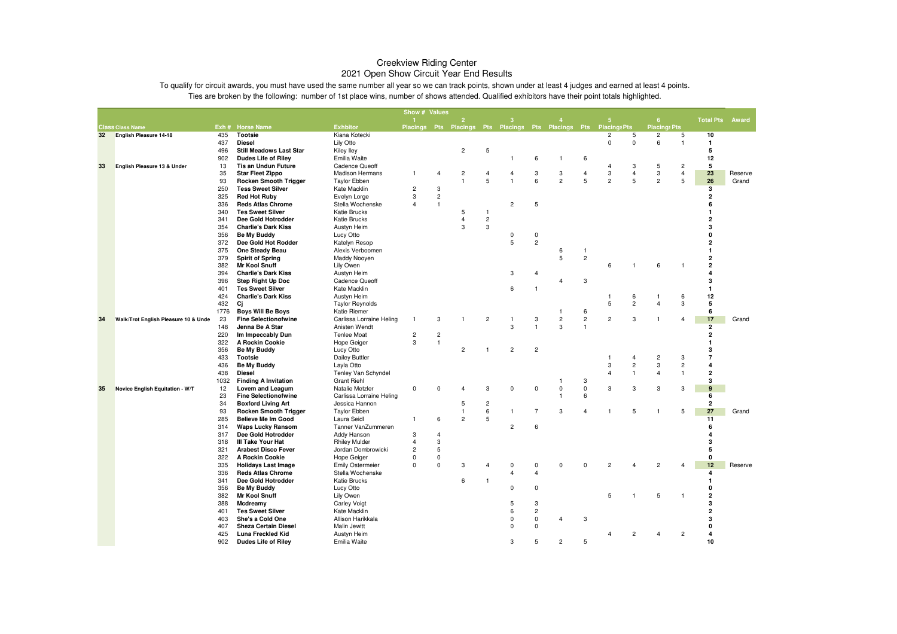|                 |                                      |            |                                                        |                                             | Show # Values              |                  |                                                                  |                |                               |                     |                              |                 |                |                         |                     |                       |                         |         |
|-----------------|--------------------------------------|------------|--------------------------------------------------------|---------------------------------------------|----------------------------|------------------|------------------------------------------------------------------|----------------|-------------------------------|---------------------|------------------------------|-----------------|----------------|-------------------------|---------------------|-----------------------|-------------------------|---------|
|                 |                                      |            |                                                        |                                             |                            |                  | $\overline{2}$                                                   |                | 3                             |                     |                              |                 | ۰              |                         | 6 <sup>1</sup>      |                       | <b>Total Pts</b>        | Award   |
|                 | <b>Class Class Name</b>              |            | Exh # Horse Name                                       | <b>Exhbitor</b>                             |                            |                  | Placings Pts Placings Pts Placings Pts Placings Pts Placings Pts |                |                               |                     |                              |                 |                |                         | <b>Placings Pts</b> |                       |                         |         |
| 32 <sub>2</sub> | <b>English Pleasure 14-18</b>        | 435        | <b>Tootsie</b>                                         | Kiana Kotecki                               |                            |                  |                                                                  |                |                               |                     |                              |                 | $\overline{c}$ | 5                       | $\overline{c}$      | 5                     | 10                      |         |
|                 |                                      | 437        | <b>Diesel</b><br><b>Still Meadows Last Star</b>        | Lily Otto                                   |                            |                  |                                                                  | 5              |                               |                     |                              |                 | 0              | $\mathbf 0$             | 6                   | $\overline{1}$        | $\mathbf{1}$<br>5       |         |
|                 |                                      | 496<br>902 | <b>Dudes Life of Riley</b>                             | Kiley lley<br>Emilia Waite                  |                            |                  | $\overline{\mathbf{c}}$                                          |                | 1                             | 6                   |                              | 6               |                |                         |                     |                       | 12                      |         |
| 33              | English Pleasure 13 & Under          | 13         | <b>Tis an Undun Future</b>                             | <b>Cadence Queoff</b>                       |                            |                  |                                                                  |                |                               |                     | -1                           |                 | $\overline{4}$ | 3                       | 5                   | $\overline{c}$        | 5                       |         |
|                 |                                      | 35         | <b>Star Fleet Zippo</b>                                | <b>Madison Hermans</b>                      | 1                          | $\overline{4}$   | $\overline{2}$                                                   | $\overline{4}$ | 4                             | 3                   | 3                            | $\overline{4}$  | 3              | $\overline{4}$          | 3                   | $\overline{4}$        | 23                      | Reserve |
|                 |                                      | 93         | <b>Rocken Smooth Trigger</b>                           | <b>Taylor Ebben</b>                         |                            |                  | $\mathbf{1}$                                                     | 5              | $\mathbf{1}$                  | 6                   | $\overline{c}$               | 5               | $\overline{c}$ | 5                       | $\overline{c}$      | 5                     | 26                      | Grand   |
|                 |                                      | 250        | <b>Tess Sweet Silver</b>                               | Kate Macklin                                | $\overline{2}$             | 3                |                                                                  |                |                               |                     |                              |                 |                |                         |                     |                       | 3                       |         |
|                 |                                      | 325        | <b>Red Hot Ruby</b>                                    | Evelyn Lorge                                | 3                          | $\overline{c}$   |                                                                  |                |                               |                     |                              |                 |                |                         |                     |                       | $\overline{2}$          |         |
|                 |                                      | 336        | <b>Reds Atlas Chrome</b>                               | Stella Wochenske                            | 4                          | $\overline{1}$   |                                                                  |                | $\overline{c}$                | $\sqrt{5}$          |                              |                 |                |                         |                     |                       | 6                       |         |
|                 |                                      | 340        | <b>Tes Sweet Silver</b>                                | <b>Katie Brucks</b>                         |                            |                  | 5                                                                | -1             |                               |                     |                              |                 |                |                         |                     |                       | $\mathbf{1}$            |         |
|                 |                                      | 341        | Dee Gold Hotrodder                                     | <b>Katie Brucks</b>                         |                            |                  | 4                                                                | $\overline{c}$ |                               |                     |                              |                 |                |                         |                     |                       | 2                       |         |
|                 |                                      | 354        | <b>Charlie's Dark Kiss</b>                             | Austyn Heim                                 |                            |                  | 3                                                                | 3              |                               |                     |                              |                 |                |                         |                     |                       | 3                       |         |
|                 |                                      | 356        | Be My Buddy                                            | Lucy Otto                                   |                            |                  |                                                                  |                | $\mathbf 0$                   | $\mathbf 0$         |                              |                 |                |                         |                     |                       | n                       |         |
|                 |                                      | 372        | Dee Gold Hot Rodder                                    | Katelyn Resop                               |                            |                  |                                                                  |                | 5                             | $\overline{c}$      |                              |                 |                |                         |                     |                       | 2                       |         |
|                 |                                      | 375        | One Steady Beau                                        | Alexis Verboomen                            |                            |                  |                                                                  |                |                               |                     | 6                            | -1              |                |                         |                     |                       | $\mathbf{1}$            |         |
|                 |                                      | 379        | <b>Spirit of Spring</b>                                | Maddy Nooyen                                |                            |                  |                                                                  |                |                               |                     | 5                            | $\overline{c}$  |                |                         |                     |                       | $\mathbf{2}$            |         |
|                 |                                      | 382        | <b>Mr Kool Snuff</b>                                   | Lily Owen                                   |                            |                  |                                                                  |                |                               |                     |                              |                 | 6              | $\mathbf{1}$            | 6                   | $\overline{1}$        | $\overline{2}$          |         |
|                 |                                      | 394        | <b>Charlie's Dark Kiss</b>                             | Austyn Heim                                 |                            |                  |                                                                  |                | 3                             | $\overline{4}$      |                              |                 |                |                         |                     |                       | 4                       |         |
|                 |                                      | 396        | <b>Step Right Up Doc</b>                               | Cadence Queoff                              |                            |                  |                                                                  |                |                               |                     | $\overline{4}$               | 3               |                |                         |                     |                       | 3                       |         |
|                 |                                      | 401        | <b>Tes Sweet Silver</b>                                | Kate Macklin                                |                            |                  |                                                                  |                | 6                             | $\overline{1}$      |                              |                 |                |                         |                     |                       | $\mathbf{1}$            |         |
|                 |                                      | 424        | <b>Charlie's Dark Kiss</b>                             | Austyn Heim                                 |                            |                  |                                                                  |                |                               |                     |                              |                 | 1              | 6                       |                     | 6                     | 12                      |         |
|                 |                                      | 432        | Ci                                                     | <b>Taylor Reynolds</b>                      |                            |                  |                                                                  |                |                               |                     |                              |                 | 5              | $\overline{2}$          | $\overline{4}$      | 3                     | 5                       |         |
|                 |                                      | 1776       | <b>Boys Will Be Boys</b>                               | Katie Riemer                                | 1                          |                  | 1                                                                |                |                               |                     | 1<br>$\overline{\mathbf{c}}$ | 6<br>$\sqrt{2}$ | $\overline{c}$ | 3                       |                     | $\boldsymbol{\Delta}$ | 6<br>17                 |         |
| 34              | Walk/Trot English Pleasure 10 & Unde | 23<br>148  | <b>Fine Selectionofwine</b><br>Jenna Be A Star         | Carlissa Lorraine Heling<br>Anisten Wendt   |                            | 3                |                                                                  | $\overline{c}$ | $\overline{1}$<br>3           | 3<br>$\overline{1}$ | 3                            | $\overline{1}$  |                |                         |                     |                       | $\overline{2}$          | Grand   |
|                 |                                      | 220        | Im Impeccably Dun                                      | Tenlee Moat                                 | $\overline{\mathbf{c}}$    | $\overline{c}$   |                                                                  |                |                               |                     |                              |                 |                |                         |                     |                       | 2                       |         |
|                 |                                      | 322        | A Rockin Cookie                                        | <b>Hope Geiger</b>                          | 3                          | $\overline{1}$   |                                                                  |                |                               |                     |                              |                 |                |                         |                     |                       |                         |         |
|                 |                                      | 356        | Be My Buddy                                            | Lucy Otto                                   |                            |                  | $\overline{c}$                                                   |                | $\overline{c}$                | $\overline{c}$      |                              |                 |                |                         |                     |                       | 3                       |         |
|                 |                                      | 433        | <b>Tootsie</b>                                         | <b>Dailey Buttler</b>                       |                            |                  |                                                                  |                |                               |                     |                              |                 | 1              | $\overline{4}$          | $\overline{c}$      | 3                     | $\overline{7}$          |         |
|                 |                                      | 436        | Be My Buddy                                            | Layla Otto                                  |                            |                  |                                                                  |                |                               |                     |                              |                 | 3              | $\overline{\mathbf{c}}$ | 3                   | $\overline{2}$        | $\overline{\mathbf{A}}$ |         |
|                 |                                      | 438        | Diesel                                                 | Tenley Van Schyndel                         |                            |                  |                                                                  |                |                               |                     |                              |                 | $\overline{4}$ | $\overline{1}$          | $\overline{4}$      | $\mathbf{1}$          | $\overline{2}$          |         |
|                 |                                      | 1032       | <b>Finding A Invitation</b>                            | <b>Grant Riehl</b>                          |                            |                  |                                                                  |                |                               |                     | -1                           | 3               |                |                         |                     |                       | 3                       |         |
| 35              | Novice English Equitation - W/T      | 12         | Lovem and Leagum                                       | Natalie Metzler                             | $\Omega$                   | $\Omega$         | $\overline{4}$                                                   | 3              | $\Omega$                      | $\mathbf 0$         | 0                            | $\overline{0}$  | 3              | 3                       | 3                   | 3                     | $\mathbf{q}$            |         |
|                 |                                      | 23         | <b>Fine Selectionofwine</b>                            | Carlissa Lorraine Heling                    |                            |                  |                                                                  |                |                               |                     | $\mathbf{1}$                 | 6               |                |                         |                     |                       | 6                       |         |
|                 |                                      | 34         | <b>Boxford Living Art</b>                              | Jessica Hannon                              |                            |                  | 5                                                                | $\overline{c}$ |                               |                     |                              |                 |                |                         |                     |                       | $\overline{2}$          |         |
|                 |                                      | 93         | <b>Rocken Smooth Trigger</b>                           | <b>Taylor Ebben</b>                         |                            |                  | $\mathbf{1}$                                                     | 6              | $\mathbf{1}$                  | $\overline{7}$      | 3                            | $\overline{4}$  | -1             | 5                       | 1                   | 5                     | 27                      | Grand   |
|                 |                                      | 285        | Believe Me Im Good                                     | Laura Seidl                                 | 1                          | 6                | $\overline{2}$                                                   | 5              |                               |                     |                              |                 |                |                         |                     |                       | 11                      |         |
|                 |                                      | 314        | <b>Waps Lucky Ransom</b>                               | Tanner VanZummeren                          |                            |                  |                                                                  |                | $\overline{c}$                | 6                   |                              |                 |                |                         |                     |                       | 6                       |         |
|                 |                                      | 317        | Dee Gold Hotrodder                                     | Addy Hanson                                 | 3                          | $\overline{4}$   |                                                                  |                |                               |                     |                              |                 |                |                         |                     |                       |                         |         |
|                 |                                      | 318        | III Take Your Hat                                      | <b>Rhiley Mulder</b>                        | 4                          | 3                |                                                                  |                |                               |                     |                              |                 |                |                         |                     |                       | 3                       |         |
|                 |                                      | 321        | <b>Arabest Disco Fever</b>                             | Jordan Dombrowicki                          | $\overline{2}$<br>$\Omega$ | 5<br>$\mathbf 0$ |                                                                  |                |                               |                     |                              |                 |                |                         |                     |                       | 5<br>0                  |         |
|                 |                                      | 322        | A Rockin Cookie                                        | <b>Hope Geiger</b>                          | 0                          | $\overline{0}$   | 3                                                                |                |                               |                     | $\Omega$                     | $\Omega$        | $\overline{2}$ | $\overline{4}$          | $\overline{c}$      |                       | 12                      |         |
|                 |                                      | 335<br>336 | <b>Holidays Last Image</b><br><b>Reds Atlas Chrome</b> | <b>Emily Ostermeier</b><br>Stella Wochenske |                            |                  |                                                                  |                | $\mathbf 0$<br>$\overline{4}$ | 0<br>$\overline{4}$ |                              |                 |                |                         |                     |                       | 4                       | Reserve |
|                 |                                      | 341        | Dee Gold Hotrodder                                     | <b>Katie Brucks</b>                         |                            |                  | 6                                                                |                |                               |                     |                              |                 |                |                         |                     |                       | $\mathbf{1}$            |         |
|                 |                                      | 356        | <b>Be My Buddy</b>                                     | Lucy Otto                                   |                            |                  |                                                                  |                | $\Omega$                      | $\mathbf 0$         |                              |                 |                |                         |                     |                       | 0                       |         |
|                 |                                      | 382        | <b>Mr Kool Snuff</b>                                   | Lily Owen                                   |                            |                  |                                                                  |                |                               |                     |                              |                 | 5              | $\overline{1}$          | 5                   | 1                     | $\overline{2}$          |         |
|                 |                                      | 388        | Mcdreamy                                               | <b>Carley Voigt</b>                         |                            |                  |                                                                  |                | 5                             | 3                   |                              |                 |                |                         |                     |                       | 3                       |         |
|                 |                                      | 401        | <b>Tes Sweet Silver</b>                                | Kate Macklin                                |                            |                  |                                                                  |                | 6                             | $\overline{c}$      |                              |                 |                |                         |                     |                       | $\overline{2}$          |         |
|                 |                                      | 403        | She's a Cold One                                       | Allison Harikkala                           |                            |                  |                                                                  |                | 0                             | $\mathsf 0$         | Δ                            | 3               |                |                         |                     |                       | 3                       |         |
|                 |                                      | 407        | <b>Sheza Certain Diesel</b>                            | Malin Jewitt                                |                            |                  |                                                                  |                | $\mathbf 0$                   | $^{\circ}$          |                              |                 |                |                         |                     |                       | 0                       |         |
|                 |                                      | 425        | Luna Freckled Kid                                      | Austyn Heim                                 |                            |                  |                                                                  |                |                               |                     |                              |                 | 4              | $\overline{c}$          | $\overline{4}$      | $\overline{c}$        | 4                       |         |
|                 |                                      | 902        | <b>Dudes Life of Riley</b>                             | Emilia Waite                                |                            |                  |                                                                  |                | 3                             | 5                   | $\overline{c}$               | 5               |                |                         |                     |                       | 10                      |         |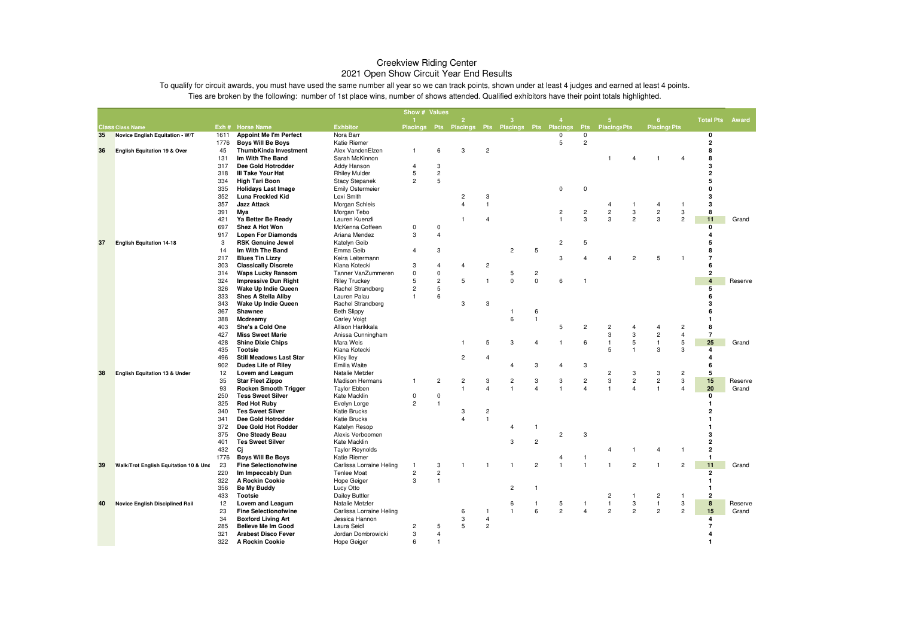|    |                                          |            |                                                        |                                       | Show # Values           |                         |                                                 |                     |                                |                |                         |                                           |                                           |                                  |                             |                |                         |         |
|----|------------------------------------------|------------|--------------------------------------------------------|---------------------------------------|-------------------------|-------------------------|-------------------------------------------------|---------------------|--------------------------------|----------------|-------------------------|-------------------------------------------|-------------------------------------------|----------------------------------|-----------------------------|----------------|-------------------------|---------|
|    |                                          |            |                                                        |                                       |                         |                         | $\overline{2}$                                  |                     | 3                              |                |                         |                                           | 5                                         |                                  | 6                           |                | <b>Total Pts</b>        | Award   |
|    | <b>Class Class Name</b>                  |            | Exh # Horse Name                                       | <b>Exhbitor</b>                       |                         |                         | Placings Pts Placings Pts Placings Pts Placings |                     |                                |                |                         | <b>Pts</b>                                | <b>Placings Pts</b>                       |                                  | <b>Placings Pts</b>         |                |                         |         |
| 35 | Novice English Equitation - W/T          | 1611       | <b>Appoint Me I'm Perfect</b>                          | Nora Barr                             |                         |                         |                                                 |                     |                                |                | $\Omega$                | $\Omega$                                  |                                           |                                  |                             |                | $\mathbf 0$             |         |
|    |                                          | 1776       | <b>Boys Will Be Boys</b>                               | Katie Riemer                          |                         |                         |                                                 |                     |                                |                | 5                       | $\overline{2}$                            |                                           |                                  |                             |                | $\overline{\mathbf{2}}$ |         |
| 36 | <b>English Equitation 19 &amp; Over</b>  | 45         | ThumbKinda Investment                                  | Alex VandenElzen                      | $\mathbf{1}$            | 6                       | 3                                               | $\overline{c}$      |                                |                |                         |                                           |                                           |                                  |                             |                | 8                       |         |
|    |                                          | 131        | Im With The Band                                       | Sarah McKinnon                        |                         |                         |                                                 |                     |                                |                |                         |                                           | -1                                        | 4                                | 1                           | 4              | 8                       |         |
|    |                                          | 317        | Dee Gold Hotrodder                                     | Addy Hanson                           | $\overline{4}$          | 3                       |                                                 |                     |                                |                |                         |                                           |                                           |                                  |                             |                | 3                       |         |
|    |                                          | 318        | <b>III Take Your Hat</b>                               | <b>Rhiley Mulder</b>                  | 5                       | $\overline{c}$          |                                                 |                     |                                |                |                         |                                           |                                           |                                  |                             |                | $\overline{2}$<br>5     |         |
|    |                                          | 334        | <b>High Tari Boon</b>                                  | <b>Stacy Stepanek</b>                 | $\overline{c}$          | 5                       |                                                 |                     |                                |                |                         |                                           |                                           |                                  |                             |                | 0                       |         |
|    |                                          | 335<br>352 | <b>Holidays Last Image</b><br><b>Luna Freckled Kid</b> | <b>Emily Ostermeier</b><br>Lexi Smith |                         |                         | $\overline{2}$                                  | 3                   |                                |                | $\mathbf 0$             | $\mathsf 0$                               |                                           |                                  |                             |                | 3                       |         |
|    |                                          | 357        | <b>Jazz Attack</b>                                     | Morgan Schleis                        |                         |                         | 4                                               | $\mathbf{1}$        |                                |                |                         |                                           | 4                                         | 1                                | 4                           | -1             | 3                       |         |
|    |                                          | 391        | Mya                                                    | Morgan Tebo                           |                         |                         |                                                 |                     |                                |                | $\overline{c}$          | $\sqrt{2}$                                | $\mathbf 2$                               | $\ensuremath{\mathsf{3}}$        | $\sqrt{2}$                  | 3              | 8                       |         |
|    |                                          | 421        | Ya Better Be Ready                                     | Lauren Kuenzli                        |                         |                         | 1                                               | $\overline{4}$      |                                |                | $\mathbf{1}$            | 3                                         | 3                                         | $\overline{2}$                   | 3                           | $\overline{2}$ | 11                      | Grand   |
|    |                                          | 697        | Shez A Hot Won                                         | McKenna Coffeen                       | 0                       | $\pmb{0}$               |                                                 |                     |                                |                |                         |                                           |                                           |                                  |                             |                | 0                       |         |
|    |                                          | 917        | <b>Lopen For Diamonds</b>                              | Ariana Mendez                         | 3                       | 4                       |                                                 |                     |                                |                |                         |                                           |                                           |                                  |                             |                | 4                       |         |
| 37 | <b>English Equitation 14-18</b>          | 3          | <b>RSK Genuine Jewel</b>                               | Katelyn Geib                          |                         |                         |                                                 |                     |                                |                | $\overline{c}$          | 5                                         |                                           |                                  |                             |                | 5                       |         |
|    |                                          | 14         | Im With The Band                                       | Emma Geib                             | $\overline{4}$          | 3                       |                                                 |                     | 2                              | 5              |                         |                                           |                                           |                                  |                             |                | 8                       |         |
|    |                                          | 217        | <b>Blues Tin Lizzy</b>                                 | Keira Leitermann                      |                         |                         |                                                 |                     |                                |                | 3                       | $\Delta$                                  | Δ                                         | $\overline{c}$                   | 5                           |                | $\overline{7}$          |         |
|    |                                          | 303        | <b>Classically Discrete</b>                            | Kiana Kotecki                         | 3                       | $\overline{4}$          | 4                                               | $\overline{c}$      |                                |                |                         |                                           |                                           |                                  |                             |                | 6                       |         |
|    |                                          | 314        | <b>Waps Lucky Ransom</b>                               | Tanner VanZummeren                    | $\mathbf 0$             | $\mathbf 0$             |                                                 |                     | 5                              | $\sqrt{2}$     |                         |                                           |                                           |                                  |                             |                | $\overline{2}$          |         |
|    |                                          | 324        | <b>Impressive Dun Right</b>                            | <b>Riley Truckey</b>                  | 5                       | $\overline{c}$          | 5                                               | $\overline{1}$      | $\mathbf 0$                    | $\mathbf 0$    | 6                       | $\overline{1}$                            |                                           |                                  |                             |                | $\overline{4}$          | Reserve |
|    |                                          | 326        | Wake Up Indie Queen                                    | Rachel Strandberg                     | $\overline{\mathbf{c}}$ | 5                       |                                                 |                     |                                |                |                         |                                           |                                           |                                  |                             |                | 5                       |         |
|    |                                          | 333        | <b>Shes A Stella Aliby</b>                             | Lauren Palau                          | $\overline{1}$          | 6                       |                                                 |                     |                                |                |                         |                                           |                                           |                                  |                             |                | 6                       |         |
|    |                                          | 343        | Wake Up Indie Queen                                    | Rachel Strandberg                     |                         |                         | $\mathsf 3$                                     | $\mathsf 3$         |                                |                |                         |                                           |                                           |                                  |                             |                | 3                       |         |
|    |                                          | 367        | Shawnee                                                | <b>Beth Slippy</b>                    |                         |                         |                                                 |                     |                                | 6              |                         |                                           |                                           |                                  |                             |                | 6                       |         |
|    |                                          | 388        | Mcdreamy                                               | <b>Carley Voigt</b>                   |                         |                         |                                                 |                     | 6                              | $\overline{1}$ |                         |                                           |                                           |                                  |                             |                |                         |         |
|    |                                          | 403        | She's a Cold One                                       | Allison Harikkala                     |                         |                         |                                                 |                     |                                |                | 5                       | $\overline{c}$                            | $\overline{c}$                            | 4                                | 4                           | $\overline{c}$ | 8                       |         |
|    |                                          | 427        | <b>Miss Sweet Marie</b>                                | Anissa Cunningham                     |                         |                         |                                                 |                     |                                |                |                         |                                           | $\ensuremath{\mathsf{3}}$                 | 3                                | $\overline{c}$              | $\overline{4}$ | $\overline{7}$          |         |
|    |                                          | 428        | <b>Shine Dixie Chips</b>                               | Mara Weis                             |                         |                         | $\overline{1}$                                  | 5                   | 3                              | 4              | 1                       | 6                                         | $\mathbf{1}$                              | $\sqrt{5}$                       | $\mathbf{1}$                | $\,$ 5         | 25                      | Grand   |
|    |                                          | 435        | <b>Tootsie</b>                                         | Kiana Kotecki                         |                         |                         |                                                 |                     |                                |                |                         |                                           | 5                                         |                                  | 3                           | 3              | $\overline{4}$          |         |
|    |                                          | 496        | <b>Still Meadows Last Star</b>                         | Kiley Iley                            |                         |                         | $\overline{\mathbf{c}}$                         | $\overline{4}$      |                                |                |                         |                                           |                                           |                                  |                             |                | 4                       |         |
|    |                                          | 902        | <b>Dudes Life of Riley</b>                             | Emilia Waite                          |                         |                         |                                                 |                     | 4                              | 3              | $\overline{\mathbf{4}}$ | 3                                         |                                           |                                  |                             |                | 6                       |         |
| 38 | <b>English Equitation 13 &amp; Under</b> | 12         | Lovem and Leagum                                       | Natalie Metzler                       |                         |                         |                                                 |                     |                                |                |                         |                                           | $\overline{c}$                            | 3                                | 3                           | $\overline{c}$ | 5                       |         |
|    |                                          | 35         | <b>Star Fleet Zippo</b>                                | <b>Madison Hermans</b>                | $\mathbf{1}$            | $\overline{c}$          | $\overline{\mathbf{c}}$<br>1                    | 3<br>$\overline{4}$ | $\overline{c}$<br>$\mathbf{1}$ | 3<br>4         | 3<br>$\mathbf{1}$       | $\overline{c}$<br>$\overline{\mathbf{A}}$ | $\ensuremath{\mathsf{3}}$<br>$\mathbf{1}$ | $\overline{c}$<br>$\overline{a}$ | $\mathbf 2$<br>$\mathbf{1}$ | 3              | 15<br>20                | Reserve |
|    |                                          | 93         | <b>Rocken Smooth Trigger</b>                           | <b>Taylor Ebben</b>                   |                         |                         |                                                 |                     |                                |                |                         |                                           |                                           |                                  |                             | $\overline{4}$ | 0                       | Grand   |
|    |                                          | 250<br>325 | <b>Tess Sweet Silver</b><br><b>Red Hot Ruby</b>        | Kate Macklin<br>Evelyn Lorge          | 0<br>$\overline{2}$     | 0<br>$\overline{1}$     |                                                 |                     |                                |                |                         |                                           |                                           |                                  |                             |                | $\mathbf{1}$            |         |
|    |                                          | 340        | <b>Tes Sweet Silver</b>                                | Katie Brucks                          |                         |                         | 3                                               | $\overline{c}$      |                                |                |                         |                                           |                                           |                                  |                             |                | $\overline{2}$          |         |
|    |                                          | 341        | Dee Gold Hotrodder                                     | Katie Brucks                          |                         |                         | 4                                               | $\overline{1}$      |                                |                |                         |                                           |                                           |                                  |                             |                | 1                       |         |
|    |                                          | 372        | Dee Gold Hot Rodder                                    | Katelyn Resop                         |                         |                         |                                                 |                     | 4                              | $\overline{1}$ |                         |                                           |                                           |                                  |                             |                | 1                       |         |
|    |                                          | 375        | One Steady Beau                                        | Alexis Verboomen                      |                         |                         |                                                 |                     |                                |                | $\overline{c}$          | 3                                         |                                           |                                  |                             |                | 3                       |         |
|    |                                          | 401        | <b>Tes Sweet Silver</b>                                | Kate Macklin                          |                         |                         |                                                 |                     | 3                              | $\overline{c}$ |                         |                                           |                                           |                                  |                             |                | $\overline{\mathbf{2}}$ |         |
|    |                                          | 432        | Ci                                                     | <b>Taylor Reynolds</b>                |                         |                         |                                                 |                     |                                |                |                         |                                           | $\overline{4}$                            |                                  | 4                           | -1             | $\overline{\mathbf{2}}$ |         |
|    |                                          | 1776       | <b>Boys Will Be Boys</b>                               | <b>Katie Riemer</b>                   |                         |                         |                                                 |                     |                                |                | 4                       | $\overline{1}$                            |                                           |                                  |                             |                | $\mathbf{1}$            |         |
| 39 | Walk/Trot English Equitation 10 & Unc    | 23         | <b>Fine Selectionofwine</b>                            | Carlissa Lorraine Heling              | 1                       | 3                       | $\mathbf{1}$                                    | $\overline{1}$      | $\mathbf{1}$                   | $\overline{c}$ | $\mathbf{1}$            | $\mathbf{1}$                              | $\mathbf{1}$                              | $\overline{2}$                   | $\mathbf{1}$                | $\overline{c}$ | 11                      | Grand   |
|    |                                          | 220        | Im Impeccably Dun                                      | <b>Tenlee Moat</b>                    | $\overline{\mathbf{c}}$ | $\overline{\mathbf{c}}$ |                                                 |                     |                                |                |                         |                                           |                                           |                                  |                             |                | $\overline{\mathbf{2}}$ |         |
|    |                                          | 322        | A Rockin Cookie                                        | <b>Hope Geiger</b>                    | 3                       | $\overline{1}$          |                                                 |                     |                                |                |                         |                                           |                                           |                                  |                             |                | $\mathbf{1}$            |         |
|    |                                          | 356        | <b>Be My Buddy</b>                                     | Lucy Otto                             |                         |                         |                                                 |                     | $\overline{2}$                 | $\overline{1}$ |                         |                                           |                                           |                                  |                             |                | 1                       |         |
|    |                                          | 433        | <b>Tootsie</b>                                         | <b>Dailey Buttler</b>                 |                         |                         |                                                 |                     |                                |                |                         |                                           | $\overline{c}$                            | 1                                | $\overline{c}$              | $\overline{1}$ | $\overline{\mathbf{2}}$ |         |
| 40 | <b>Novice English Disciplined Rail</b>   | 12         | Lovem and Leagum                                       | Natalie Metzler                       |                         |                         |                                                 |                     | 6                              | $\overline{1}$ | 5                       | $\overline{1}$                            | $\mathbf{1}$                              | 3                                | $\mathbf{1}$                | 3              | 8                       | Reserve |
|    |                                          | 23         | <b>Fine Selectionofwine</b>                            | Carlissa Lorraine Heling              |                         |                         | 6                                               | $\overline{1}$      | 1                              | 6              | $\overline{2}$          | $\overline{\mathbf{A}}$                   | $\overline{c}$                            | $\overline{c}$                   | $\overline{2}$              | $\overline{2}$ | 15                      | Grand   |
|    |                                          | 34         | <b>Boxford Living Art</b>                              | Jessica Hannon                        |                         |                         | 3                                               | $\overline{4}$      |                                |                |                         |                                           |                                           |                                  |                             |                | $\overline{4}$          |         |
|    |                                          | 285        | <b>Believe Me Im Good</b>                              | Laura Seidl                           | $\overline{c}$          | 5                       | 5                                               | $\overline{c}$      |                                |                |                         |                                           |                                           |                                  |                             |                | $\overline{7}$          |         |
|    |                                          | 321        | <b>Arabest Disco Fever</b>                             | Jordan Dombrowicki                    | 3                       | 4                       |                                                 |                     |                                |                |                         |                                           |                                           |                                  |                             |                |                         |         |
|    |                                          | 322        | A Rockin Cookie                                        | Hope Geiger                           | 6                       | $\overline{1}$          |                                                 |                     |                                |                |                         |                                           |                                           |                                  |                             |                | $\mathbf{1}$            |         |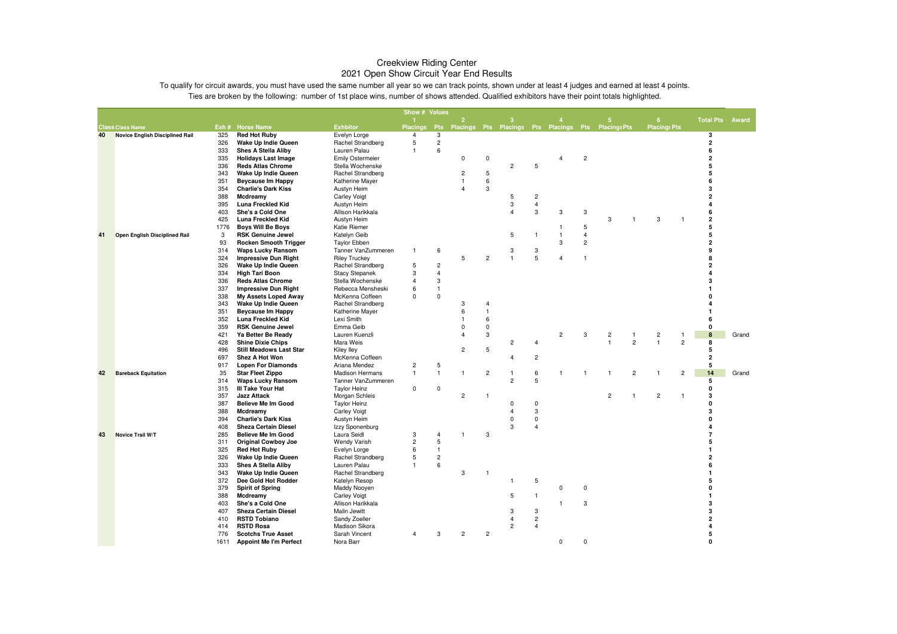|    |                                        |            |                                                   |                                          | Show # Values   |                     |                |                  |                |                |                |                |                                                     |                         |                |                              |       |
|----|----------------------------------------|------------|---------------------------------------------------|------------------------------------------|-----------------|---------------------|----------------|------------------|----------------|----------------|----------------|----------------|-----------------------------------------------------|-------------------------|----------------|------------------------------|-------|
|    |                                        |            |                                                   |                                          |                 |                     | $\overline{2}$ |                  | 3              |                |                |                | 5                                                   | 6 <sup>°</sup>          |                | <b>Total Pts</b>             | Award |
|    | <b>Class Class Name</b>                |            | Exh # Horse Name                                  | <b>Exhbitor</b>                          | <b>Placings</b> | <b>Pts</b>          |                |                  |                |                |                |                | Placings Pts Placings Pts Placings Pts Placings Pts | <b>Placings Pts</b>     |                |                              |       |
| 40 | <b>Novice English Disciplined Rail</b> | 325<br>326 | <b>Red Hot Ruby</b><br><b>Wake Up Indie Queen</b> | Evelyn Lorge<br>Rachel Strandberg        | 4<br>5          | 3<br>$\overline{c}$ |                |                  |                |                |                |                |                                                     |                         |                | 3<br>$\overline{\mathbf{2}}$ |       |
|    |                                        | 333        | <b>Shes A Stella Aliby</b>                        | Lauren Palau                             | 1               | 6                   |                |                  |                |                |                |                |                                                     |                         |                | 6                            |       |
|    |                                        | 335        | <b>Holidays Last Image</b>                        | <b>Emily Ostermeier</b>                  |                 |                     | 0              | $\mathbf 0$      |                |                | $\overline{4}$ | $\overline{c}$ |                                                     |                         |                | $\overline{\mathbf{2}}$      |       |
|    |                                        | 336        | <b>Reds Atlas Chrome</b>                          | Stella Wochenske                         |                 |                     |                |                  | $\overline{2}$ | 5              |                |                |                                                     |                         |                | 5                            |       |
|    |                                        | 343        | Wake Up Indie Queen                               | Rachel Strandberg                        |                 |                     | 2              | 5                |                |                |                |                |                                                     |                         |                | 5                            |       |
|    |                                        | 351        | <b>Beycause Im Happy</b>                          | Katherine Mayer                          |                 |                     | $\mathbf{1}$   | 6                |                |                |                |                |                                                     |                         |                | 6                            |       |
|    |                                        | 354        | <b>Charlie's Dark Kiss</b>                        | Austyn Heim                              |                 |                     | $\overline{4}$ | 3                |                |                |                |                |                                                     |                         |                | 3                            |       |
|    |                                        | 388        | Mcdreamy                                          | <b>Carley Voigt</b>                      |                 |                     |                |                  | 5              | $\overline{c}$ |                |                |                                                     |                         |                | 2                            |       |
|    |                                        | 395        | Luna Freckled Kid                                 | Austyn Heim                              |                 |                     |                |                  | 3              | $\overline{4}$ |                |                |                                                     |                         |                | 4                            |       |
|    |                                        | 403        | She's a Cold One                                  | Allison Harikkala                        |                 |                     |                |                  | $\Delta$       | 3              | 3              | 3              |                                                     |                         |                | 6                            |       |
|    |                                        | 425        | Luna Freckled Kid                                 | Austyn Heim                              |                 |                     |                |                  |                |                |                |                | 3<br>1                                              | 3                       |                | $\overline{2}$               |       |
|    |                                        | 1776       | <b>Boys Will Be Boys</b>                          | Katie Riemer                             |                 |                     |                |                  |                |                | $\mathbf{1}$   | 5              |                                                     |                         |                | 5                            |       |
| 41 | Open English Disciplined Rail          | 3          | <b>RSK Genuine Jewel</b>                          | Katelyn Geib                             |                 |                     |                |                  | 5              | $\overline{1}$ | $\mathbf{1}$   | $\overline{4}$ |                                                     |                         |                | 5                            |       |
|    |                                        | 93         | <b>Rocken Smooth Trigger</b>                      | <b>Taylor Ebben</b>                      |                 |                     |                |                  |                |                | 3              | $\overline{c}$ |                                                     |                         |                | $\overline{2}$               |       |
|    |                                        | 314        | <b>Waps Lucky Ransom</b>                          | Tanner VanZummeren                       | $\overline{1}$  | 6                   |                |                  | 3              | 3              |                |                |                                                     |                         |                | g                            |       |
|    |                                        | 324        | <b>Impressive Dun Right</b>                       | <b>Riley Truckey</b>                     |                 |                     | 5              | $\overline{c}$   | $\mathbf{1}$   | 5              | $\overline{4}$ | $\overline{1}$ |                                                     |                         |                | 8                            |       |
|    |                                        | 326        | <b>Wake Up Indie Queen</b>                        | Rachel Strandberg                        | 5               | $\overline{c}$      |                |                  |                |                |                |                |                                                     |                         |                | 2                            |       |
|    |                                        | 334        | <b>High Tari Boon</b>                             | <b>Stacy Stepanek</b>                    | 3               | $\overline{4}$      |                |                  |                |                |                |                |                                                     |                         |                |                              |       |
|    |                                        | 336        | <b>Reds Atlas Chrome</b>                          | Stella Wochenske                         | 4               | 3                   |                |                  |                |                |                |                |                                                     |                         |                |                              |       |
|    |                                        | 337        | <b>Impressive Dun Right</b>                       | Rebecca Mensheski                        | 6               | $\overline{1}$      |                |                  |                |                |                |                |                                                     |                         |                |                              |       |
|    |                                        | 338        | My Assets Loped Away                              | McKenna Coffeen                          | 0               | $\mathsf 0$         |                |                  |                |                |                |                |                                                     |                         |                |                              |       |
|    |                                        | 343        | <b>Wake Up Indie Queen</b>                        | Rachel Strandberg                        |                 |                     | 3              | $\overline{4}$   |                |                |                |                |                                                     |                         |                |                              |       |
|    |                                        | 351        | <b>Beycause Im Happy</b>                          | Katherine Mayer                          |                 |                     | 6              | $\overline{1}$   |                |                |                |                |                                                     |                         |                |                              |       |
|    |                                        | 352<br>359 | Luna Freckled Kid                                 | Lexi Smith<br>Emma Geib                  |                 |                     | $\Omega$       | 6<br>$\mathbf 0$ |                |                |                |                |                                                     |                         |                | 0                            |       |
|    |                                        |            | <b>RSK Genuine Jewel</b>                          | Lauren Kuenzli                           |                 |                     | 4              | 3                |                |                | $\overline{c}$ | 3              | $\overline{\mathbf{c}}$<br>-1                       | $\overline{\mathbf{c}}$ | -1             | 8                            | Grand |
|    |                                        | 421<br>428 | Ya Better Be Ready<br><b>Shine Dixie Chips</b>    | Mara Weis                                |                 |                     |                |                  | $\overline{c}$ | $\overline{4}$ |                |                | $\overline{2}$<br>$\mathbf{1}$                      | $\mathbf{1}$            | $\overline{c}$ | 8                            |       |
|    |                                        | 496        | <b>Still Meadows Last Star</b>                    | <b>Kiley lley</b>                        |                 |                     | $\overline{c}$ | 5                |                |                |                |                |                                                     |                         |                | 5                            |       |
|    |                                        | 697        | Shez A Hot Won                                    | McKenna Coffeen                          |                 |                     |                |                  | 4              | $\overline{c}$ |                |                |                                                     |                         |                | $\overline{\mathbf{2}}$      |       |
|    |                                        | 917        | <b>Lopen For Diamonds</b>                         | Ariana Mendez                            | $\overline{c}$  | $\sqrt{5}$          |                |                  |                |                |                |                |                                                     |                         |                | 5                            |       |
| 42 | <b>Bareback Equitation</b>             | 35         | <b>Star Fleet Zippo</b>                           | <b>Madison Hermans</b>                   | $\mathbf{1}$    | $\overline{1}$      | $\mathbf{1}$   | $\overline{c}$   | 1              | 6              | 1              | $\overline{1}$ | $\overline{c}$<br>1                                 |                         | $\overline{2}$ | 14                           | Grand |
|    |                                        | 314        | <b>Waps Lucky Ransom</b>                          | Tanner VanZummeren                       |                 |                     |                |                  | $\overline{2}$ | 5              |                |                |                                                     |                         |                | 5                            |       |
|    |                                        | 315        | III Take Your Hat                                 | <b>Taylor Heinz</b>                      | $\mathbf 0$     | $\mathsf 0$         |                |                  |                |                |                |                |                                                     |                         |                | 0                            |       |
|    |                                        | 357        | <b>Jazz Attack</b>                                | Morgan Schleis                           |                 |                     | $\overline{c}$ | $\overline{1}$   |                |                |                |                | $\overline{c}$<br>$\overline{1}$                    | $\overline{c}$          | $\overline{1}$ | 3                            |       |
|    |                                        | 387        | <b>Believe Me Im Good</b>                         | <b>Taylor Heinz</b>                      |                 |                     |                |                  | $\Omega$       | $\mathbf 0$    |                |                |                                                     |                         |                | n                            |       |
|    |                                        | 388        | Mcdreamy                                          | <b>Carley Voigt</b>                      |                 |                     |                |                  | $\overline{4}$ | 3              |                |                |                                                     |                         |                | 3                            |       |
|    |                                        | 394        | <b>Charlie's Dark Kiss</b>                        | Austyn Heim                              |                 |                     |                |                  | $\mathbf 0$    | $\mathbf 0$    |                |                |                                                     |                         |                | O                            |       |
|    |                                        | 408        | <b>Sheza Certain Diesel</b>                       | Izzy Sponenburg                          |                 |                     |                |                  | 3              | $\overline{4}$ |                |                |                                                     |                         |                |                              |       |
| 43 | Novice Trail W/T                       | 285        | <b>Believe Me Im Good</b>                         | Laura Seidl                              | 3               | $\overline{4}$      | 1              | 3                |                |                |                |                |                                                     |                         |                | 7                            |       |
|    |                                        | 311        | <b>Original Cowboy Joe</b>                        | <b>Wendy Varish</b>                      | $\overline{c}$  | 5                   |                |                  |                |                |                |                |                                                     |                         |                | 5                            |       |
|    |                                        | 325        | <b>Red Hot Ruby</b>                               | Evelyn Lorge                             | 6               | $\overline{1}$      |                |                  |                |                |                |                |                                                     |                         |                | 1                            |       |
|    |                                        | 326        | Wake Up Indie Queen                               | Rachel Strandberg                        | 5               | $\sqrt{2}$          |                |                  |                |                |                |                |                                                     |                         |                | $\overline{2}$               |       |
|    |                                        | 333        | <b>Shes A Stella Aliby</b>                        | Lauren Palau                             | 1               | 6                   |                |                  |                |                |                |                |                                                     |                         |                | 6                            |       |
|    |                                        | 343        | Wake Up Indie Queen                               | Rachel Strandberg                        |                 |                     | $\sqrt{3}$     | -1               |                |                |                |                |                                                     |                         |                | 1                            |       |
|    |                                        | 372        | Dee Gold Hot Rodder                               | Katelyn Resop                            |                 |                     |                |                  | 1              | 5              |                | $\mathsf 0$    |                                                     |                         |                | 5<br>0                       |       |
|    |                                        | 379        | <b>Spirit of Spring</b>                           | Maddy Nooyen                             |                 |                     |                |                  |                | $\overline{1}$ | 0              |                |                                                     |                         |                | 1                            |       |
|    |                                        | 388<br>403 | Mcdreamy<br>She's a Cold One                      | <b>Carley Voigt</b><br>Allison Harikkala |                 |                     |                |                  | 5              |                | 1              | 3              |                                                     |                         |                | 3                            |       |
|    |                                        | 407        | <b>Sheza Certain Diesel</b>                       | Malin Jewitt                             |                 |                     |                |                  | 3              | 3              |                |                |                                                     |                         |                | 3                            |       |
|    |                                        | 410        | <b>RSTD Tobiano</b>                               | Sandy Zoeller                            |                 |                     |                |                  | $\overline{4}$ | $\overline{c}$ |                |                |                                                     |                         |                | 2                            |       |
|    |                                        | 414        | <b>RSTD Rosa</b>                                  | Madison Sikora                           |                 |                     |                |                  | $\overline{c}$ | $\overline{4}$ |                |                |                                                     |                         |                | 4                            |       |
|    |                                        | 776        | <b>Scotchs True Asset</b>                         | Sarah Vincent                            | 4               | 3                   | $\overline{c}$ | $\overline{c}$   |                |                |                |                |                                                     |                         |                | 5                            |       |
|    |                                        | 1611       | <b>Appoint Me I'm Perfect</b>                     | Nora Barr                                |                 |                     |                |                  |                |                | $\mathbf 0$    | $\Omega$       |                                                     |                         |                | $\Omega$                     |       |
|    |                                        |            |                                                   |                                          |                 |                     |                |                  |                |                |                |                |                                                     |                         |                |                              |       |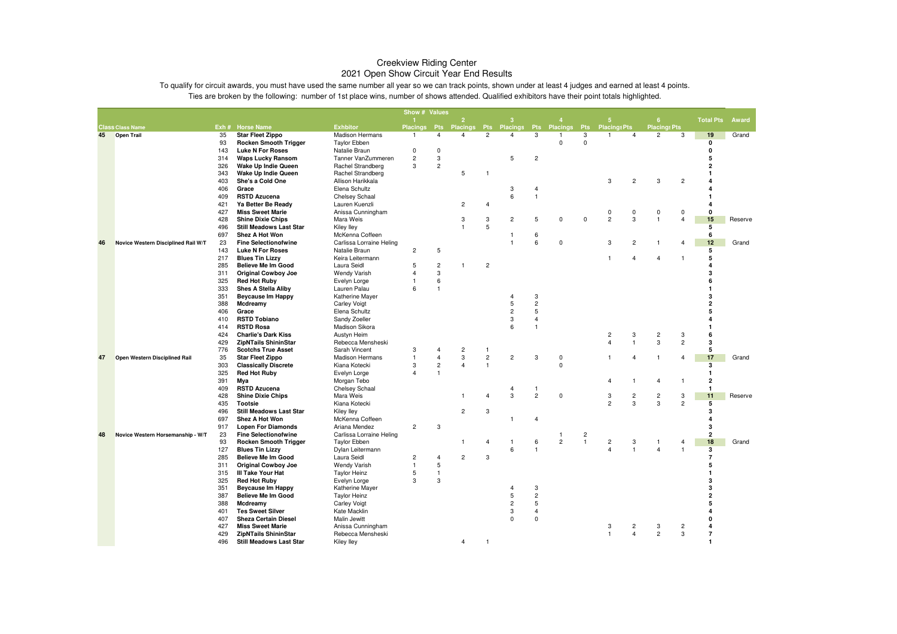|    |                                     |            |                                                         |                                      | Show # Values     |                         |                 |                |                 |                |                   |                         |                     |                         |                     |                         |                         |         |
|----|-------------------------------------|------------|---------------------------------------------------------|--------------------------------------|-------------------|-------------------------|-----------------|----------------|-----------------|----------------|-------------------|-------------------------|---------------------|-------------------------|---------------------|-------------------------|-------------------------|---------|
|    |                                     |            |                                                         |                                      |                   |                         | 2               |                | з               |                |                   |                         | 5                   |                         | -6                  |                         | <b>Total Pts</b>        | Award   |
|    | <b>Class Class Name</b>             |            | Exh # Horse Name                                        | <b>Exhbitor</b>                      | <b>Placings</b>   | <b>Pts</b>              | <b>Placings</b> | <b>Pts</b>     | <b>Placings</b> | <b>Pts</b>     | <b>Placings</b>   | <b>Pts</b>              | <b>Placings Pts</b> |                         | <b>Placings Pts</b> |                         |                         |         |
| 45 | <b>Open Trail</b>                   | 35         | <b>Star Fleet Zippo</b>                                 | Madison Hermans                      | -1                | $\overline{4}$          | $\overline{4}$  | $\overline{c}$ | 4               | 3              | -1<br>$\mathbf 0$ | 3<br>$\mathbf{0}$       | $\overline{1}$      | $\overline{4}$          | $\overline{c}$      | 3                       | 19<br>$\mathbf 0$       | Grand   |
|    |                                     | 93<br>143  | <b>Rocken Smooth Trigger</b><br><b>Luke N For Roses</b> | <b>Taylor Ebben</b><br>Natalie Braun | 0                 | $\mathbf 0$             |                 |                |                 |                |                   |                         |                     |                         |                     |                         | 0                       |         |
|    |                                     | 314        | <b>Waps Lucky Ransom</b>                                | Tanner VanZummeren                   | $\overline{c}$    | 3                       |                 |                | 5               | $\overline{2}$ |                   |                         |                     |                         |                     |                         | 5                       |         |
|    |                                     | 326        | Wake Up Indie Queen                                     | <b>Rachel Strandberg</b>             | 3                 | $\overline{c}$          |                 |                |                 |                |                   |                         |                     |                         |                     |                         | $\overline{2}$          |         |
|    |                                     | 343        | Wake Up Indie Queen                                     | <b>Rachel Strandberg</b>             |                   |                         | 5               | -1             |                 |                |                   |                         |                     |                         |                     |                         | $\mathbf{1}$            |         |
|    |                                     | 403        | She's a Cold One                                        | Allison Harikkala                    |                   |                         |                 |                |                 |                |                   |                         | 3                   | $\overline{c}$          | 3                   | $\overline{c}$          | 4                       |         |
|    |                                     | 406        | Grace                                                   | Elena Schultz                        |                   |                         |                 |                | 3               | 4              |                   |                         |                     |                         |                     |                         | $\overline{\mathbf{4}}$ |         |
|    |                                     | 409        | <b>RSTD Azucena</b>                                     | <b>Chelsey Schaal</b>                |                   |                         |                 |                | 6               | $\overline{1}$ |                   |                         |                     |                         |                     |                         | $\mathbf{1}$            |         |
|    |                                     | 421        | Ya Better Be Ready                                      | Lauren Kuenzli                       |                   |                         | $\overline{2}$  | $\overline{4}$ |                 |                |                   |                         |                     |                         |                     |                         | $\overline{\mathbf{4}}$ |         |
|    |                                     | 427        | <b>Miss Sweet Marie</b>                                 | Anissa Cunningham                    |                   |                         |                 |                |                 |                |                   |                         | $\pmb{0}$           | 0                       | $\mathbf 0$         | 0                       | 0                       |         |
|    |                                     | 428        | <b>Shine Dixie Chips</b>                                | Mara Weis                            |                   |                         | 3               | 3              | $\overline{2}$  | 5              | $\mathbf 0$       | $\mathbf 0$             | $\overline{2}$      | 3                       | $\overline{1}$      | $\overline{\mathbf{4}}$ | 15                      | Reserve |
|    |                                     | 496        | <b>Still Meadows Last Star</b>                          | Kiley lley                           |                   |                         | $\overline{1}$  | 5              |                 |                |                   |                         |                     |                         |                     |                         | 5                       |         |
|    |                                     | 697        | Shez A Hot Won                                          | McKenna Coffeen                      |                   |                         |                 |                | -1              | 6              |                   |                         |                     |                         |                     |                         | 6                       |         |
| 46 | Novice Western Disciplined Rail W/T | 23         | <b>Fine Selectionofwine</b>                             | Carlissa Lorraine Heling             |                   |                         |                 |                | $\overline{1}$  | 6              | $\mathsf 0$       |                         | 3                   | $\overline{c}$          | $\overline{1}$      | $\overline{4}$          | 12                      | Grand   |
|    |                                     | 143        | <b>Luke N For Roses</b>                                 | Natalie Braun                        | $\overline{c}$    | 5                       |                 |                |                 |                |                   |                         |                     |                         |                     |                         | 5                       |         |
|    |                                     | 217        | <b>Blues Tin Lizzy</b>                                  | Keira Leitermann                     |                   |                         |                 |                |                 |                |                   |                         | $\mathbf{1}$        | 4                       | $\overline{4}$      | $\mathbf{1}$            | 5                       |         |
|    |                                     | 285        | <b>Believe Me Im Good</b>                               | Laura Seidl                          | 5                 | $\overline{c}$          | $\overline{1}$  | $\overline{c}$ |                 |                |                   |                         |                     |                         |                     |                         | $\overline{4}$          |         |
|    |                                     | 311        | <b>Original Cowboy Joe</b>                              | <b>Wendy Varish</b>                  | $\overline{4}$    | 3                       |                 |                |                 |                |                   |                         |                     |                         |                     |                         | 3<br>6                  |         |
|    |                                     | 325        | <b>Red Hot Ruby</b>                                     | Evelyn Lorge                         | $\mathbf{1}$<br>6 | 6<br>$\overline{1}$     |                 |                |                 |                |                   |                         |                     |                         |                     |                         | $\mathbf{1}$            |         |
|    |                                     | 333<br>351 | <b>Shes A Stella Aliby</b><br><b>Beycause Im Happy</b>  | Lauren Palau<br>Katherine Mayer      |                   |                         |                 |                | $\overline{4}$  | 3              |                   |                         |                     |                         |                     |                         | 3                       |         |
|    |                                     | 388        | Mcdreamy                                                | <b>Carley Voigt</b>                  |                   |                         |                 |                | 5               | $\overline{c}$ |                   |                         |                     |                         |                     |                         | $\overline{2}$          |         |
|    |                                     | 406        | Grace                                                   | Elena Schultz                        |                   |                         |                 |                | $\overline{c}$  | 5              |                   |                         |                     |                         |                     |                         | 5                       |         |
|    |                                     | 410        | <b>RSTD Tobiano</b>                                     | Sandy Zoeller                        |                   |                         |                 |                | 3               | $\overline{4}$ |                   |                         |                     |                         |                     |                         | $\overline{a}$          |         |
|    |                                     | 414        | <b>RSTD Rosa</b>                                        | Madison Sikora                       |                   |                         |                 |                | 6               | $\overline{1}$ |                   |                         |                     |                         |                     |                         | $\mathbf{1}$            |         |
|    |                                     | 424        | <b>Charlie's Dark Kiss</b>                              | Austyn Heim                          |                   |                         |                 |                |                 |                |                   |                         | $\overline{c}$      | 3                       | $\overline{c}$      | 3                       | 6                       |         |
|    |                                     | 429        | <b>ZipNTails ShininStar</b>                             | Rebecca Mensheski                    |                   |                         |                 |                |                 |                |                   |                         | $\overline{4}$      | $\mathbf{1}$            | 3                   | $\overline{c}$          | 3                       |         |
|    |                                     | 776        | <b>Scotchs True Asset</b>                               | Sarah Vincent                        | 3                 | $\overline{4}$          | $\overline{c}$  | -1             |                 |                |                   |                         |                     |                         |                     |                         | 5                       |         |
| 47 | Open Western Disciplined Rail       | 35         | <b>Star Fleet Zippo</b>                                 | <b>Madison Hermans</b>               | $\mathbf{1}$      | $\overline{4}$          | 3               | $\overline{c}$ | $\overline{c}$  | 3              | $\mathsf 0$       |                         | $\overline{1}$      | $\overline{4}$          | $\overline{1}$      | $\overline{4}$          | 17                      | Grand   |
|    |                                     | 303        | <b>Classically Discrete</b>                             | Kiana Kotecki                        | 3                 | $\overline{\mathbf{c}}$ | $\overline{4}$  | $\mathbf{1}$   |                 |                | $\mathbf 0$       |                         |                     |                         |                     |                         | 3                       |         |
|    |                                     | 325        | <b>Red Hot Ruby</b>                                     | Evelyn Lorge                         | $\overline{4}$    |                         |                 |                |                 |                |                   |                         |                     |                         |                     |                         | $\mathbf{1}$            |         |
|    |                                     | 391        | Mya                                                     | Morgan Tebo                          |                   |                         |                 |                |                 |                |                   |                         | 4                   | 1                       | $\overline{4}$      | $\mathbf{1}$            | 2                       |         |
|    |                                     | 409        | <b>RSTD Azucena</b>                                     | Chelsey Schaal                       |                   |                         |                 |                | 4               | -1             |                   |                         |                     |                         |                     |                         | $\mathbf{1}$            |         |
|    |                                     | 428        | <b>Shine Dixie Chips</b>                                | Mara Weis                            |                   |                         | $\mathbf{1}$    | $\overline{4}$ | 3               | $\overline{c}$ | $\mathbf 0$       |                         | 3                   | $\overline{c}$          | $\overline{2}$      | 3                       | 11                      | Reserve |
|    |                                     | 435        | <b>Tootsie</b>                                          | Kiana Kotecki                        |                   |                         |                 |                |                 |                |                   |                         | $\overline{c}$      | 3                       | 3                   | $\overline{2}$          | $5\overline{5}$         |         |
|    |                                     | 496        | <b>Still Meadows Last Star</b>                          | Kiley lley                           |                   |                         | $\overline{c}$  | 3              |                 |                |                   |                         |                     |                         |                     |                         | 3                       |         |
|    |                                     | 697<br>917 | Shez A Hot Won<br><b>Lopen For Diamonds</b>             | McKenna Coffeen<br>Ariana Mendez     | $\overline{c}$    | 3                       |                 |                | $\mathbf{1}$    | 4              |                   |                         |                     |                         |                     |                         | $\overline{4}$<br>3     |         |
| 48 | Novice Western Horsemanship - W/T   | 23         | <b>Fine Selectionofwine</b>                             | Carlissa Lorraine Heling             |                   |                         |                 |                |                 |                | $\overline{1}$    | $\overline{\mathbf{c}}$ |                     |                         |                     |                         | $\overline{\mathbf{2}}$ |         |
|    |                                     | 93         | Rocken Smooth Trigger                                   | <b>Taylor Ebben</b>                  |                   |                         | -1              | $\overline{4}$ | -1              | 6              | $\overline{c}$    | $\overline{1}$          | $\overline{c}$      | 3                       | -1                  | 4                       | 18                      | Grand   |
|    |                                     | 127        | <b>Blues Tin Lizzy</b>                                  | Dylan Leitermann                     |                   |                         |                 |                | 6               |                |                   |                         | $\overline{4}$      | $\mathbf{1}$            | $\overline{4}$      | 1                       | $\overline{\mathbf{3}}$ |         |
|    |                                     | 285        | <b>Believe Me Im Good</b>                               | Laura Seidl                          | $\overline{c}$    | $\overline{4}$          | $\overline{c}$  | 3              |                 |                |                   |                         |                     |                         |                     |                         | $\overline{7}$          |         |
|    |                                     | 311        | <b>Original Cowboy Joe</b>                              | <b>Wendy Varish</b>                  | $\mathbf{1}$      | 5                       |                 |                |                 |                |                   |                         |                     |                         |                     |                         | 5                       |         |
|    |                                     | 315        | III Take Your Hat                                       | <b>Taylor Heinz</b>                  | 5                 | $\overline{1}$          |                 |                |                 |                |                   |                         |                     |                         |                     |                         | $\mathbf{1}$            |         |
|    |                                     | 325        | <b>Red Hot Ruby</b>                                     | Evelyn Lorge                         | 3                 | 3                       |                 |                |                 |                |                   |                         |                     |                         |                     |                         | 3                       |         |
|    |                                     | 351        | <b>Beycause Im Happy</b>                                | Katherine Mayer                      |                   |                         |                 |                | $\overline{4}$  | 3              |                   |                         |                     |                         |                     |                         | 3                       |         |
|    |                                     | 387        | <b>Believe Me Im Good</b>                               | <b>Taylor Heinz</b>                  |                   |                         |                 |                | $\sqrt{5}$      | $\sqrt{2}$     |                   |                         |                     |                         |                     |                         | $\mathbf 2$             |         |
|    |                                     | 388        | Mcdreamy                                                | <b>Carley Voigt</b>                  |                   |                         |                 |                | $\overline{c}$  | 5              |                   |                         |                     |                         |                     |                         | 5                       |         |
|    |                                     | 401        | <b>Tes Sweet Silver</b>                                 | Kate Macklin                         |                   |                         |                 |                | 3               | $\overline{4}$ |                   |                         |                     |                         |                     |                         | $\overline{4}$          |         |
|    |                                     | 407        | <b>Sheza Certain Diesel</b>                             | Malin Jewitt                         |                   |                         |                 |                | $\mathbf 0$     | $\pmb{0}$      |                   |                         |                     |                         |                     |                         | 0                       |         |
|    |                                     | 427        | <b>Miss Sweet Marie</b>                                 | Anissa Cunningham                    |                   |                         |                 |                |                 |                |                   |                         | 3                   | $\overline{c}$          | 3                   | $\overline{\mathbf{c}}$ | $\overline{a}$          |         |
|    |                                     | 429        | <b>ZipNTails ShininStar</b>                             | Rebecca Mensheski                    |                   |                         |                 |                |                 |                |                   |                         | $\overline{1}$      | $\overline{\mathbf{4}}$ | $\overline{c}$      | 3                       | $\overline{7}$          |         |
|    |                                     | 496        | <b>Still Meadows Last Star</b>                          | <b>Kiley lley</b>                    |                   |                         | $\overline{4}$  | -1             |                 |                |                   |                         |                     |                         |                     |                         | $\mathbf{1}$            |         |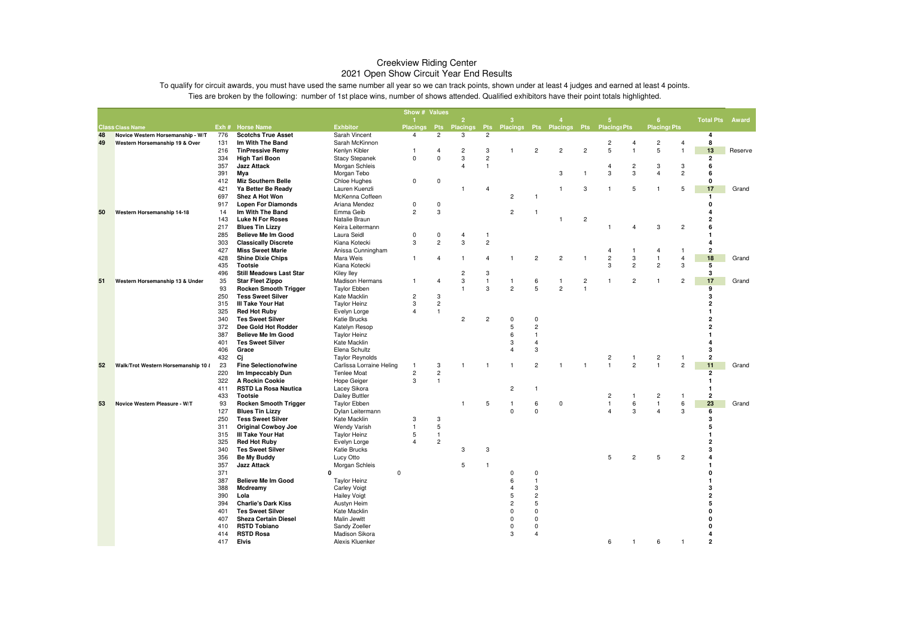|    |                                     |            |                                                     |                                 | Show # Values       |                  |                         |                |                |                |                           |                |                     |                |                     |                |                           |  |
|----|-------------------------------------|------------|-----------------------------------------------------|---------------------------------|---------------------|------------------|-------------------------|----------------|----------------|----------------|---------------------------|----------------|---------------------|----------------|---------------------|----------------|---------------------------|--|
|    |                                     |            |                                                     |                                 |                     |                  | $\overline{2}$          |                | з              |                |                           |                | 5                   |                | 6                   |                | <b>Total Pts</b><br>Award |  |
|    | <b>Class Class Name</b>             |            | Exh # Horse Name                                    | <b>Exhbitor</b>                 | <b>Placings</b>     | <b>Pts</b>       | <b>Placings</b>         | <b>Pts</b>     |                |                | Placings Pts Placings Pts |                | <b>Placings Pts</b> |                | <b>Placings Pts</b> |                |                           |  |
| 48 | Novice Western Horsemanship - W/T   | 776        | <b>Scotchs True Asset</b>                           | Sarah Vincent                   | $\overline{4}$      | $\overline{c}$   | 3                       | $\overline{2}$ |                |                |                           |                |                     |                |                     |                | 4                         |  |
| 49 | Western Horsemanship 19 & Over      | 131        | Im With The Band                                    | Sarah McKinnon                  |                     |                  |                         |                |                |                |                           |                | $\overline{c}$      | 4              | $\overline{c}$      | $\overline{4}$ | 8                         |  |
|    |                                     | 216        | <b>TinPressive Remy</b>                             | Kenlyn Kibler                   | 1                   | 4                | $\overline{c}$          | 3              | $\mathbf{1}$   | $\overline{2}$ | $\overline{2}$            | $\overline{c}$ | $\overline{5}$      | $\mathbf{1}$   | 5                   | $\overline{1}$ | 13<br>Reserve             |  |
|    |                                     | 334        | <b>High Tari Boon</b>                               | <b>Stacy Stepanek</b>           | $\mathsf 0$         | $\mathbf 0$      | 3                       | $\overline{2}$ |                |                |                           |                |                     |                |                     |                | $\overline{\mathbf{2}}$   |  |
|    |                                     | 357        | <b>Jazz Attack</b>                                  | Morgan Schleis                  |                     |                  | $\overline{\mathbf{A}}$ | $\mathbf{1}$   |                |                |                           |                | $\overline{4}$      | $\overline{c}$ | 3                   | 3              | 6                         |  |
|    |                                     | 391        | Mya                                                 | Morgan Tebo                     |                     |                  |                         |                |                |                | 3                         |                | 3                   | 3              | $\overline{4}$      | $\overline{c}$ | 6                         |  |
|    |                                     | 412        | Miz Southern Belle                                  | Chloe Hughes                    | 0                   | 0                |                         |                |                |                |                           |                |                     |                |                     |                | 0                         |  |
|    |                                     | 421        | Ya Better Be Ready                                  | Lauren Kuenzli                  |                     |                  | 1                       | 4              |                |                | -1                        | 3              | -1                  | 5              | $\overline{1}$      | 5              | 17<br>Grand               |  |
|    |                                     | 697        | Shez A Hot Won                                      | McKenna Coffeen                 |                     |                  |                         |                | $\overline{c}$ |                |                           |                |                     |                |                     |                | 1                         |  |
|    |                                     | 917        | <b>Lopen For Diamonds</b><br>Im With The Band       | Ariana Mendez<br>Emma Geib      | 0<br>$\overline{c}$ | $\mathbf 0$<br>3 |                         |                | $\overline{c}$ |                |                           |                |                     |                |                     |                | 0<br>4                    |  |
| 50 | Western Horsemanship 14-18          | 14         | <b>Luke N For Roses</b>                             | Natalie Braun                   |                     |                  |                         |                |                | -1             | $\mathbf{1}$              | $\overline{c}$ |                     |                |                     |                | 2                         |  |
|    |                                     | 143        |                                                     |                                 |                     |                  |                         |                |                |                |                           |                |                     |                | 3                   | $\overline{c}$ | 6                         |  |
|    |                                     | 217<br>285 | <b>Blues Tin Lizzy</b><br><b>Believe Me Im Good</b> | Keira Leitermann<br>Laura Seidl | $\mathbf 0$         | $\mathbf 0$      | 4                       | $\overline{1}$ |                |                |                           |                |                     | $\overline{4}$ |                     |                |                           |  |
|    |                                     | 303        | <b>Classically Discrete</b>                         | Kiana Kotecki                   | 3                   | $\overline{2}$   | 3                       | $\overline{c}$ |                |                |                           |                |                     |                |                     |                | 4                         |  |
|    |                                     | 427        | <b>Miss Sweet Marie</b>                             | Anissa Cunningham               |                     |                  |                         |                |                |                |                           |                | 4                   | -1             | $\overline{4}$      | $\overline{1}$ | 2                         |  |
|    |                                     | 428        | <b>Shine Dixie Chips</b>                            | Mara Weis                       | 1                   | 4                | $\mathbf{1}$            | $\overline{4}$ | $\mathbf{1}$   | $\overline{c}$ | $\overline{c}$            | -1             | $\overline{c}$      | 3              | $\mathbf{1}$        | $\overline{4}$ | 18<br>Grand               |  |
|    |                                     | 435        | <b>Tootsie</b>                                      | Kiana Kotecki                   |                     |                  |                         |                |                |                |                           |                | 3                   | $\overline{c}$ | $\overline{c}$      | 3              | 5                         |  |
|    |                                     | 496        | <b>Still Meadows Last Star</b>                      | Kiley Iley                      |                     |                  | $\overline{c}$          | 3              |                |                |                           |                |                     |                |                     |                | 3                         |  |
| 51 | Western Horsemanship 13 & Under     | 35         | <b>Star Fleet Zippo</b>                             | <b>Madison Hermans</b>          | 1                   | $\overline{4}$   | 3                       | $\mathbf{1}$   | $\mathbf{1}$   | 6              | $\mathbf{1}$              | $\overline{c}$ | $\overline{1}$      | $\overline{c}$ | $\overline{1}$      | $\overline{c}$ | 17<br>Grand               |  |
|    |                                     | 93         | <b>Rocken Smooth Trigger</b>                        | <b>Taylor Ebben</b>             |                     |                  | $\mathbf{1}$            | 3              | $\overline{c}$ | 5              | $\overline{c}$            | $\overline{1}$ |                     |                |                     |                | 9                         |  |
|    |                                     | 250        | <b>Tess Sweet Silver</b>                            | Kate Macklin                    | $\overline{c}$      | 3                |                         |                |                |                |                           |                |                     |                |                     |                | 3                         |  |
|    |                                     | 315        | <b>III Take Your Hat</b>                            | <b>Taylor Heinz</b>             | 3                   | $\overline{c}$   |                         |                |                |                |                           |                |                     |                |                     |                | $\overline{2}$            |  |
|    |                                     | 325        | <b>Red Hot Ruby</b>                                 | Evelyn Lorge                    | $\overline{4}$      | $\mathbf{1}$     |                         |                |                |                |                           |                |                     |                |                     |                | 1                         |  |
|    |                                     | 340        | <b>Tes Sweet Silver</b>                             | <b>Katie Brucks</b>             |                     |                  | $\overline{c}$          | $\overline{c}$ | $\mathbf 0$    | $\mathbf 0$    |                           |                |                     |                |                     |                | 2                         |  |
|    |                                     | 372        | Dee Gold Hot Rodder                                 | Katelyn Resop                   |                     |                  |                         |                | 5              | $\overline{c}$ |                           |                |                     |                |                     |                | $\overline{2}$            |  |
|    |                                     | 387        | <b>Believe Me Im Good</b>                           | <b>Taylor Heinz</b>             |                     |                  |                         |                | 6              | $\mathbf{1}$   |                           |                |                     |                |                     |                | 1                         |  |
|    |                                     | 401        | <b>Tes Sweet Silver</b>                             | Kate Macklin                    |                     |                  |                         |                | 3              | $\overline{4}$ |                           |                |                     |                |                     |                |                           |  |
|    |                                     | 406        | Grace                                               | Elena Schultz                   |                     |                  |                         |                | $\overline{4}$ | 3              |                           |                |                     |                |                     |                | 3                         |  |
|    |                                     | 432        | Cj                                                  | <b>Taylor Reynolds</b>          |                     |                  |                         |                |                |                |                           |                | $\overline{c}$      | $\mathbf{1}$   | $\overline{c}$      | $\overline{1}$ | $\overline{\mathbf{2}}$   |  |
| 52 | Walk/Trot Western Horsemanship 10 ł | 23         | <b>Fine Selectionofwine</b>                         | Carlissa Lorraine Heling        | $\mathbf{1}$        | 3                | $\mathbf{1}$            | 1              | $\mathbf{1}$   | $\overline{2}$ | $\overline{1}$            |                | $\mathbf{1}$        | $\overline{c}$ | $\mathbf{1}$        | $\overline{c}$ | 11<br>Grand               |  |
|    |                                     | 220        | Im Impeccably Dun                                   | <b>Tenlee Moat</b>              | $\overline{c}$      | $\overline{c}$   |                         |                |                |                |                           |                |                     |                |                     |                | $\mathbf{2}$              |  |
|    |                                     | 322        | A Rockin Cookie                                     | Hope Geiger                     | 3                   | $\mathbf{1}$     |                         |                |                |                |                           |                |                     |                |                     |                | 1                         |  |
|    |                                     | 411        | <b>RSTD La Rosa Nautica</b>                         | Lacey Sikora                    |                     |                  |                         |                | $\overline{c}$ | 1              |                           |                |                     |                |                     |                | 1                         |  |
|    |                                     | 433        | <b>Tootsie</b>                                      | <b>Dailey Buttler</b>           |                     |                  |                         |                |                |                |                           |                | $\overline{2}$      | $\overline{1}$ | 2                   | $\overline{1}$ | 2                         |  |
| 53 | Novice Western Pleasure - W/T       | 93         | Rocken Smooth Trigger                               | <b>Taylor Ebben</b>             |                     |                  | $\mathbf{1}$            | 5              | 1              | 6              | 0                         |                | $\overline{1}$      | 6              | $\overline{1}$      | 6              | 23<br>Grand               |  |
|    |                                     | 127        | <b>Blues Tin Lizzy</b>                              | Dylan Leitermann                |                     |                  |                         |                | $\Omega$       | $\mathbf 0$    |                           |                | $\overline{4}$      | 3              | $\overline{4}$      | 3              | 6                         |  |
|    |                                     | 250        | <b>Tess Sweet Silver</b>                            | Kate Macklin                    | 3                   | 3                |                         |                |                |                |                           |                |                     |                |                     |                | 3                         |  |
|    |                                     | 311        | <b>Original Cowboy Joe</b>                          | <b>Wendy Varish</b>             | $\mathbf{1}$        | 5                |                         |                |                |                |                           |                |                     |                |                     |                | 5                         |  |
|    |                                     | 315        | III Take Your Hat                                   | <b>Taylor Heinz</b>             | 5                   | $\mathbf{1}$     |                         |                |                |                |                           |                |                     |                |                     |                | 1                         |  |
|    |                                     | 325        | <b>Red Hot Ruby</b>                                 | Evelyn Lorge                    | $\overline{4}$      | $\overline{c}$   |                         |                |                |                |                           |                |                     |                |                     |                | 2                         |  |
|    |                                     | 340        | <b>Tes Sweet Silver</b>                             | <b>Katie Brucks</b>             |                     |                  | 3                       | 3              |                |                |                           |                |                     |                |                     |                | 3                         |  |
|    |                                     | 356        | <b>Be My Buddy</b>                                  | Lucy Otto                       |                     |                  |                         |                |                |                |                           |                | 5                   | $\overline{c}$ | 5                   | $\overline{c}$ | 4                         |  |
|    |                                     | 357        | <b>Jazz Attack</b>                                  | Morgan Schleis                  |                     |                  | $\sqrt{5}$              | $\overline{1}$ |                |                |                           |                |                     |                |                     |                | 1                         |  |
|    |                                     | 371        |                                                     | 0                               | $\mathbf 0$         |                  |                         |                | $\mathbf 0$    | $\mathbf 0$    |                           |                |                     |                |                     |                | 0                         |  |
|    |                                     | 387        | <b>Believe Me Im Good</b>                           | <b>Taylor Heinz</b>             |                     |                  |                         |                | 6              | $\overline{1}$ |                           |                |                     |                |                     |                | 1                         |  |
|    |                                     | 388        | Mcdreamy                                            | <b>Carley Voigt</b>             |                     |                  |                         |                | $\overline{4}$ | 3              |                           |                |                     |                |                     |                | 3                         |  |
|    |                                     | 390        | Lola                                                | <b>Hailey Voigt</b>             |                     |                  |                         |                | 5              | $\overline{c}$ |                           |                |                     |                |                     |                | $\overline{\mathbf{2}}$   |  |
|    |                                     | 394        | <b>Charlie's Dark Kiss</b>                          | Austyn Heim                     |                     |                  |                         |                | $\overline{c}$ | 5              |                           |                |                     |                |                     |                | 5                         |  |
|    |                                     | 401        | <b>Tes Sweet Silver</b>                             | Kate Macklin                    |                     |                  |                         |                | $\mathbf 0$    | 0              |                           |                |                     |                |                     |                | 0                         |  |
|    |                                     | 407        | <b>Sheza Certain Diesel</b>                         | Malin Jewitt                    |                     |                  |                         |                | $\Omega$       | $\Omega$       |                           |                |                     |                |                     |                | 0                         |  |
|    |                                     | 410        | <b>RSTD Tobiano</b>                                 | Sandy Zoeller                   |                     |                  |                         |                | $\mathbf 0$    | $\mathbf 0$    |                           |                |                     |                |                     |                | 0                         |  |
|    |                                     | 414        | <b>RSTD Rosa</b>                                    | Madison Sikora                  |                     |                  |                         |                | 3              | $\overline{4}$ |                           |                |                     |                |                     |                | 4                         |  |
|    |                                     | 417        | <b>Elvis</b>                                        | Alexis Kluenker                 |                     |                  |                         |                |                |                |                           |                | 6                   | $\overline{1}$ | 6                   | $\overline{1}$ | $\overline{2}$            |  |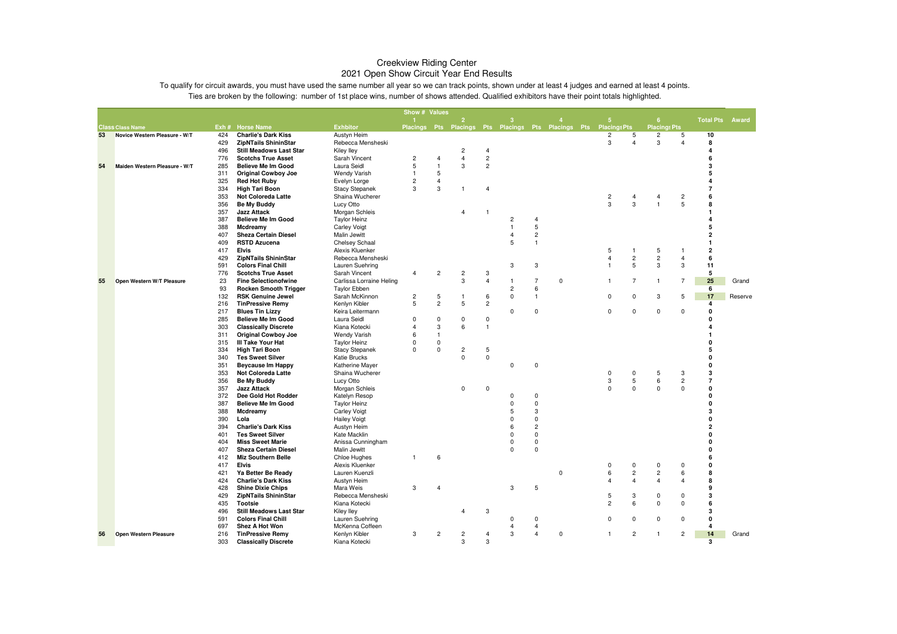|    |                               |            |                                                             |                                      | Show # Values              |                |                                                                  |                             |                |                |             |                         |                         |                         |                         |                         |         |
|----|-------------------------------|------------|-------------------------------------------------------------|--------------------------------------|----------------------------|----------------|------------------------------------------------------------------|-----------------------------|----------------|----------------|-------------|-------------------------|-------------------------|-------------------------|-------------------------|-------------------------|---------|
|    |                               |            |                                                             |                                      |                            |                | $\overline{2}$                                                   |                             |                |                |             | 5                       |                         | 6                       |                         | <b>Total Pts Award</b>  |         |
|    | <b>Class Class Name</b>       |            | Exh # Horse Name                                            | <b>Exhbitor</b>                      |                            |                | Placings Pts Placings Pts Placings Pts Placings Pts Placings Pts |                             |                |                |             |                         |                         | <b>Placings Pts</b>     |                         |                         |         |
| 53 | Novice Western Pleasure - W/T | 424<br>429 | <b>Charlie's Dark Kiss</b><br><b>ZipNTails ShininStar</b>   | Austyn Heim<br>Rebecca Mensheski     |                            |                |                                                                  |                             |                |                |             | $\overline{c}$<br>3     | 5<br>$\overline{4}$     | $\overline{c}$<br>3     | 5<br>$\overline{4}$     | 10<br>8                 |         |
|    |                               | 496        | <b>Still Meadows Last Star</b>                              | <b>Kiley lley</b>                    |                            |                | $\overline{c}$                                                   | $\overline{4}$              |                |                |             |                         |                         |                         |                         | $\overline{a}$          |         |
|    |                               | 776        | <b>Scotchs True Asset</b>                                   | Sarah Vincent                        | $\overline{c}$             | 4              | $\overline{4}$                                                   | $\sqrt{2}$                  |                |                |             |                         |                         |                         |                         | 6                       |         |
| 54 | Maiden Western Pleasure - W/T | 285        | <b>Believe Me Im Good</b>                                   | Laura Seidl                          | 5                          | $\mathbf{1}$   | 3                                                                | $\overline{c}$              |                |                |             |                         |                         |                         |                         | 3                       |         |
|    |                               | 311        | <b>Original Cowboy Joe</b>                                  | <b>Wendy Varish</b>                  | $\mathbf{1}$               | 5              |                                                                  |                             |                |                |             |                         |                         |                         |                         | 5                       |         |
|    |                               | 325        | <b>Red Hot Ruby</b>                                         | Evelyn Lorge                         | $\overline{c}$             | $\overline{4}$ |                                                                  |                             |                |                |             |                         |                         |                         |                         | 4                       |         |
|    |                               | 334        | <b>High Tari Boon</b>                                       | <b>Stacy Stepanek</b>                | 3                          | $\mathsf 3$    | $\overline{1}$                                                   | $\overline{4}$              |                |                |             |                         |                         |                         |                         | $\overline{7}$          |         |
|    |                               | 353        | Not Coloreda Latte                                          | Shaina Wucherer                      |                            |                |                                                                  |                             |                |                |             | $\overline{\mathbf{c}}$ | $\overline{4}$          | $\overline{4}$          | $\overline{\mathbf{c}}$ | 6                       |         |
|    |                               | 356        | <b>Be My Buddy</b>                                          | Lucy Otto                            |                            |                |                                                                  |                             |                |                |             | $\overline{3}$          | 3                       | $\overline{1}$          | $\overline{5}$          | 8                       |         |
|    |                               | 357        | <b>Jazz Attack</b>                                          | Morgan Schleis                       |                            |                | $\overline{4}$                                                   | -1                          |                |                |             |                         |                         |                         |                         | $\mathbf{1}$            |         |
|    |                               | 387        | <b>Believe Me Im Good</b>                                   | <b>Taylor Heinz</b>                  |                            |                |                                                                  |                             | $\overline{c}$ | $\overline{4}$ |             |                         |                         |                         |                         | 4                       |         |
|    |                               | 388        | Mcdreamy                                                    | <b>Carley Voigt</b>                  |                            |                |                                                                  |                             |                | $\mathbf 5$    |             |                         |                         |                         |                         | 5                       |         |
|    |                               | 407        | <b>Sheza Certain Diesel</b>                                 | Malin Jewitt                         |                            |                |                                                                  |                             | $\overline{4}$ | $\sqrt{2}$     |             |                         |                         |                         |                         | $\overline{2}$          |         |
|    |                               | 409        | <b>RSTD Azucena</b>                                         | Chelsey Schaal                       |                            |                |                                                                  |                             | 5              | $\mathbf{1}$   |             |                         |                         |                         |                         | $\mathbf{1}$            |         |
|    |                               | 417        | <b>Elvis</b>                                                | Alexis Kluenker                      |                            |                |                                                                  |                             |                |                |             | 5                       | $\mathbf{1}$            | 5                       | -1                      | $\overline{\mathbf{2}}$ |         |
|    |                               | 429        | <b>ZipNTails ShininStar</b>                                 | Rebecca Mensheski                    |                            |                |                                                                  |                             |                |                |             | $\overline{4}$          | $\sqrt{2}$              | $\overline{c}$          | 4                       | 6                       |         |
|    |                               | 591        | <b>Colors Final Chill</b>                                   | Lauren Suehring                      |                            |                |                                                                  |                             | 3              | 3              |             |                         | 5                       | 3                       | 3                       | 11                      |         |
|    |                               | 776        | <b>Scotchs True Asset</b>                                   | Sarah Vincent                        | $\overline{4}$             | 2              | $\overline{c}$                                                   | 3                           |                |                |             |                         |                         |                         |                         | 5                       |         |
| 55 | Open Western W/T Pleasure     | 23         | <b>Fine Selectionofwine</b>                                 | Carlissa Lorraine Heling             |                            |                | 3                                                                | $\overline{4}$              | $\mathbf{1}$   | $\overline{7}$ | $\mathbf 0$ | $\overline{1}$          | $\overline{7}$          | $\overline{1}$          | $\overline{7}$          | 25                      | Grand   |
|    |                               | 93         | <b>Rocken Smooth Trigger</b>                                | <b>Taylor Ebben</b>                  |                            |                |                                                                  |                             | $\overline{c}$ | 6              |             |                         |                         |                         |                         | 6                       |         |
|    |                               | 132        | <b>RSK Genuine Jewel</b>                                    | Sarah McKinnon                       | $\overline{c}$             | 5              | -1                                                               | 6                           | 0              | $\mathbf{1}$   |             | $\mathbf 0$             | $\pmb{0}$               | 3                       | 5                       | 17                      | Reserve |
|    |                               | 216        | <b>TinPressive Remy</b>                                     | Kenlyn Kibler                        | 5                          | $\overline{c}$ | 5                                                                | $\overline{c}$              |                |                |             |                         |                         |                         |                         | $\overline{4}$          |         |
|    |                               | 217        | <b>Blues Tin Lizzy</b>                                      | Keira Leitermann                     |                            |                |                                                                  |                             | $\mathbf 0$    | $\mathbf 0$    |             | $\mathbf 0$             | $\mathbf 0$             | $\mathbf 0$             | $\mathbf 0$             | $\mathbf{0}$<br>n       |         |
|    |                               | 285<br>303 | <b>Believe Me Im Good</b><br><b>Classically Discrete</b>    | Laura Seidl                          | $\Omega$<br>$\overline{A}$ | 0<br>3         | 0<br>6                                                           | $\mathsf 0$<br>$\mathbf{1}$ |                |                |             |                         |                         |                         |                         |                         |         |
|    |                               | 311        | <b>Original Cowboy Joe</b>                                  | Kiana Kotecki<br><b>Wendy Varish</b> | 6                          | $\mathbf{1}$   |                                                                  |                             |                |                |             |                         |                         |                         |                         |                         |         |
|    |                               | 315        | <b>III Take Your Hat</b>                                    | <b>Taylor Heinz</b>                  | $\Omega$                   | $\pmb{0}$      |                                                                  |                             |                |                |             |                         |                         |                         |                         |                         |         |
|    |                               | 334        | <b>High Tari Boon</b>                                       | <b>Stacy Stepanek</b>                | $\Omega$                   | $\mathbf 0$    | $\overline{c}$                                                   | 5                           |                |                |             |                         |                         |                         |                         | 5                       |         |
|    |                               | 340        | <b>Tes Sweet Silver</b>                                     | Katie Brucks                         |                            |                | 0                                                                | $\mathsf 0$                 |                |                |             |                         |                         |                         |                         | 0                       |         |
|    |                               | 351        | Beycause Im Happy                                           | Katherine Mayer                      |                            |                |                                                                  |                             | $\mathbf 0$    | $\mathbf 0$    |             |                         |                         |                         |                         | $\Omega$                |         |
|    |                               | 353        | Not Coloreda Latte                                          | Shaina Wucherer                      |                            |                |                                                                  |                             |                |                |             | 0                       | 0                       | 5                       | 3                       | 3                       |         |
|    |                               | 356        | <b>Be My Buddy</b>                                          | Lucy Otto                            |                            |                |                                                                  |                             |                |                |             | 3                       | $\mathbf 5$             | 6                       | $\sqrt{2}$              | $\overline{7}$          |         |
|    |                               | 357        | <b>Jazz Attack</b>                                          | Morgan Schleis                       |                            |                | $\mathbf 0$                                                      | $\Omega$                    |                |                |             | $\Omega$                | $\mathbf 0$             | $\Omega$                | $\mathbf 0$             | $\mathbf 0$             |         |
|    |                               | 372        | Dee Gold Hot Rodder                                         | Katelyn Resop                        |                            |                |                                                                  |                             | $\mathbf 0$    | $\mathbf 0$    |             |                         |                         |                         |                         | $\mathbf 0$             |         |
|    |                               | 387        | <b>Believe Me Im Good</b>                                   | <b>Taylor Heinz</b>                  |                            |                |                                                                  |                             | $\Omega$       | $\mathbf 0$    |             |                         |                         |                         |                         | $\Omega$                |         |
|    |                               | 388        | Mcdreamy                                                    | <b>Carley Voigt</b>                  |                            |                |                                                                  |                             | 5              | 3              |             |                         |                         |                         |                         | 3                       |         |
|    |                               | 390        | Lola                                                        | <b>Hailey Voigt</b>                  |                            |                |                                                                  |                             | $\Omega$       | $\mathbf 0$    |             |                         |                         |                         |                         | 0                       |         |
|    |                               | 394        | <b>Charlie's Dark Kiss</b>                                  | Austyn Heim                          |                            |                |                                                                  |                             | 6              | $\overline{c}$ |             |                         |                         |                         |                         | $\overline{2}$          |         |
|    |                               | 401        | <b>Tes Sweet Silver</b>                                     | Kate Macklin                         |                            |                |                                                                  |                             | $\mathbf 0$    | $\mathbf 0$    |             |                         |                         |                         |                         | 0                       |         |
|    |                               | 404        | <b>Miss Sweet Marie</b>                                     | Anissa Cunningham                    |                            |                |                                                                  |                             | $\Omega$       | $\mathsf 0$    |             |                         |                         |                         |                         | $\Omega$                |         |
|    |                               | 407        | <b>Sheza Certain Diesel</b>                                 | Malin Jewitt                         |                            |                |                                                                  |                             | $\Omega$       | $\mathbf 0$    |             |                         |                         |                         |                         | 0                       |         |
|    |                               | 412        | <b>Miz Southern Belle</b>                                   | Chloe Hughes                         | $\mathbf{1}$               | 6              |                                                                  |                             |                |                |             |                         |                         |                         |                         | 6                       |         |
|    |                               | 417        | <b>Elvis</b>                                                | Alexis Kluenker                      |                            |                |                                                                  |                             |                |                |             | $\Omega$                | 0                       | $\Omega$                | $\Omega$                | $\Omega$                |         |
|    |                               | 421        | Ya Better Be Ready                                          | Lauren Kuenzli                       |                            |                |                                                                  |                             |                |                | 0           | 6                       | $\overline{\mathbf{c}}$ | $\overline{\mathbf{c}}$ | 6                       | 8                       |         |
|    |                               | 424        | <b>Charlie's Dark Kiss</b>                                  | Austyn Heim                          |                            |                |                                                                  |                             |                |                |             |                         | $\overline{4}$          | $\overline{4}$          | $\overline{4}$          | 8                       |         |
|    |                               | 428        | <b>Shine Dixie Chips</b>                                    | Mara Weis                            | 3                          | $\overline{4}$ |                                                                  |                             | 3              | 5              |             |                         |                         |                         |                         | 9                       |         |
|    |                               | 429        | <b>ZipNTails ShininStar</b>                                 | Rebecca Mensheski                    |                            |                |                                                                  |                             |                |                |             | 5                       | 3                       | $\Omega$                | 0                       | 3                       |         |
|    |                               | 435        | <b>Tootsie</b>                                              | Kiana Kotecki                        |                            |                | $\overline{4}$                                                   |                             |                |                |             | $\overline{2}$          | 6                       | $\mathbf 0$             | $\mathbf 0$             | 6<br>3                  |         |
|    |                               | 496<br>591 | <b>Still Meadows Last Star</b><br><b>Colors Final Chill</b> | Kiley Iley                           |                            |                |                                                                  | 3                           | $\Omega$       | $^{\circ}$     |             | $\mathbf 0$             | 0                       | $\mathbf 0$             | $\mathbf 0$             | $\mathbf{0}$            |         |
|    |                               | 697        | Shez A Hot Won                                              | Lauren Suehring<br>McKenna Coffeen   |                            |                |                                                                  |                             | 4              | $\overline{4}$ |             |                         |                         |                         |                         | $\overline{a}$          |         |
| 56 | Open Western Pleasure         | 216        | <b>TinPressive Remy</b>                                     | Kenlyn Kibler                        | 3                          | $\overline{c}$ | $\overline{c}$                                                   | $\overline{4}$              | 3              | $\overline{4}$ | 0           | $\mathbf{1}$            | $\overline{c}$          | $\mathbf{1}$            | $\overline{c}$          | 14                      | Grand   |
|    |                               | 303        | <b>Classically Discrete</b>                                 | Kiana Kotecki                        |                            |                | 3                                                                | 3                           |                |                |             |                         |                         |                         |                         | 3                       |         |
|    |                               |            |                                                             |                                      |                            |                |                                                                  |                             |                |                |             |                         |                         |                         |                         |                         |         |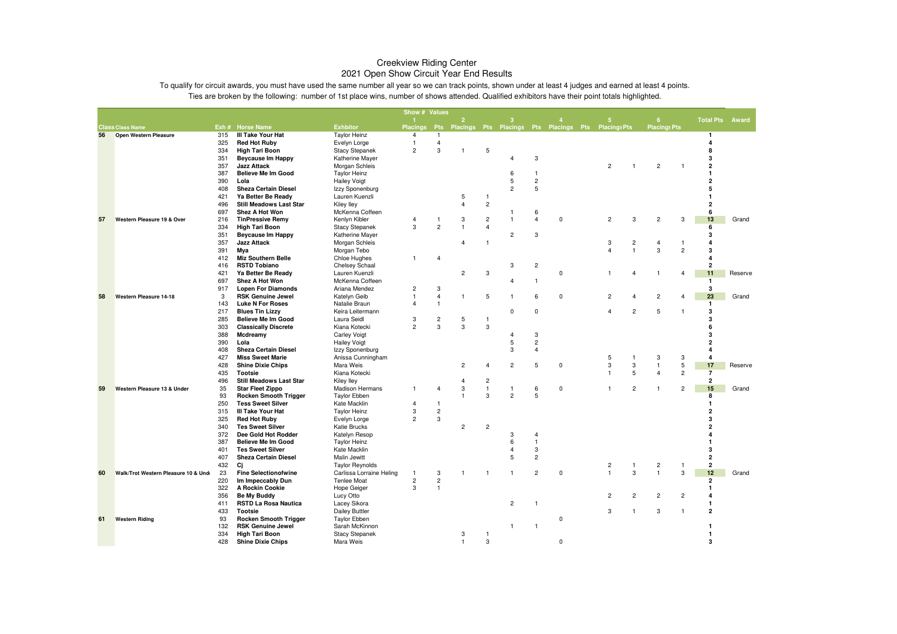|    |                                     |            |                                                         |                                          | Show # Values           |                         |                              |                         |                     |                     |                                                     |                         |                         |                                  |                |                         |         |
|----|-------------------------------------|------------|---------------------------------------------------------|------------------------------------------|-------------------------|-------------------------|------------------------------|-------------------------|---------------------|---------------------|-----------------------------------------------------|-------------------------|-------------------------|----------------------------------|----------------|-------------------------|---------|
|    |                                     |            |                                                         |                                          |                         |                         | $\overline{2}$               |                         | 3                   |                     |                                                     | 5                       |                         | 6                                |                | <b>Total Pts Award</b>  |         |
|    | <b>Class Class Name</b>             |            | Exh # Horse Name                                        | <b>Exhbitor</b>                          | <b>Placings</b>         | <b>Pts</b>              |                              |                         |                     |                     | Placings Pts Placings Pts Placings Pts Placings Pts |                         |                         | <b>Placings Pts</b>              |                |                         |         |
| 56 | Open Western Pleasure               | 315        | III Take Your Hat                                       | <b>Taylor Heinz</b>                      | 4                       | $\overline{1}$          |                              |                         |                     |                     |                                                     |                         |                         |                                  |                | $\mathbf{1}$            |         |
|    |                                     | 325        | <b>Red Hot Ruby</b>                                     | Evelyn Lorge                             | $\mathbf{1}$            | $\overline{4}$          |                              |                         |                     |                     |                                                     |                         |                         |                                  |                | 4                       |         |
|    |                                     | 334        | <b>High Tari Boon</b>                                   | <b>Stacy Stepanek</b>                    | $\overline{2}$          | 3                       | 1                            | 5                       |                     |                     |                                                     |                         |                         |                                  |                | 8                       |         |
|    |                                     | 351        | <b>Beycause Im Happy</b>                                | Katherine Mayer                          |                         |                         |                              |                         | 4                   | 3                   |                                                     |                         |                         |                                  |                | 3                       |         |
|    |                                     | 357        | <b>Jazz Attack</b>                                      | Morgan Schleis                           |                         |                         |                              |                         |                     |                     |                                                     | $\overline{2}$          |                         | $\overline{c}$                   | -1             | $\overline{\mathbf{2}}$ |         |
|    |                                     | 387        | <b>Believe Me Im Good</b>                               | <b>Taylor Heinz</b>                      |                         |                         |                              |                         | 6                   | $\mathbf{1}$        |                                                     |                         |                         |                                  |                | 1                       |         |
|    |                                     | 390        | Lola                                                    | <b>Hailey Voigt</b>                      |                         |                         |                              |                         | 5                   | $\sqrt{2}$          |                                                     |                         |                         |                                  |                | $\overline{a}$          |         |
|    |                                     | 408        | <b>Sheza Certain Diesel</b>                             | Izzy Sponenburg                          |                         |                         |                              |                         | $\overline{2}$      | 5                   |                                                     |                         |                         |                                  |                | 5                       |         |
|    |                                     | 421        | Ya Better Be Ready                                      | Lauren Kuenzli                           |                         |                         | 5<br>$\overline{\mathbf{4}}$ | $\mathbf{1}$            |                     |                     |                                                     |                         |                         |                                  |                | 1<br>$\overline{2}$     |         |
|    |                                     | 496        | <b>Still Meadows Last Star</b><br><b>Shez A Hot Won</b> | Kiley Iley                               |                         |                         |                              | $\overline{\mathbf{c}}$ | $\mathbf{1}$        |                     |                                                     |                         |                         |                                  |                | 6                       |         |
| 57 | Western Pleasure 19 & Over          | 697<br>216 | <b>TinPressive Remy</b>                                 | McKenna Coffeen<br>Kenlyn Kibler         | $\overline{4}$          | $\mathbf{1}$            | 3                            | $\overline{\mathbf{c}}$ | $\mathbf{1}$        | 6<br>$\overline{4}$ | $\mathbf 0$                                         | $\overline{c}$          | 3                       | $\overline{c}$                   | 3              | 13                      | Grand   |
|    |                                     |            |                                                         |                                          | 3                       | $\overline{2}$          | $\overline{1}$               |                         |                     |                     |                                                     |                         |                         |                                  |                |                         |         |
|    |                                     | 334<br>351 | <b>High Tari Boon</b><br><b>Beycause Im Happy</b>       | <b>Stacy Stepanek</b><br>Katherine Mayer |                         |                         |                              | 4                       | $\overline{2}$      | 3                   |                                                     |                         |                         |                                  |                | 6<br>3                  |         |
|    |                                     | 357        | <b>Jazz Attack</b>                                      | Morgan Schleis                           |                         |                         | $\overline{4}$               | $\mathbf{1}$            |                     |                     |                                                     | 3                       | $\overline{\mathbf{c}}$ | $\overline{4}$                   | $\mathbf{1}$   | 4                       |         |
|    |                                     | 391        | Mya                                                     | Morgan Tebo                              |                         |                         |                              |                         |                     |                     |                                                     | $\overline{4}$          | $\overline{1}$          | $\mathbf 3$                      | $\overline{c}$ | 3                       |         |
|    |                                     | 412        | <b>Miz Southern Belle</b>                               | Chloe Hughes                             | $\mathbf{1}$            | 4                       |                              |                         |                     |                     |                                                     |                         |                         |                                  |                | 4                       |         |
|    |                                     | 416        | <b>RSTD Tobiano</b>                                     | Chelsey Schaal                           |                         |                         |                              |                         | 3                   | $\overline{2}$      |                                                     |                         |                         |                                  |                | $\overline{\mathbf{2}}$ |         |
|    |                                     | 421        | Ya Better Be Ready                                      | Lauren Kuenzli                           |                         |                         | $\overline{c}$               | 3                       |                     |                     | $\mathbf 0$                                         | $\mathbf{1}$            | 4                       | $\overline{1}$                   | 4              | 11                      | Reserve |
|    |                                     | 697        | Shez A Hot Won                                          | McKenna Coffeen                          |                         |                         |                              |                         | 4                   | $\mathbf{1}$        |                                                     |                         |                         |                                  |                | $\mathbf{1}$            |         |
|    |                                     | 917        | <b>Lopen For Diamonds</b>                               | Ariana Mendez                            | $\overline{\mathbf{c}}$ | 3                       |                              |                         |                     |                     |                                                     |                         |                         |                                  |                | 3                       |         |
| 58 | Western Pleasure 14-18              | 3          | <b>RSK Genuine Jewel</b>                                | Katelyn Geib                             | $\mathbf{1}$            | $\overline{\mathbf{4}}$ | 1                            | 5                       | 1                   | 6                   | $\mathbf 0$                                         | $\overline{c}$          |                         | $\overline{c}$                   | $\overline{4}$ | 23                      | Grand   |
|    |                                     | 143        | <b>Luke N For Roses</b>                                 | Natalie Braun                            | $\overline{\mathbf{4}}$ | $\overline{1}$          |                              |                         |                     |                     |                                                     |                         |                         |                                  |                | $\mathbf{1}$            |         |
|    |                                     | 217        | <b>Blues Tin Lizzy</b>                                  | Keira Leitermann                         |                         |                         |                              |                         | $\mathbf 0$         | $\mathbf 0$         |                                                     | $\overline{4}$          | $\overline{c}$          | 5                                | $\mathbf{1}$   | 3                       |         |
|    |                                     | 285        | <b>Believe Me Im Good</b>                               | Laura Seidl                              | 3                       | $\overline{\mathbf{c}}$ | 5                            | $\mathbf{1}$            |                     |                     |                                                     |                         |                         |                                  |                | 3                       |         |
|    |                                     | 303        | <b>Classically Discrete</b>                             | Kiana Kotecki                            | $\overline{2}$          | 3                       | 3                            | 3                       |                     |                     |                                                     |                         |                         |                                  |                | 6                       |         |
|    |                                     | 388        | Mcdreamy                                                | <b>Carley Voigt</b>                      |                         |                         |                              |                         | $\overline{4}$      | 3                   |                                                     |                         |                         |                                  |                | 3                       |         |
|    |                                     | 390        | Lola                                                    | <b>Hailey Voigt</b>                      |                         |                         |                              |                         | 5                   | $\overline{2}$      |                                                     |                         |                         |                                  |                | $\overline{2}$          |         |
|    |                                     | 408        | <b>Sheza Certain Diesel</b>                             | Izzy Sponenburg                          |                         |                         |                              |                         | 3                   | 4                   |                                                     |                         |                         |                                  |                | 4                       |         |
|    |                                     | 427        | <b>Miss Sweet Marie</b>                                 | Anissa Cunningham                        |                         |                         |                              |                         |                     |                     |                                                     | 5                       | $\overline{1}$          | $\sqrt{3}$                       | 3              | $\overline{\mathbf{A}}$ |         |
|    |                                     | 428        | <b>Shine Dixie Chips</b>                                | Mara Weis                                |                         |                         | $\overline{c}$               | 4                       | $\overline{2}$      | 5                   | $\mathbf 0$                                         | 3                       | 3                       | $\mathbf{1}$                     | 5              | 17                      | Reserve |
|    |                                     | 435        | <b>Tootsie</b>                                          | Kiana Kotecki                            |                         |                         |                              |                         |                     |                     |                                                     | $\mathbf{1}$            | 5                       | $\overline{4}$                   | $\overline{2}$ | $\overline{7}$          |         |
|    |                                     | 496        | <b>Still Meadows Last Star</b>                          | <b>Kiley lley</b>                        |                         |                         | $\overline{4}$               | $\sqrt{2}$              |                     |                     |                                                     |                         |                         |                                  |                | $\overline{2}$          |         |
| 59 | Western Pleasure 13 & Under         | 35         | <b>Star Fleet Zippo</b>                                 | <b>Madison Hermans</b>                   | $\mathbf{1}$            | 4                       | 3                            | $\mathbf{1}$            | $\mathbf{1}$        | 6                   | $\mathbf 0$                                         | $\mathbf{1}$            | $\overline{c}$          | $\mathbf{1}$                     | $\overline{c}$ | 15                      | Grand   |
|    |                                     | 93         | <b>Rocken Smooth Trigger</b>                            | <b>Taylor Ebben</b>                      |                         |                         | $\overline{1}$               | 3                       | $\overline{c}$      | 5                   |                                                     |                         |                         |                                  |                | 8                       |         |
|    |                                     | 250        | <b>Tess Sweet Silver</b>                                | Kate Macklin                             | $\overline{4}$          | $\overline{1}$          |                              |                         |                     |                     |                                                     |                         |                         |                                  |                | $\mathbf{1}$            |         |
|    |                                     | 315        | III Take Your Hat                                       | <b>Taylor Heinz</b>                      | 3                       | $\overline{c}$          |                              |                         |                     |                     |                                                     |                         |                         |                                  |                | 2                       |         |
|    |                                     | 325        | <b>Red Hot Ruby</b>                                     | Evelyn Lorge                             | $\overline{c}$          | 3                       |                              |                         |                     |                     |                                                     |                         |                         |                                  |                | 3                       |         |
|    |                                     | 340        | <b>Tes Sweet Silver</b>                                 | Katie Brucks                             |                         |                         | $\overline{c}$               | $\overline{c}$          |                     |                     |                                                     |                         |                         |                                  |                | $\overline{2}$          |         |
|    |                                     | 372        | Dee Gold Hot Rodder                                     | Katelyn Resop                            |                         |                         |                              |                         | 3                   | 4<br>$\overline{1}$ |                                                     |                         |                         |                                  |                | 4<br>$\mathbf{1}$       |         |
|    |                                     | 387        | <b>Believe Me Im Good</b><br><b>Tes Sweet Silver</b>    | <b>Taylor Heinz</b>                      |                         |                         |                              |                         | 6<br>$\overline{4}$ | 3                   |                                                     |                         |                         |                                  |                | 3                       |         |
|    |                                     | 401<br>407 | <b>Sheza Certain Diesel</b>                             | Kate Macklin                             |                         |                         |                              |                         | 5                   | $\overline{2}$      |                                                     |                         |                         |                                  |                | $\mathbf{2}$            |         |
|    |                                     | 432        | Ci                                                      | Malin Jewitt<br><b>Taylor Reynolds</b>   |                         |                         |                              |                         |                     |                     |                                                     | $\overline{\mathbf{c}}$ | $\overline{1}$          |                                  | -1             | $\overline{\mathbf{2}}$ |         |
| 60 | Walk/Trot Western Pleasure 10 & Und | 23         | <b>Fine Selectionofwine</b>                             | Carlissa Lorraine Heling                 | $\mathbf{1}$            | 3                       | 1                            | $\overline{1}$          | $\mathbf{1}$        | $\overline{c}$      | $\mathbf 0$                                         | $\mathbf{1}$            | 3                       | $\overline{c}$<br>$\overline{1}$ | 3              | 12                      | Grand   |
|    |                                     | 220        | Im Impeccably Dun                                       | Tenlee Moat                              | $\overline{c}$          | $\overline{c}$          |                              |                         |                     |                     |                                                     |                         |                         |                                  |                | $\mathbf{2}$            |         |
|    |                                     | 322        | A Rockin Cookie                                         | Hope Geiger                              | 3                       | $\overline{1}$          |                              |                         |                     |                     |                                                     |                         |                         |                                  |                | $\mathbf{1}$            |         |
|    |                                     | 356        | Be My Buddy                                             | Lucy Otto                                |                         |                         |                              |                         |                     |                     |                                                     | $\overline{c}$          | $\overline{c}$          | $\overline{c}$                   | $\overline{c}$ | 4                       |         |
|    |                                     | 411        | <b>RSTD La Rosa Nautica</b>                             | Lacey Sikora                             |                         |                         |                              |                         | $\overline{2}$      | $\mathbf{1}$        |                                                     |                         |                         |                                  |                | $\mathbf{1}$            |         |
|    |                                     | 433        | <b>Tootsie</b>                                          | <b>Dailey Buttler</b>                    |                         |                         |                              |                         |                     |                     |                                                     | 3                       | -1                      | 3                                | $\mathbf{1}$   | $\mathbf{2}$            |         |
| 61 | <b>Western Riding</b>               | 93         | <b>Rocken Smooth Trigger</b>                            | <b>Taylor Ebben</b>                      |                         |                         |                              |                         |                     |                     | $\mathsf 0$                                         |                         |                         |                                  |                |                         |         |
|    |                                     | 132        | <b>RSK Genuine Jewel</b>                                | Sarah McKinnon                           |                         |                         |                              |                         | $\mathbf{1}$        | $\mathbf{1}$        |                                                     |                         |                         |                                  |                | $\mathbf{1}$            |         |
|    |                                     | 334        | <b>High Tari Boon</b>                                   | <b>Stacy Stepanek</b>                    |                         |                         | 3                            | $\mathbf{1}$            |                     |                     |                                                     |                         |                         |                                  |                | $\mathbf{1}$            |         |
|    |                                     | 428        | <b>Shine Dixie Chips</b>                                | Mara Weis                                |                         |                         | $\mathbf{1}$                 | 3                       |                     |                     | $\Omega$                                            |                         |                         |                                  |                | 3                       |         |